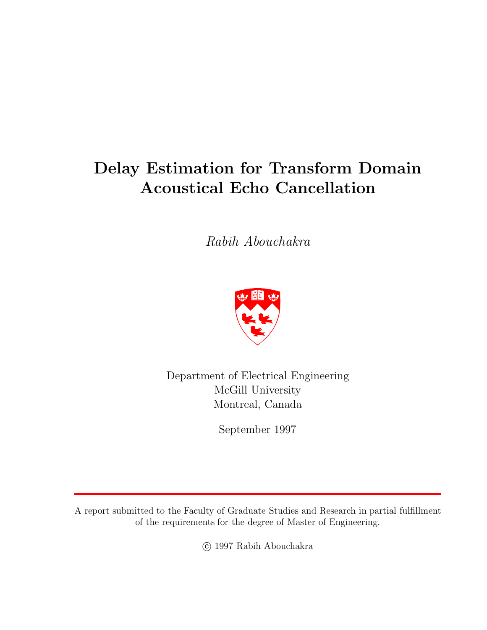# **Delay Estimation for Transform Domain Acoustical Echo Cancellation**

*Rabih Abouchakra*



Department of Electrical Engineering McGill University Montreal, Canada

September 1997

A report submitted to the Faculty of Graduate Studies and Research in partial fulfillment of the requirements for the degree of Master of Engineering.

c 1997 RabihAbouchakra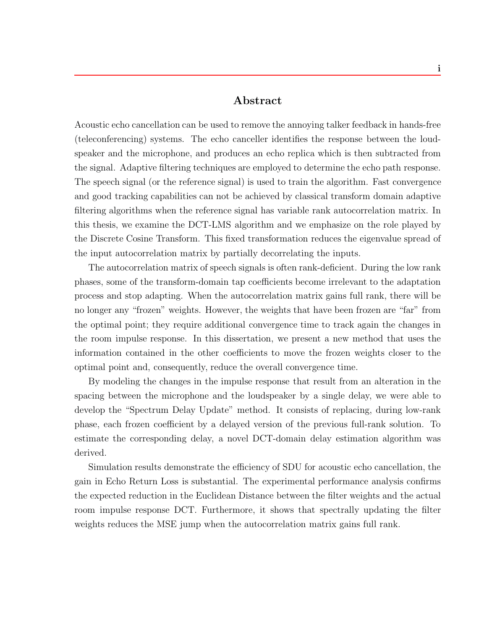### **Abstract**

Acoustic echo cancellation can be used to remove the annoying talker feedback in hands-free (teleconferencing) systems. The echo canceller identifies the response between the loudspeaker and the microphone, and produces an echo replica which is then subtracted from the signal. Adaptive filtering techniques are employed to determine the echo path response. The speech signal (or the reference signal) is used to train the algorithm. Fast convergence and good tracking capabilities can not be achieved by classical transform domain adaptive filtering algorithms when the reference signal has variable rank autocorrelation matrix. In this thesis, we examine the DCT-LMS algorithm and we emphasize on the role played by the Discrete Cosine Transform. This fixed transformation reduces the eigenvalue spread of the input autocorrelation matrix by partially decorrelating the inputs.

The autocorrelation matrix of speech signals is often rank-deficient. During the low rank phases, some of the transform-domain tap coefficients become irrelevant to the adaptation process and stop adapting. When the autocorrelation matrix gains full rank, there will be no longer any "frozen" weights. However, the weights that have been frozen are "far" from the optimal point; they require additional convergence time to track again the changes in the room impulse response. In this dissertation, we present a new method that uses the information contained in the other coefficients to move the frozen weights closer to the optimal point and, consequently, reduce the overall convergence time.

By modeling the changes in the impulse response that result from an alteration in the spacing between the microphone and the loudspeaker by a single delay, we were able to develop the "Spectrum Delay Update" method. It consists of replacing, during low-rank phase, each frozen coefficient by a delayed version of the previous full-rank solution. To estimate the corresponding delay, a novel DCT-domain delay estimation algorithm was derived.

Simulation results demonstrate the efficiency of SDU for acoustic echo cancellation, the gain in Echo Return Loss is substantial. The experimental performance analysis confirms the expected reduction in the Euclidean Distance between the filter weights and the actual room impulse response DCT. Furthermore, it shows that spectrally updating the filter weights reduces the MSE jump when the autocorrelation matrix gains full rank.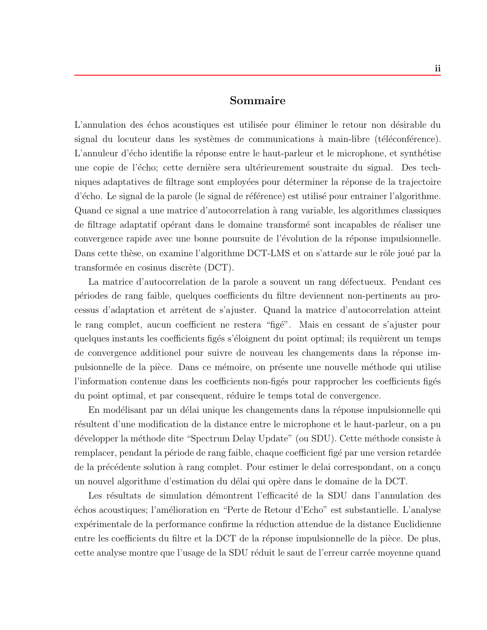### **Sommaire**

L'annulation des échos acoustiques est utilisée pour éliminer le retour non désirable du signal du locuteur dans les systèmes de communications à main-libre (téléconférence). L'annuleur d'écho identifie la réponse entre le haut-parleur et le microphone, et synthétise une copie de l'écho; cette dernière sera ultérieurement soustraite du signal. Des techniques adaptatives de filtrage sont employées pour déterminer la réponse de la trajectoire d'écho. Le signal de la parole (le signal de référence) est utilisé pour entrainer l'algorithme. Quand ce signal a une matrice d'autocorrelation `a rang variable, les algorithmes classiques de filtrage adaptatif opérant dans le domaine transformé sont incapables de réaliser une convergence rapide avec une bonne poursuite de l'évolution de la réponse impulsionnelle. Dans cette thèse, on examine l'algorithme DCT-LMS et on s'attarde sur le rôle joué par la transformée en cosinus discrète (DCT).

La matrice d'autocorrelation de la parole a souvent un rang défectueux. Pendant ces p´eriodes de rang faible, quelques coefficients du filtre deviennent non-pertinents au processus d'adaptation et arrˆetent de s'ajuster. Quand la matrice d'autocorrelation atteint le rang complet, aucun coefficient ne restera "figé". Mais en cessant de s'ajuster pour quelques instants les coefficients figés s'éloignent du point optimal; ils requièrent un temps de convergence additionel pour suivre de nouveau les changements dans la réponse impulsionnelle de la pièce. Dans ce mémoire, on présente une nouvelle méthode qui utilise l'information contenue dans les coefficients non-figés pour rapprocher les coefficients figés du point optimal, et par consequent, réduire le temps total de convergence.

En modélisant par un délai unique les changements dans la réponse impulsionnelle qui résultent d'une modification de la distance entre le microphone et le haut-parleur, on a pu développer la méthode dite "Spectrum Delay Update" (ou SDU). Cette méthode consiste à remplacer, pendant la période de rang faible, chaque coefficient figé par une version retardée de la précédente solution à rang complet. Pour estimer le delai correspondant, on a conçu un nouvel algorithme d'estimation du d´elai qui op`ere dans le domaine de la DCT.

Les résultats de simulation démontrent l'efficacité de la SDU dans l'annulation des échos acoustiques; l'amélioration en "Perte de Retour d'Echo" est substantielle. L'analyse expérimentale de la performance confirme la réduction attendue de la distance Euclidienne entre les coefficients du filtre et la DCT de la réponse impulsionnelle de la pièce. De plus, cette analyse montre que l'usage de la SDU réduit le saut de l'erreur carrée moyenne quand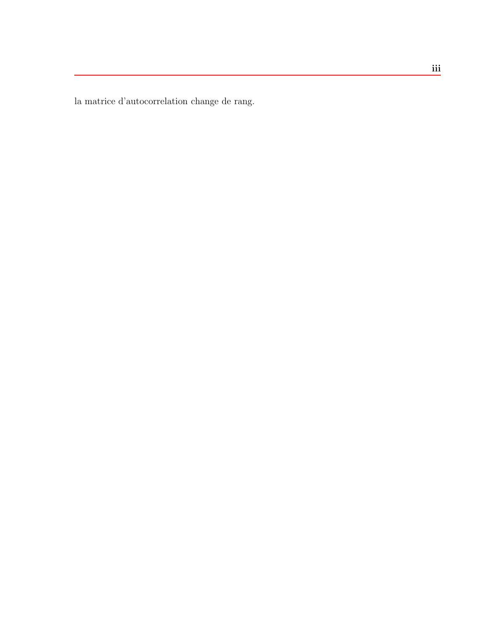la matrice d'autocorrelation change de rang.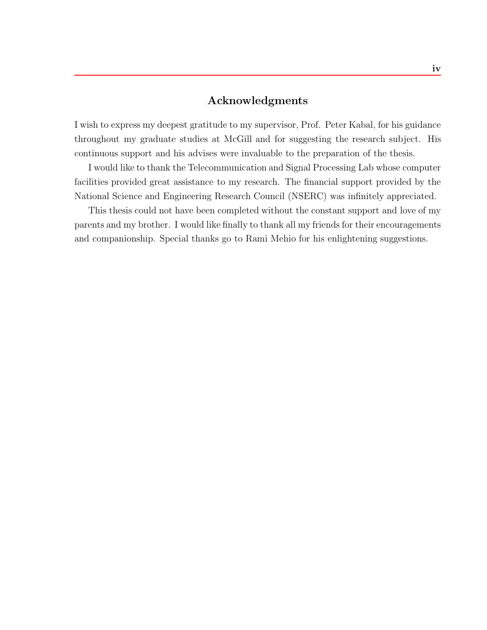### **Acknowledgments**

I wishto express my deepest gratitude to my supervisor, Prof. Peter Kabal, for his guidance throughout my graduate studies at McGill and for suggesting the research subject. His continuous support and his advises were invaluable to the preparation of the thesis.

I would like to thank the Telecommunication and Signal Processing Lab whose computer facilities provided great assistance to my research. The financial support provided by the National Science and Engineering Research Council (NSERC) was infinitely appreciated.

This thesis could not have been completed without the constant support and love of my parents and my brother. I would like finally to thank all my friends for their encouragements and companionship. Special thanks go to Rami Mehio for his enlightening suggestions.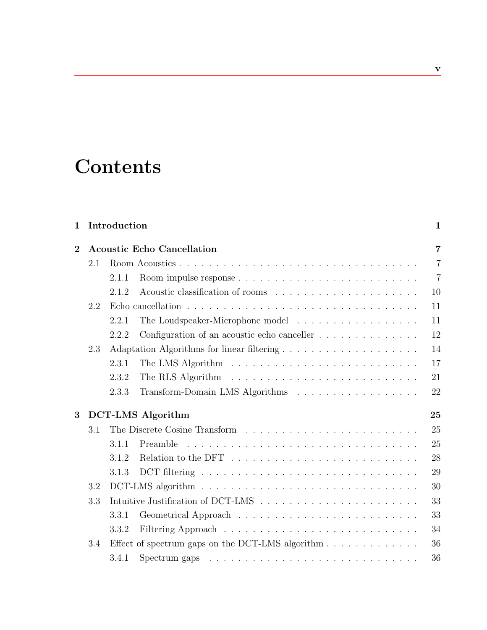# **Contents**

## **1 Introduction 1**

| $\overline{2}$ |     |       | <b>Acoustic Echo Cancellation</b>                                                    | $\overline{7}$ |
|----------------|-----|-------|--------------------------------------------------------------------------------------|----------------|
|                | 2.1 |       |                                                                                      | $\overline{7}$ |
|                |     | 2.1.1 |                                                                                      | $\overline{7}$ |
|                |     | 2.1.2 |                                                                                      | 10             |
|                | 2.2 |       |                                                                                      | 11             |
|                |     | 2.2.1 | The Loudspeaker-Microphone model                                                     | 11             |
|                |     | 2.2.2 | Configuration of an acoustic echo canceller $\dots \dots \dots \dots \dots$          | 12             |
|                | 2.3 |       |                                                                                      | 14             |
|                |     | 2.3.1 |                                                                                      | 17             |
|                |     | 2.3.2 |                                                                                      | 21             |
|                |     | 2.3.3 | Transform-Domain LMS Algorithms                                                      | 22             |
| 3              |     |       | <b>DCT-LMS</b> Algorithm                                                             | 25             |
|                | 3.1 |       |                                                                                      | 25             |
|                |     | 3.1.1 |                                                                                      | 25             |
|                |     | 3.1.2 | Relation to the DFT $\ldots \ldots \ldots \ldots \ldots \ldots \ldots \ldots \ldots$ | 28             |
|                |     | 3.1.3 |                                                                                      | 29             |
|                | 3.2 |       |                                                                                      | 30             |
|                |     |       |                                                                                      |                |
|                | 3.3 |       |                                                                                      | 33             |
|                |     | 3.3.1 |                                                                                      | 33             |
|                |     | 3.3.2 |                                                                                      | 34             |
|                | 3.4 |       |                                                                                      | 36             |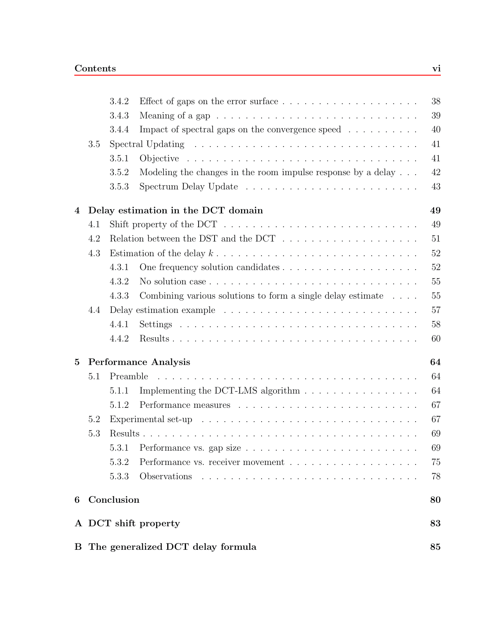| 6               |     | Conclusion |                                                                                                    | 80       |
|-----------------|-----|------------|----------------------------------------------------------------------------------------------------|----------|
|                 |     | 5.3.3      |                                                                                                    | 78       |
|                 |     | 5.3.2      |                                                                                                    | 75       |
|                 |     |            | 5.3.1 Performance vs. gap size $\ldots \ldots \ldots \ldots \ldots \ldots \ldots \ldots$           | 69       |
|                 | 5.3 |            |                                                                                                    | 69       |
|                 | 5.2 |            | Experimental set-up $\ldots \ldots \ldots \ldots \ldots \ldots \ldots \ldots \ldots \ldots \ldots$ | 67       |
|                 |     | 5.1.2      |                                                                                                    | 67       |
|                 |     | 5.1.1      | Implementing the DCT-LMS algorithm                                                                 | 64       |
| $5\overline{)}$ | 5.1 | Preamble   | <b>Performance Analysis</b>                                                                        | 64<br>64 |
|                 |     |            |                                                                                                    | 60       |
|                 |     | 4.4.2      |                                                                                                    |          |
|                 | 4.4 | 4.4.1      |                                                                                                    | 57<br>58 |
|                 |     | 4.3.3      | Combining various solutions to form a single delay estimate $\ldots$ .                             | 55       |
|                 |     | 4.3.2      | No solution case $\dots \dots \dots \dots \dots \dots \dots \dots \dots \dots \dots \dots$         | 55       |
|                 |     | 4.3.1      |                                                                                                    | 52       |
|                 | 4.3 |            |                                                                                                    | 52       |
|                 | 4.2 |            | Relation between the DST and the DCT $\ldots \ldots \ldots \ldots \ldots \ldots$                   | 51       |
|                 | 4.1 |            | Shift property of the DCT $\ldots \ldots \ldots \ldots \ldots \ldots \ldots \ldots \ldots$         | 49       |
| 4               |     |            | Delay estimation in the DCT domain                                                                 | 49       |
|                 |     | 3.5.3      |                                                                                                    | 43       |
|                 |     | 3.5.2      | Modeling the changes in the room impulse response by a delay $\ldots$ .                            | 42       |
|                 |     | 3.5.1      | Objective $\ldots \ldots \ldots \ldots \ldots \ldots \ldots \ldots \ldots \ldots \ldots$           | 41       |
|                 | 3.5 |            | Spectral Updating $\dots \dots \dots \dots \dots \dots \dots \dots \dots \dots \dots \dots$        | 41       |
|                 |     | 3.4.4      | Impact of spectral gaps on the convergence speed $\dots \dots \dots$                               | 40       |
|                 |     | 3.4.3      |                                                                                                    | 39       |
|                 |     | 3.4.2      | Effect of gaps on the error surface $\dots \dots \dots \dots \dots \dots \dots$                    | 38       |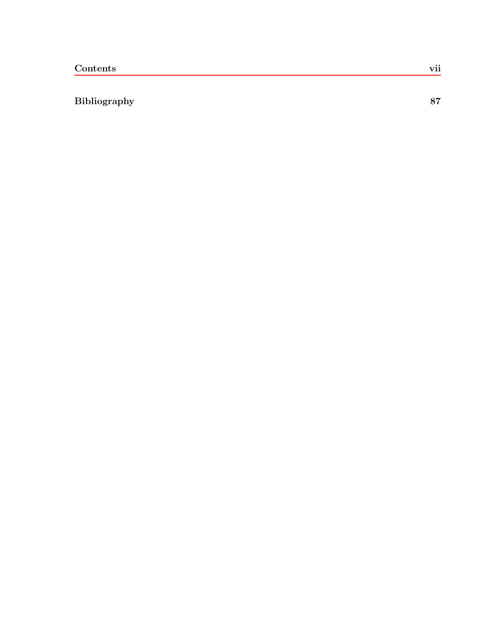### **Bibliography 87**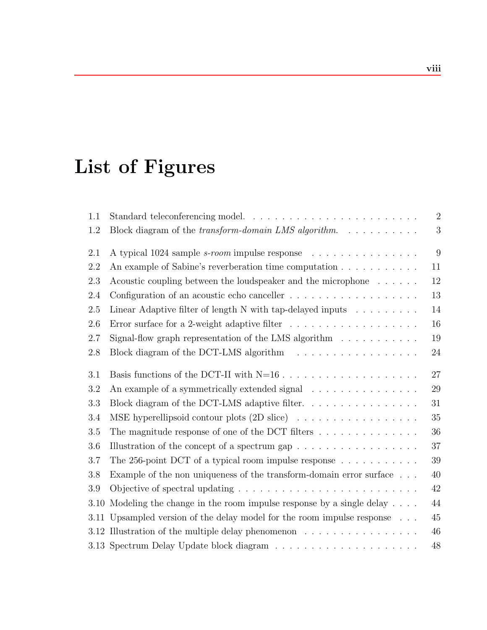# **List of Figures**

| 1.1  |                                                                                                          | $\overline{2}$ |
|------|----------------------------------------------------------------------------------------------------------|----------------|
| 1.2  | Block diagram of the transform-domain LMS algorithm.                                                     | 3              |
| 2.1  | A typical 1024 sample <i>s-room</i> impulse response                                                     | 9              |
| 2.2  |                                                                                                          | 11             |
| 2.3  | Acoustic coupling between the loudspeaker and the microphone $\dots \dots$                               | 12             |
| 2.4  | Configuration of an acoustic echo canceller $\dots \dots \dots \dots \dots \dots$                        | 13             |
| 2.5  | Linear Adaptive filter of length N with tap-delayed inputs $\ldots \ldots \ldots$                        | 14             |
| 2.6  | Error surface for a 2-weight adaptive filter $\ldots \ldots \ldots \ldots \ldots \ldots$                 | 16             |
| 2.7  | Signal-flow graph representation of the LMS algorithm $\hfill\ldots$ $\ldots$ $\ldots$ $\ldots$ $\ldots$ | 19             |
| 2.8  |                                                                                                          | 24             |
| 3.1  |                                                                                                          | 27             |
| 3.2  | An example of a symmetrically extended signal                                                            | 29             |
| 3.3  |                                                                                                          | 31             |
| 3.4  | MSE hyperellipsoid contour plots (2D slice)                                                              | 35             |
| 3.5  | The magnitude response of one of the DCT filters $\dots \dots \dots \dots$                               | 36             |
| 3.6  | Illustration of the concept of a spectrum gap $\dots \dots \dots \dots \dots \dots$                      | 37             |
| 3.7  | The 256-point DCT of a typical room impulse response $\ldots \ldots \ldots \ldots$                       | 39             |
| 3.8  | Example of the non uniqueness of the transform-domain error surface<br>$% \mathcal{N}$ . $.$             | 40             |
| 3.9  |                                                                                                          | 42             |
| 3.10 | Modeling the change in the room impulse response by a single delay                                       | 44             |
| 3.11 | Upsampled version of the delay model for the room impulse response $\phantom{1} \ldots$                  | 45             |
|      | 3.12 Illustration of the multiple delay phenomenon $\dots \dots \dots \dots \dots \dots$                 | 46             |
|      |                                                                                                          | 48             |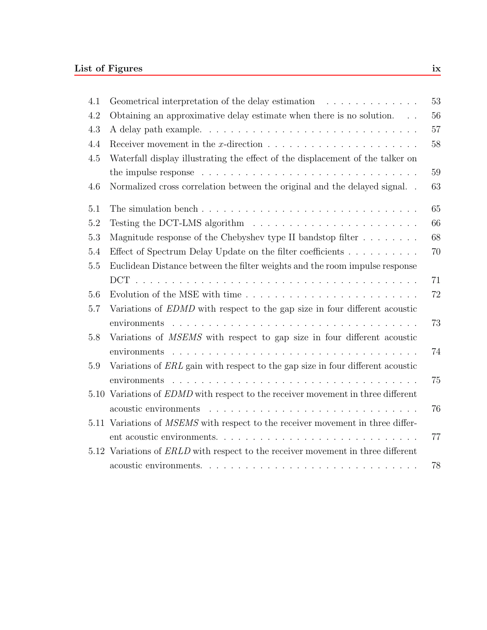| 4.1 | 53<br>Geometrical interpretation of the delay estimation                                           |
|-----|----------------------------------------------------------------------------------------------------|
| 4.2 | Obtaining an approximative delay estimate when there is no solution.<br>56<br>$\sim$ 100 $\sim$    |
| 4.3 | 57                                                                                                 |
| 4.4 | Receiver movement in the x-direction $\ldots \ldots \ldots \ldots \ldots \ldots \ldots$<br>58      |
| 4.5 | Waterfall display illustrating the effect of the displacement of the talker on                     |
|     | 59<br>the impulse response $\ldots \ldots \ldots \ldots \ldots \ldots \ldots \ldots \ldots \ldots$ |
| 4.6 | Normalized cross correlation between the original and the delayed signal. .<br>63                  |
| 5.1 | 65                                                                                                 |
| 5.2 | Testing the DCT-LMS algorithm $\ldots \ldots \ldots \ldots \ldots \ldots \ldots$<br>66             |
| 5.3 | 68<br>Magnitude response of the Chebyshev type II bandstop filter $\dots \dots$                    |
| 5.4 | Effect of Spectrum Delay Update on the filter coefficients<br>70                                   |
| 5.5 | Euclidean Distance between the filter weights and the room impulse response                        |
|     | 71                                                                                                 |
| 5.6 | 72                                                                                                 |
| 5.7 | Variations of EDMD with respect to the gap size in four different acoustic                         |
|     | 73                                                                                                 |
| 5.8 | Variations of <i>MSEMS</i> with respect to gap size in four different acoustic<br>74               |
| 5.9 | Variations of ERL gain with respect to the gap size in four different acoustic                     |
|     | 75                                                                                                 |
|     | 5.10 Variations of EDMD with respect to the receiver movement in three different                   |
|     | 76                                                                                                 |
|     | 5.11 Variations of MSEMS with respect to the receiver movement in three differ-                    |
|     | 77                                                                                                 |
|     | 5.12 Variations of ERLD with respect to the receiver movement in three different                   |
|     | 78                                                                                                 |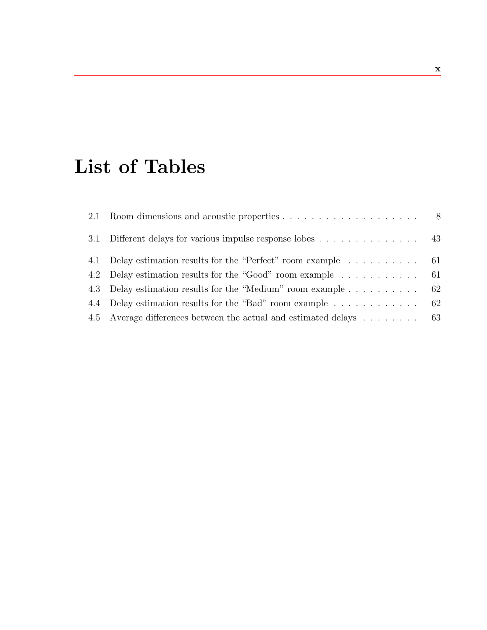# **List of Tables**

| 3.1 Different delays for various impulse response lobes 43         |  |
|--------------------------------------------------------------------|--|
| 4.1 Delay estimation results for the "Perfect" room example 61     |  |
| 4.2 Delay estimation results for the "Good" room example  61       |  |
| 4.3 Delay estimation results for the "Medium" room example 62      |  |
| 4.4 Delay estimation results for the "Bad" room example 62         |  |
| 4.5 Average differences between the actual and estimated delays 63 |  |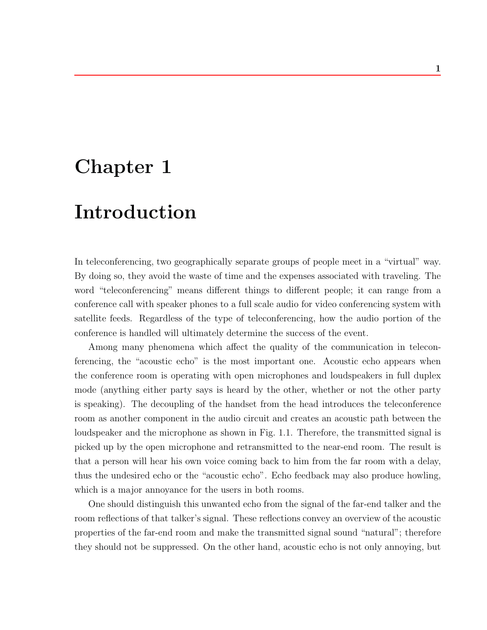# **Chapter 1**

# **Introduction**

In teleconferencing, two geographically separate groups of people meet in a "virtual" way. By doing so, they avoid the waste of time and the expenses associated with traveling. The word "teleconferencing" means different things to different people; it can range from a conference call with speaker phones to a full scale audio for video conferencing system with satellite feeds. Regardless of the type of teleconferencing, how the audio portion of the conference is handled will ultimately determine the success of the event.

Among many phenomena which affect the quality of the communication in teleconferencing, the "acoustic echo" is the most important one. Acoustic echo appears when the conference room is operating with open microphones and loudspeakers in full duplex mode (anything either party says is heard by the other, whether or not the other party is speaking). The decoupling of the handset from the head introduces the teleconference room as another component in the audio circuit and creates an acoustic path between the loudspeaker and the microphone as shown in Fig. 1.1. Therefore, the transmitted signal is picked up by the open microphone and retransmitted to the near-end room. The result is that a person will hear his own voice coming back to him from the far room with a delay, thus the undesired echo or the "acoustic echo". Echo feedback may also produce howling, which is a major annoyance for the users in both rooms.

One should distinguish this unwanted echo from the signal of the far-end talker and the room reflections of that talker's signal. These reflections convey an overview of the acoustic properties of the far-end room and make the transmitted signal sound "natural"; therefore they should not be suppressed. On the other hand, acoustic echo is not only annoying, but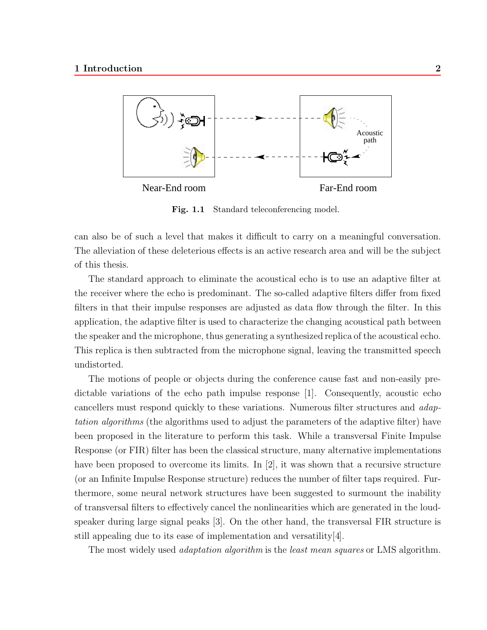

Fig. 1.1 Standard teleconferencing model.

can also be of such a level that makes it difficult to carry on a meaningful conversation. The alleviation of these deleterious effects is an active research area and will be the subject of this thesis.

The standard approach to eliminate the acoustical echo is to use an adaptive filter at the receiver where the echo is predominant. The so-called adaptive filters differ from fixed filters in that their impulse responses are adjusted as data flow through the filter. In this application, the adaptive filter is used to characterize the changing acoustical path between the speaker and the microphone, thus generating a synthesized replica of the acoustical echo. This replica is then subtracted from the microphone signal, leaving the transmitted speech undistorted.

The motions of people or objects during the conference cause fast and non-easily predictable variations of the echo path impulse response [1]. Consequently, acoustic echo cancellers must respond quickly to these variations. Numerous filter structures and *adaptation algorithms* (the algorithms used to adjust the parameters of the adaptive filter) have been proposed in the literature to perform this task. While a transversal Finite Impulse Response (or FIR) filter has been the classical structure, many alternative implementations have been proposed to overcome its limits. In [2], it was shown that a recursive structure (or an Infinite Impulse Response structure) reduces the number of filter taps required. Furthermore, some neural network structures have been suggested to surmount the inability of transversal filters to effectively cancel the nonlinearities which are generated in the loudspeaker during large signal peaks [3]. On the other hand, the transversal FIR structure is still appealing due to its ease of implementation and versatility[4].

The most widely used *adaptation algorithm* is the *least mean squares* or LMS algorithm.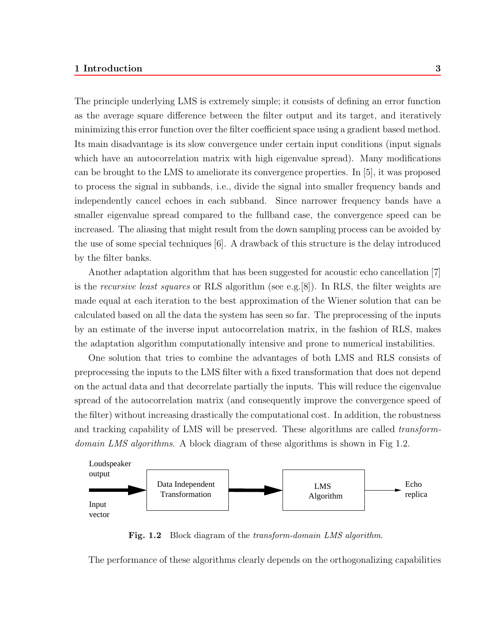The principle underlying LMS is extremely simple; it consists of defining an error function as the average square difference between the filter output and its target, and iteratively minimizing this error function over the filter coefficient space using a gradient based method. Its main disadvantage is its slow convergence under certain input conditions (input signals which have an autocorrelation matrix with high eigenvalue spread). Many modifications can be brought to the LMS to ameliorate its convergence properties. In [5], it was proposed to process the signal in subbands, i.e., divide the signal into smaller frequency bands and independently cancel echoes in each subband. Since narrower frequency bands have a smaller eigenvalue spread compared to the fullband case, the convergence speed can be increased. The aliasing that might result from the down sampling process can be avoided by the use of some special techniques [6]. A drawback of this structure is the delay introduced by the filter banks.

Another adaptation algorithm that has been suggested for acoustic echo cancellation [7] is the *recursive least squares* or RLS algorithm (see e.g.[8]). In RLS, the filter weights are made equal at each iteration to the best approximation of the Wiener solution that can be calculated based on all the data the system has seen so far. The preprocessing of the inputs by an estimate of the inverse input autocorrelation matrix, in the fashion of RLS, makes the adaptation algorithm computationally intensive and prone to numerical instabilities.

One solution that tries to combine the advantages of both LMS and RLS consists of preprocessing the inputs to the LMS filter with a fixed transformation that does not depend on the actual data and that decorrelate partially the inputs. This will reduce the eigenvalue spread of the autocorrelation matrix (and consequently improve the convergence speed of the filter) without increasing drastically the computational cost. In addition, the robustness and tracking capability of LMS will be preserved. These algorithms are called *transformdomain LMS algorithms*. A block diagram of these algorithms is shown in Fig 1.2.



**Fig. 1.2** Block diagram of the *transform-domain LMS algorithm*.

The performance of these algorithms clearly depends on the orthogonalizing capabilities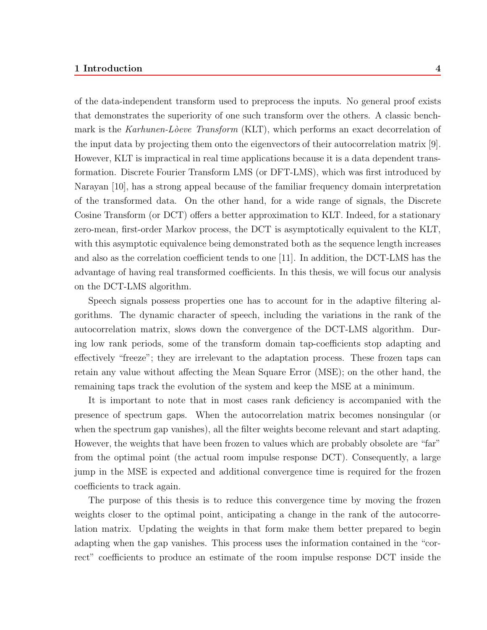of the data-independent transform used to preprocess the inputs. No general proof exists that demonstrates the superiority of one such transform over the others. A classic benchmark is the *Karhunen-L`oeve Transform* (KLT), which performs an exact decorrelation of the input data by projecting them onto the eigenvectors of their autocorrelation matrix [9]. However, KLT is impractical in real time applications because it is a data dependent transformation. Discrete Fourier Transform LMS (or DFT-LMS), which was first introduced by Narayan [10], has a strong appeal because of the familiar frequency domain interpretation of the transformed data. On the other hand, for a wide range of signals, the Discrete Cosine Transform (or DCT) offers a better approximation to KLT. Indeed, for a stationary zero-mean, first-order Markov process, the DCT is asymptotically equivalent to the KLT, with this asymptotic equivalence being demonstrated both as the sequence length increases and also as the correlation coefficient tends to one [11]. In addition, the DCT-LMS has the advantage of having real transformed coefficients. In this thesis, we will focus our analysis on the DCT-LMS algorithm.

Speech signals possess properties one has to account for in the adaptive filtering algorithms. The dynamic character of speech, including the variations in the rank of the autocorrelation matrix, slows down the convergence of the DCT-LMS algorithm. During low rank periods, some of the transform domain tap-coefficients stop adapting and effectively "freeze"; they are irrelevant to the adaptation process. These frozen taps can retain any value without affecting the Mean Square Error (MSE); on the other hand, the remaining taps track the evolution of the system and keep the MSE at a minimum.

It is important to note that in most cases rank deficiency is accompanied with the presence of spectrum gaps. When the autocorrelation matrix becomes nonsingular (or when the spectrum gap vanishes), all the filter weights become relevant and start adapting. However, the weights that have been frozen to values which are probably obsolete are "far" from the optimal point (the actual room impulse response DCT). Consequently, a large jump in the MSE is expected and additional convergence time is required for the frozen coefficients to track again.

The purpose of this thesis is to reduce this convergence time by moving the frozen weights closer to the optimal point, anticipating a change in the rank of the autocorrelation matrix. Updating the weights in that form make them better prepared to begin adapting when the gap vanishes. This process uses the information contained in the "correct" coefficients to produce an estimate of the room impulse response DCT inside the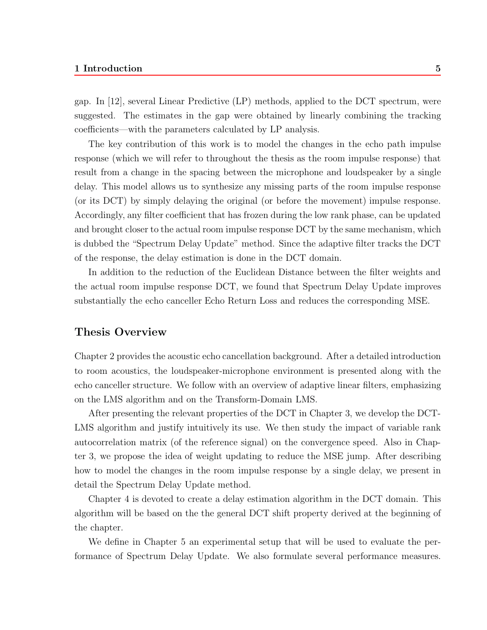gap. In [12], several Linear Predictive (LP) methods, applied to the DCT spectrum, were suggested. The estimates in the gap were obtained by linearly combining the tracking coefficients—with the parameters calculated by LP analysis.

The key contribution of this work is to model the changes in the echo path impulse response (which we will refer to throughout the thesis as the room impulse response) that result from a change in the spacing between the microphone and loudspeaker by a single delay. This model allows us to synthesize any missing parts of the room impulse response (or its DCT) by simply delaying the original (or before the movement) impulse response. Accordingly, any filter coefficient that has frozen during the low rank phase, can be updated and brought closer to the actual room impulse response DCT by the same mechanism, which is dubbed the "Spectrum Delay Update" method. Since the adaptive filter tracks the DCT of the response, the delay estimation is done in the DCT domain.

In addition to the reduction of the Euclidean Distance between the filter weights and the actual room impulse response DCT, we found that Spectrum Delay Update improves substantially the echo canceller Echo Return Loss and reduces the corresponding MSE.

### **Thesis Overview**

Chapter 2 provides the acoustic echo cancellation background. After a detailed introduction to room acoustics, the loudspeaker-microphone environment is presented along with the echo canceller structure. We follow with an overview of adaptive linear filters, emphasizing on the LMS algorithm and on the Transform-Domain LMS.

After presenting the relevant properties of the DCT in Chapter 3, we develop the DCT-LMS algorithm and justify intuitively its use. We then study the impact of variable rank autocorrelation matrix (of the reference signal) on the convergence speed. Also in Chapter 3, we propose the idea of weight updating to reduce the MSE jump. After describing how to model the changes in the room impulse response by a single delay, we present in detail the Spectrum Delay Update method.

Chapter 4 is devoted to create a delay estimation algorithm in the DCT domain. This algorithm will be based on the the general DCT shift property derived at the beginning of the chapter.

We define in Chapter 5 an experimental setup that will be used to evaluate the performance of Spectrum Delay Update. We also formulate several performance measures.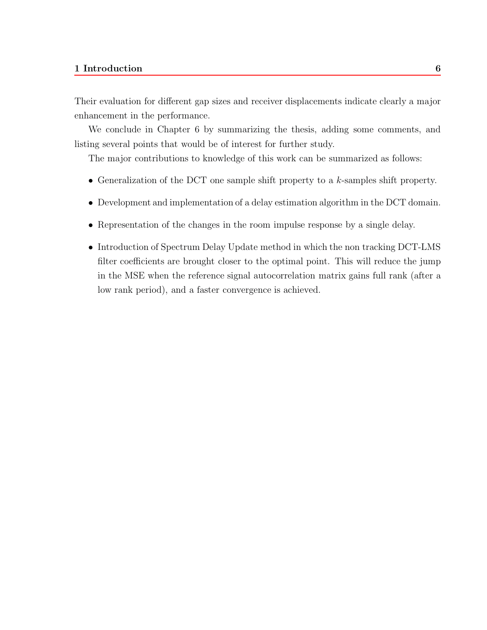Their evaluation for different gap sizes and receiver displacements indicate clearly a major enhancement in the performance.

We conclude in Chapter 6 by summarizing the thesis, adding some comments, and listing several points that would be of interest for further study.

The major contributions to knowledge of this work can be summarized as follows:

- Generalization of the DCT one sample shift property to a  $k$ -samples shift property.
- Development and implementation of a delay estimation algorithm in the DCT domain.
- Representation of the changes in the room impulse response by a single delay.
- Introduction of Spectrum Delay Update method in which the non tracking DCT-LMS filter coefficients are brought closer to the optimal point. This will reduce the jump in the MSE when the reference signal autocorrelation matrix gains full rank (after a low rank period), and a faster convergence is achieved.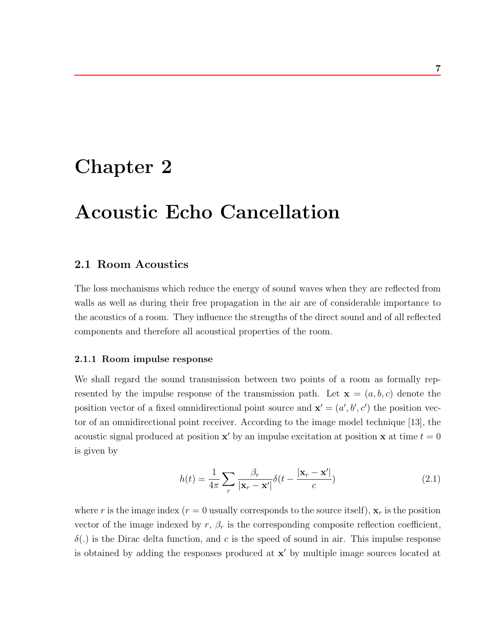# **Chapter 2**

# **Acoustic Echo Cancellation**

### **2.1 Room Acoustics**

The loss mechanisms which reduce the energy of sound waves when they are reflected from walls as well as during their free propagation in the air are of considerable importance to the acoustics of a room. They influence the strengths of the direct sound and of all reflected components and therefore all acoustical properties of the room.

#### **2.1.1 Room impulse response**

We shall regard the sound transmission between two points of a room as formally represented by the impulse response of the transmission path. Let  $\mathbf{x} = (a, b, c)$  denote the position vector of a fixed omnidirectional point source and  $\mathbf{x}' = (a', b', c')$  the position vector of an omnidirectional point receiver. According to the image model technique [13], the acoustic signal produced at position **x**' by an impulse excitation at position **x** at time  $t = 0$ is given by

$$
h(t) = \frac{1}{4\pi} \sum_{r} \frac{\beta_r}{|\mathbf{x}_r - \mathbf{x}'|} \delta(t - \frac{|\mathbf{x}_r - \mathbf{x}'|}{c})
$$
\n(2.1)

where r is the image index ( $r = 0$  usually corresponds to the source itself),  $\mathbf{x}_r$  is the position vector of the image indexed by  $r, \beta_r$  is the corresponding composite reflection coefficient,  $\delta(.)$  is the Dirac delta function, and c is the speed of sound in air. This impulse response is obtained by adding the responses produced at  $x'$  by multiple image sources located at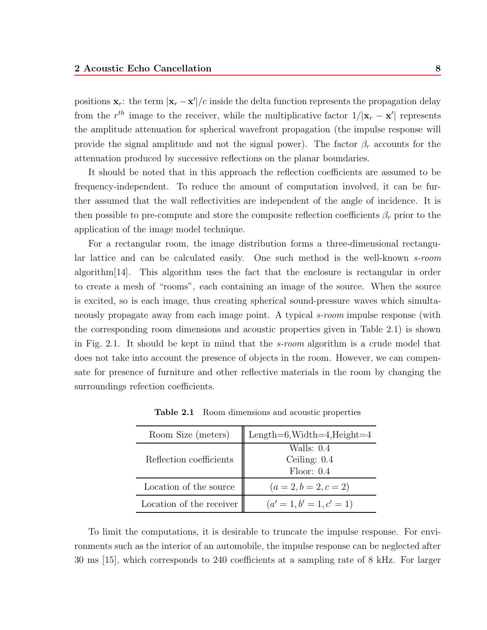positions  $\mathbf{x}_r$ : the term  $|\mathbf{x}_r - \mathbf{x}'|/c$  inside the delta function represents the propagation delay from the  $r^{th}$  image to the receiver, while the multiplicative factor  $1/|\mathbf{x}_r - \mathbf{x}'|$  represents the amplitude attenuation for spherical wavefront propagation (the impulse response will provide the signal amplitude and not the signal power). The factor  $\beta_r$  accounts for the attenuation produced by successive reflections on the planar boundaries.

It should be noted that in this approach the reflection coefficients are assumed to be frequency-independent. To reduce the amount of computation involved, it can be further assumed that the wall reflectivities are independent of the angle of incidence. It is then possible to pre-compute and store the composite reflection coefficients  $\beta_r$  prior to the application of the image model technique.

For a rectangular room, the image distribution forms a three-dimensional rectangular lattice and can be calculated easily. One such method is the well-known *s-room* algorithm[14]. This algorithm uses the fact that the enclosure is rectangular in order to create a mesh of "rooms", each containing an image of the source. When the source is excited, so is each image, thus creating spherical sound-pressure waves which simultaneously propagate away from eachimage point. A typical *s-room* impulse response (with the corresponding room dimensions and acoustic properties given in Table 2.1) is shown in Fig. 2.1. It should be kept in mind that the *s-room* algorithm is a crude model that does not take into account the presence of objects in the room. However, we can compensate for presence of furniture and other reflective materials in the room by changing the surroundings refection coefficients.

| Room Size (meters)       | Length=6, Width=4, Height=4                |
|--------------------------|--------------------------------------------|
| Reflection coefficients  | Walls: 0.4<br>Ceiling: $0.4$<br>Floor: 0.4 |
| Location of the source   | $(a = 2, b = 2, c = 2)$                    |
| Location of the receiver | $(a'=1,b'=1,c'=1)$                         |

**Table 2.1** Room dimensions and acoustic properties

To limit the computations, it is desirable to truncate the impulse response. For environments such as the interior of an automobile, the impulse response can be neglected after 30 ms [15], which corresponds to 240 coefficients at a sampling rate of 8 kHz. For larger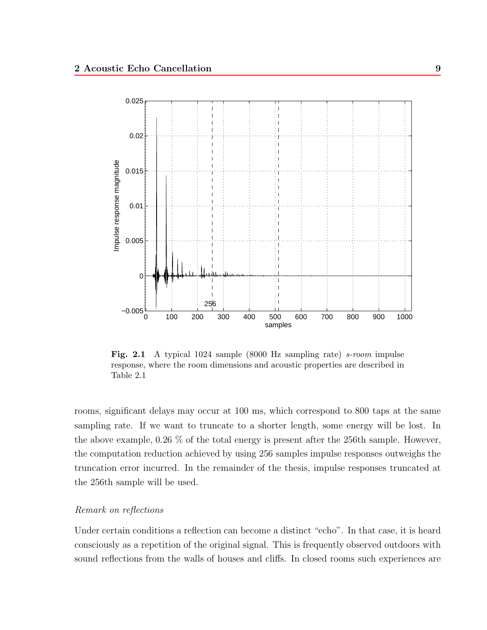

**Fig. 2.1** A typical 1024 sample (8000 Hz sampling rate) *s-room* impulse response, where the room dimensions and acoustic properties are described in Table 2.1

rooms, significant delays may occur at 100 ms, which correspond to 800 taps at the same sampling rate. If we want to truncate to a shorter length, some energy will be lost. In the above example, 0.26 % of the total energy is present after the 256th sample. However, the computation reduction achieved by using 256 samples impulse responses outweighs the truncation error incurred. In the remainder of the thesis, impulse responses truncated at the 256th sample will be used.

#### *Remark on reflections*

Under certain conditions a reflection can become a distinct "echo". In that case, it is heard consciously as a repetition of the original signal. This is frequently observed outdoors with sound reflections from the walls of houses and cliffs. In closed rooms such experiences are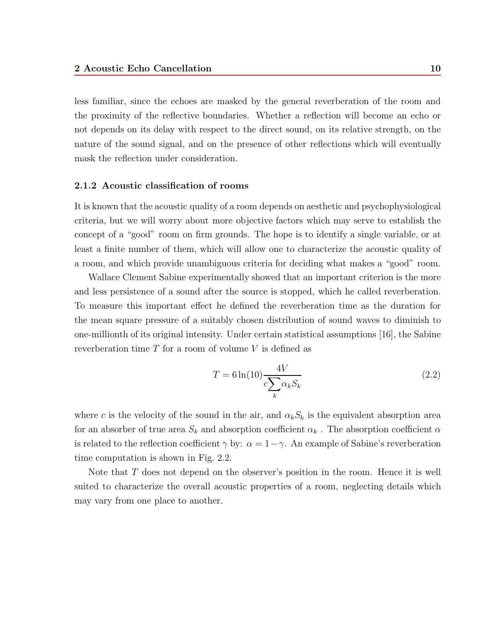less familiar, since the echoes are masked by the general reverberation of the room and the proximity of the reflective boundaries. Whether a reflection will become an echo or not depends on its delay with respect to the direct sound, on its relative strength, on the nature of the sound signal, and on the presence of other reflections which will eventually mask the reflection under consideration.

#### **2.1.2 Acoustic classification of rooms**

It is known that the acoustic quality of a room depends on aesthetic and psychophysiological criteria, but we will worry about more objective factors which may serve to establish the concept of a "good" room on firm grounds. The hope is to identify a single variable, or at least a finite number of them, which will allow one to characterize the acoustic quality of a room, and which provide unambiguous criteria for deciding what makes a "good" room.

Wallace Clement Sabine experimentally showed that an important criterion is the more and less persistence of a sound after the source is stopped, which he called reverberation. To measure this important effect he defined the reverberation time as the duration for the mean square pressure of a suitably chosen distribution of sound waves to diminish to one-millionth of its original intensity. Under certain statistical assumptions  $[16]$ , the Sabine reverberation time  $T$  for a room of volume  $V$  is defined as

$$
T = 6\ln(10)\frac{4V}{c\sum_{k}\alpha_{k}S_{k}}
$$
\n(2.2)

where c is the velocity of the sound in the air, and  $\alpha_k S_k$  is the equivalent absorption area for an absorber of true area  $S_k$  and absorption coefficient  $\alpha_k$ . The absorption coefficient  $\alpha$ is related to the reflection coefficient  $\gamma$  by:  $\alpha = 1 - \gamma$ . An example of Sabine's reverberation time computation is shown in Fig. 2.2.

Note that T does not depend on the observer's position in the room. Hence it is well suited to characterize the overall acoustic properties of a room, neglecting details which may vary from one place to another.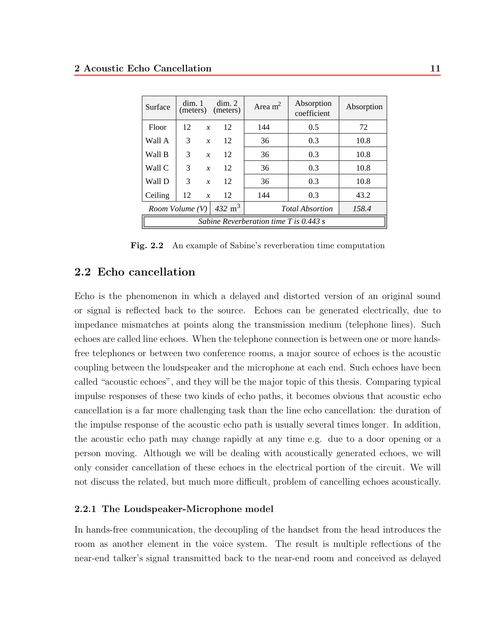| Surface                                  | dim. 1<br>(meters)                            |                  | dim. 2<br>(meters) | Area $m2$ | Absorption<br>coefficient | Absorption |
|------------------------------------------|-----------------------------------------------|------------------|--------------------|-----------|---------------------------|------------|
| Floor                                    | 12                                            | $\boldsymbol{x}$ | 12                 | 144       | 0.5                       | 72         |
| Wall A                                   | 3                                             | $\boldsymbol{x}$ | 12                 | 36        | 0.3                       | 10.8       |
| Wall B                                   | 3                                             | $\boldsymbol{x}$ | 12                 | 36        | 0.3                       | 10.8       |
| Wall C                                   | 3                                             | $\boldsymbol{x}$ | 12                 | 36        | 0.3                       | 10.8       |
| Wall D                                   | 3                                             | $\boldsymbol{x}$ | 12                 | 36        | 0.3                       | 10.8       |
| Ceiling                                  | 12                                            | $\boldsymbol{x}$ | 12                 | 144       | 0.3                       | 43.2       |
|                                          | $432 \text{ m}^3$<br><i>Room Volume</i> $(V)$ |                  |                    |           | <b>Total Absortion</b>    | 158.4      |
| Sabine Reverberation time $T$ is 0.443 s |                                               |                  |                    |           |                           |            |

**Fig. 2.2** An example of Sabine's reverberation time computation

### **2.2 Echo cancellation**

Echo is the phenomenon in which a delayed and distorted version of an original sound or signal is reflected back to the source. Echoes can be generated electrically, due to impedance mismatches at points along the transmission medium (telephone lines). Such echoes are called line echoes. When the telephone connection is between one or more handsfree telephones or between two conference rooms, a major source of echoes is the acoustic coupling between the loudspeaker and the microphone at each end. Such echoes have been called "acoustic echoes", and they will be the major topic of this thesis. Comparing typical impulse responses of these two kinds of echo paths, it becomes obvious that acoustic echo cancellation is a far more challenging task than the line echo cancellation: the duration of the impulse response of the acoustic echo path is usually several times longer. In addition, the acoustic echo path may change rapidly at any time e.g. due to a door opening or a person moving. Although we will be dealing with acoustically generated echoes, we will only consider cancellation of these echoes in the electrical portion of the circuit. We will not discuss the related, but much more difficult, problem of cancelling echoes acoustically.

#### **2.2.1 The Loudspeaker-Microphone model**

In hands-free communication, the decoupling of the handset from the head introduces the room as another element in the voice system. The result is multiple reflections of the near-end talker's signal transmitted back to the near-end room and conceived as delayed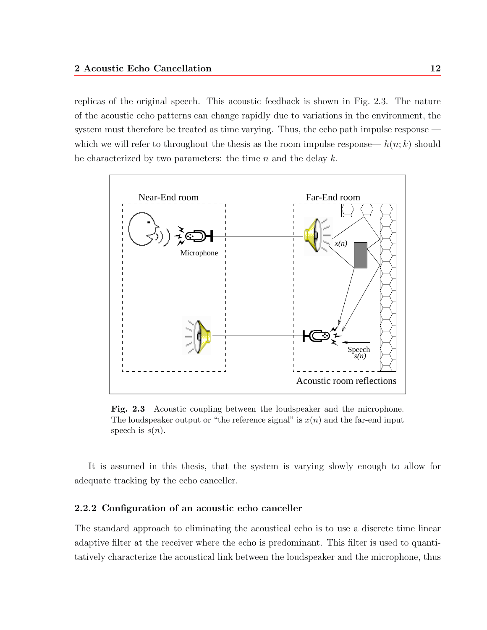replicas of the original speech. This acoustic feedback is shown in Fig. 2.3. The nature of the acoustic echo patterns can change rapidly due to variations in the environment, the system must therefore be treated as time varying. Thus, the echo path impulse response which we will refer to throughout the thesis as the room impulse response—  $h(n; k)$  should be characterized by two parameters: the time  $n$  and the delay  $k$ .



**Fig. 2.3** Acoustic coupling between the loudspeaker and the microphone. The loudspeaker output or "the reference signal" is  $x(n)$  and the far-end input speech is  $s(n)$ .

It is assumed in this thesis, that the system is varying slowly enough to allow for adequate tracking by the echo canceller.

#### **2.2.2 Configuration of an acoustic echo canceller**

The standard approach to eliminating the acoustical echo is to use a discrete time linear adaptive filter at the receiver where the echo is predominant. This filter is used to quantitatively characterize the acoustical link between the loudspeaker and the microphone, thus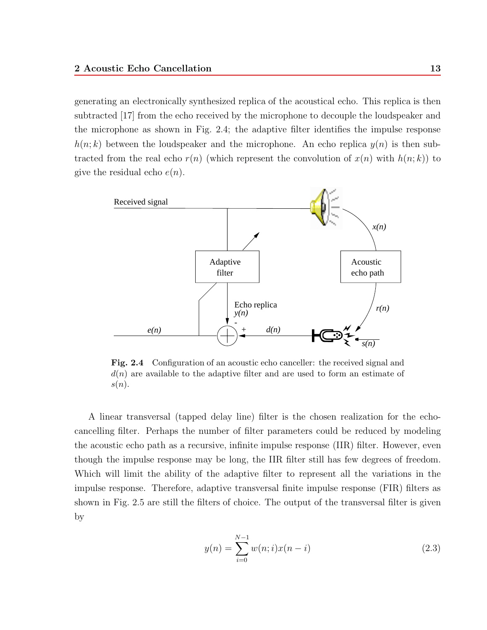generating an electronically synthesized replica of the acoustical echo. This replica is then subtracted [17] from the echo received by the microphone to decouple the loudspeaker and the microphone as shown in Fig. 2.4; the adaptive filter identifies the impulse response  $h(n; k)$  between the loudspeaker and the microphone. An echo replica  $y(n)$  is then subtracted from the real echo  $r(n)$  (which represent the convolution of  $x(n)$  with  $h(n; k)$ ) to give the residual echo  $e(n)$ .



**Fig. 2.4** Configuration of an acoustic echo canceller: the received signal and  $d(n)$  are available to the adaptive filter and are used to form an estimate of  $s(n).$ 

A linear transversal (tapped delay line) filter is the chosen realization for the echocancelling filter. Perhaps the number of filter parameters could be reduced by modeling the acoustic echo path as a recursive, infinite impulse response (IIR) filter. However, even though the impulse response may be long, the IIR filter still has few degrees of freedom. Which will limit the ability of the adaptive filter to represent all the variations in the impulse response. Therefore, adaptive transversal finite impulse response (FIR) filters as shown in Fig. 2.5 are still the filters of choice. The output of the transversal filter is given by

$$
y(n) = \sum_{i=0}^{N-1} w(n;i)x(n-i)
$$
 (2.3)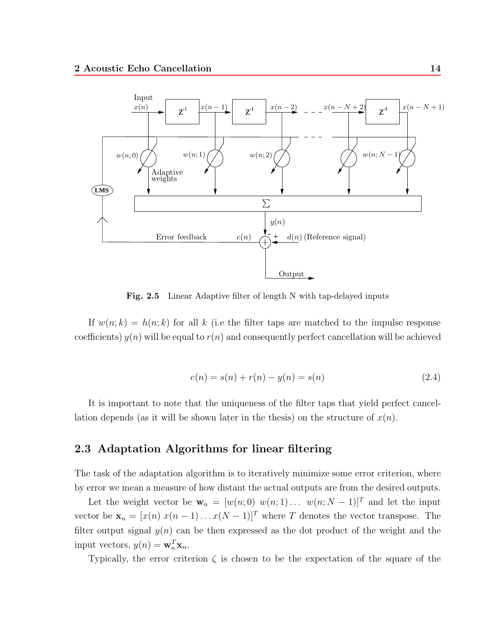

Fig. 2.5 Linear Adaptive filter of length N with tap-delayed inputs

If  $w(n; k) = h(n; k)$  for all k (i.e the filter taps are matched to the impulse response coefficients)  $y(n)$  will be equal to  $r(n)$  and consequently perfect cancellation will be achieved

$$
e(n) = s(n) + r(n) - y(n) = s(n)
$$
\n(2.4)

It is important to note that the uniqueness of the filter taps that yield perfect cancellation depends (as it will be shown later in the thesis) on the structure of  $x(n)$ .

### **2.3Adaptation Algorithms for linear filtering**

The task of the adaptation algorithm is to iteratively minimize some error criterion, where by error we mean a measure of how distant the actual outputs are from the desired outputs.

Let the weight vector be  $\mathbf{w}_n = [w(n;0) \ w(n;1) \dots \ w(n;N-1)]^T$  and let the input vector be  $\mathbf{x}_n = [x(n) \ x(n-1) \dots x(N-1)]^T$  where T denotes the vector transpose. The filter output signal  $y(n)$  can be then expressed as the dot product of the weight and the input vectors,  $y(n) = \mathbf{w}_n^T \mathbf{x}_n$ .

Typically, the error criterion  $\zeta$  is chosen to be the expectation of the square of the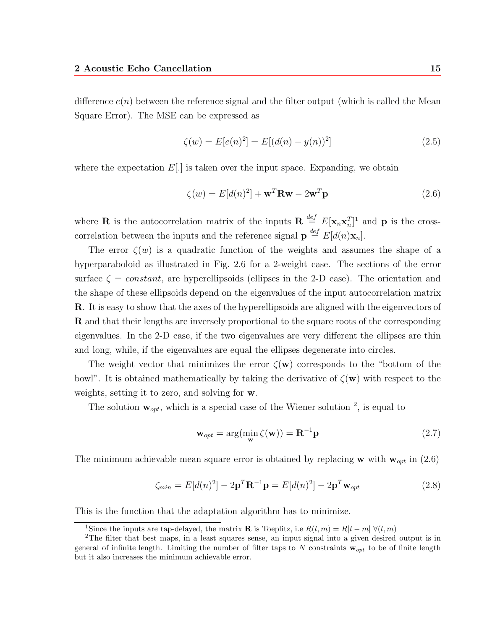difference  $e(n)$  between the reference signal and the filter output (which is called the Mean Square Error). The MSE can be expressed as

$$
\zeta(w) = E[e(n)^2] = E[(d(n) - y(n))^2]
$$
\n(2.5)

where the expectation  $E(.)$  is taken over the input space. Expanding, we obtain

$$
\zeta(w) = E[d(n)^2] + \mathbf{w}^T \mathbf{R} \mathbf{w} - 2\mathbf{w}^T \mathbf{p}
$$
\n(2.6)

where **R** is the autocorrelation matrix of the inputs  $\mathbf{R} \stackrel{def}{=} E[\mathbf{x}_n \mathbf{x}_n^T]^1$  and **p** is the crosscorrelation between the inputs and the reference signal  $\mathbf{p} \stackrel{def}{=} E[d(n)\mathbf{x}_n].$ 

The error  $\zeta(w)$  is a quadratic function of the weights and assumes the shape of a hyperparaboloid as illustrated in Fig. 2.6 for a 2-weight case. The sections of the error surface  $\zeta = constant$ , are hyperellipsoids (ellipses in the 2-D case). The orientation and the shape of these ellipsoids depend on the eigenvalues of the input autocorrelation matrix **R**. It is easy to show that the axes of the hyperellipsoids are aligned with the eigenvectors of **R** and that their lengths are inversely proportional to the square roots of the corresponding eigenvalues. In the 2-D case, if the two eigenvalues are very different the ellipses are thin and long, while, if the eigenvalues are equal the ellipses degenerate into circles.

The weight vector that minimizes the error  $\zeta(\mathbf{w})$  corresponds to the "bottom of the bowl". It is obtained mathematically by taking the derivative of  $\zeta(\mathbf{w})$  with respect to the weights, setting it to zero, and solving for **w**.

The solution  $\mathbf{w}_{opt}$ , which is a special case of the Wiener solution  $^2$ , is equal to

$$
\mathbf{w}_{opt} = \arg(\min_{\mathbf{w}} \zeta(\mathbf{w})) = \mathbf{R}^{-1} \mathbf{p}
$$
 (2.7)

The minimum achievable mean square error is obtained by replacing **w** with  $\mathbf{w}_{opt}$  in (2.6)

$$
\zeta_{min} = E[d(n)^2] - 2\mathbf{p}^T \mathbf{R}^{-1} \mathbf{p} = E[d(n)^2] - 2\mathbf{p}^T \mathbf{w}_{opt}
$$
\n(2.8)

This is the function that the adaptation algorithm has to minimize.

<sup>&</sup>lt;sup>1</sup>Since the inputs are tap-delayed, the matrix **R** is Toeplitz, i.e  $R(l, m) = R|l - m| \forall (l, m)$ 

<sup>2</sup>The filter that best maps, in a least squares sense, an input signal into a given desired output is in general of infinite length. Limiting the number of filter taps to N constraints  $\mathbf{w}_{opt}$  to be of finite length but it also increases the minimum achievable error.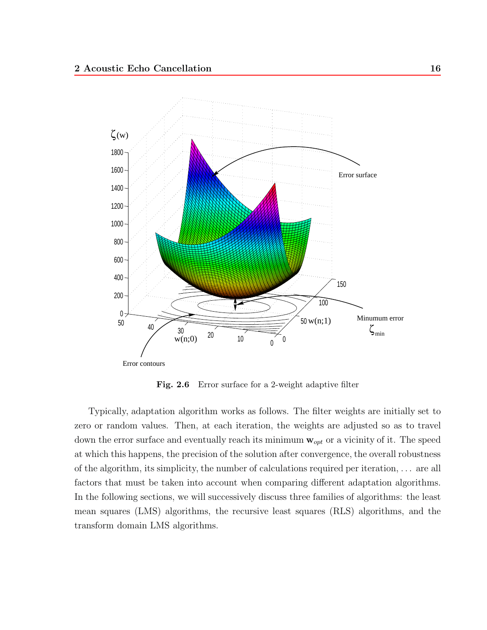

Fig. 2.6 Error surface for a 2-weight adaptive filter

Typically, adaptation algorithm works as follows. The filter weights are initially set to zero or random values. Then, at each iteration, the weights are adjusted so as to travel down the error surface and eventually reach its minimum  $w_{opt}$  or a vicinity of it. The speed at which this happens, the precision of the solution after convergence, the overall robustness of the algorithm, its simplicity, the number of calculations required per iteration, ... are all factors that must be taken into account when comparing different adaptation algorithms. In the following sections, we will successively discuss three families of algorithms: the least mean squares (LMS) algorithms, the recursive least squares (RLS) algorithms, and the transform domain LMS algorithms.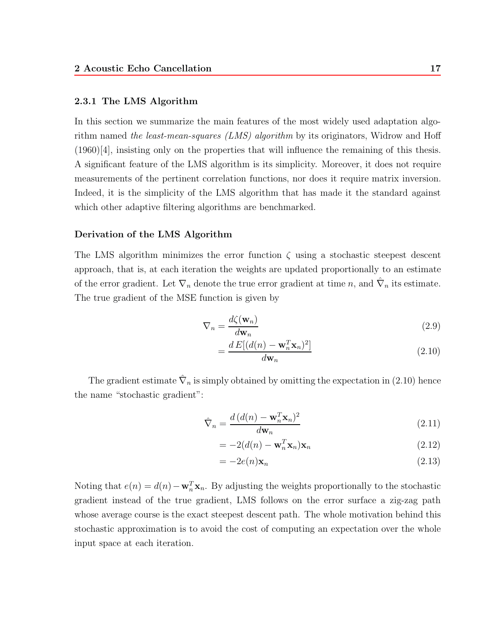#### **2.3.1 The LMS Algorithm**

In this section we summarize the main features of the most widely used adaptation algorithm named *the least-mean-squares (LMS) algorithm* by its originators, Widrow and Hoff (1960)[4], insisting only on the properties that will influence the remaining of this thesis. A significant feature of the LMS algorithm is its simplicity. Moreover, it does not require measurements of the pertinent correlation functions, nor does it require matrix inversion. Indeed, it is the simplicity of the LMS algorithm that has made it the standard against which other adaptive filtering algorithms are benchmarked.

#### **Derivation of the LMS Algorithm**

The LMS algorithm minimizes the error function  $\zeta$  using a stochastic steepest descent approach, that is, at each iteration the weights are updated proportionally to an estimate of the error gradient. Let  $\nabla_n$  denote the true error gradient at time n, and  $\hat{\nabla}_n$  its estimate. The true gradient of the MSE function is given by

$$
\nabla_n = \frac{d\zeta(\mathbf{w}_n)}{d\mathbf{w}_n} \tag{2.9}
$$

$$
=\frac{d E[(d(n) - \mathbf{w}_n^T \mathbf{x}_n)^2]}{d \mathbf{w}_n}
$$
\n(2.10)

The gradient estimate  $\hat{\nabla}_n$  is simply obtained by omitting the expectation in (2.10) hence the name "stochastic gradient":

$$
\hat{\nabla}_n = \frac{d\left(d(n) - \mathbf{w}_n^T \mathbf{x}_n\right)^2}{d\mathbf{w}_n} \tag{2.11}
$$

$$
= -2(d(n) - \mathbf{w}_n^T \mathbf{x}_n) \mathbf{x}_n \tag{2.12}
$$

$$
= -2e(n)\mathbf{x}_n \tag{2.13}
$$

Noting that  $e(n) = d(n) - \mathbf{w}_n^T \mathbf{x}_n$ . By adjusting the weights proportionally to the stochastic gradient instead of the true gradient, LMS follows on the error surface a zig-zag path whose average course is the exact steepest descent path. The whole motivation behind this stochastic approximation is to avoid the cost of computing an expectation over the whole input space at each iteration.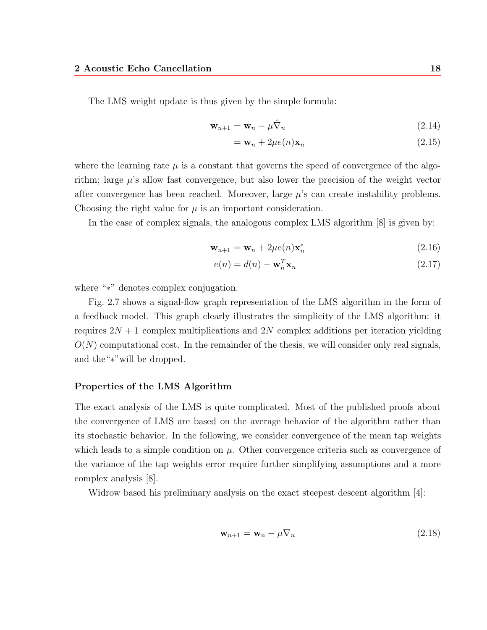The LMS weight update is thus given by the simple formula:

$$
\mathbf{w}_{n+1} = \mathbf{w}_n - \mu \hat{\nabla}_n \tag{2.14}
$$

$$
= \mathbf{w}_n + 2\mu e(n)\mathbf{x}_n \tag{2.15}
$$

where the learning rate  $\mu$  is a constant that governs the speed of convergence of the algorithm; large  $\mu$ 's allow fast convergence, but also lower the precision of the weight vector after convergence has been reached. Moreover, large  $\mu$ 's can create instability problems. Choosing the right value for  $\mu$  is an important consideration.

In the case of complex signals, the analogous complex LMS algorithm [8] is given by:

$$
\mathbf{w}_{n+1} = \mathbf{w}_n + 2\mu e(n)\mathbf{x}_n^* \tag{2.16}
$$

$$
e(n) = d(n) - \mathbf{w}_n^T \mathbf{x}_n
$$
\n(2.17)

where "∗" denotes complex conjugation.

Fig. 2.7 shows a signal-flow graph representation of the LMS algorithm in the form of a feedback model. This graph clearly illustrates the simplicity of the LMS algorithm: it requires  $2N + 1$  complex multiplications and  $2N$  complex additions per iteration yielding  $O(N)$  computational cost. In the remainder of the thesis, we will consider only real signals, and the"∗"will be dropped.

#### **Properties of the LMS Algorithm**

The exact analysis of the LMS is quite complicated. Most of the published proofs about the convergence of LMS are based on the average behavior of the algorithm rather than its stochastic behavior. In the following, we consider convergence of the mean tap weights which leads to a simple condition on  $\mu$ . Other convergence criteria such as convergence of the variance of the tap weights error require further simplifying assumptions and a more complex analysis [8].

Widrow based his preliminary analysis on the exact steepest descent algorithm [4]:

$$
\mathbf{w}_{n+1} = \mathbf{w}_n - \mu \nabla_n \tag{2.18}
$$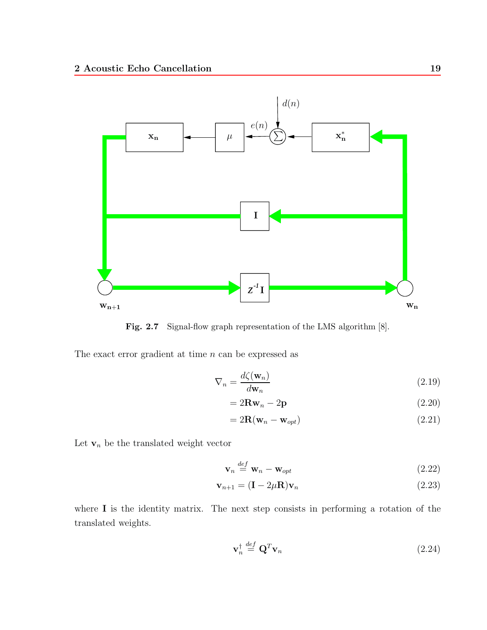

Fig. 2.7 Signal-flow graph representation of the LMS algorithm [8].

The exact error gradient at time  $n$  can be expressed as

$$
\nabla_n = \frac{d\zeta(\mathbf{w}_n)}{d\mathbf{w}_n} \tag{2.19}
$$

$$
=2\mathbf{R}\mathbf{w}_n-2\mathbf{p}\tag{2.20}
$$

$$
=2\mathbf{R}(\mathbf{w}_n-\mathbf{w}_{opt})
$$
\n(2.21)

Let  $\mathbf{v}_n$  be the translated weight vector

$$
\mathbf{v}_n \stackrel{def}{=} \mathbf{w}_n - \mathbf{w}_{opt} \tag{2.22}
$$

$$
\mathbf{v}_{n+1} = (\mathbf{I} - 2\mu \mathbf{R}) \mathbf{v}_n \tag{2.23}
$$

where **I** is the identity matrix. The next step consists in performing a rotation of the translated weights.

$$
\mathbf{v}_n^{\dagger} \stackrel{def}{=} \mathbf{Q}^T \mathbf{v}_n \tag{2.24}
$$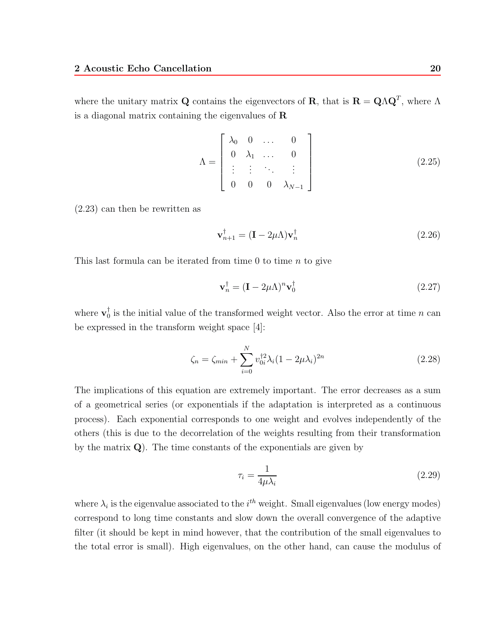where the unitary matrix **Q** contains the eigenvectors of **R**, that is  $\mathbf{R} = \mathbf{Q}\Lambda\mathbf{Q}^T$ , where  $\Lambda$ is a diagonal matrix containing the eigenvalues of **R**

$$
\Lambda = \begin{bmatrix} \lambda_0 & 0 & \dots & 0 \\ 0 & \lambda_1 & \dots & 0 \\ \vdots & \vdots & \ddots & \vdots \\ 0 & 0 & 0 & \lambda_{N-1} \end{bmatrix}
$$
 (2.25)

(2.23) can then be rewritten as

$$
\mathbf{v}_{n+1}^{\dagger} = (\mathbf{I} - 2\mu \Lambda) \mathbf{v}_n^{\dagger}
$$
 (2.26)

This last formula can be iterated from time 0 to time  $n$  to give

$$
\mathbf{v}_n^\dagger = (\mathbf{I} - 2\mu \Lambda)^n \mathbf{v}_0^\dagger \tag{2.27}
$$

where  $\mathbf{v}_0^{\mathsf{T}}$  is the initial value of the transformed weight vector. Also the error at time n can be expressed in the transform weight space [4]:

$$
\zeta_n = \zeta_{\min} + \sum_{i=0}^{N} v_{0i}^{\dagger 2} \lambda_i (1 - 2\mu \lambda_i)^{2n}
$$
\n(2.28)

The implications of this equation are extremely important. The error decreases as a sum of a geometrical series (or exponentials if the adaptation is interpreted as a continuous process). Eachexponential corresponds to one weight and evolves independently of the others (this is due to the decorrelation of the weights resulting from their transformation by the matrix **Q**). The time constants of the exponentials are given by

$$
\tau_i = \frac{1}{4\mu\lambda_i} \tag{2.29}
$$

where  $\lambda_i$  is the eigenvalue associated to the  $i^{th}$  weight. Small eigenvalues (low energy modes) correspond to long time constants and slow down the overall convergence of the adaptive filter (it should be kept in mind however, that the contribution of the small eigenvalues to the total error is small). High eigenvalues, on the other hand, can cause the modulus of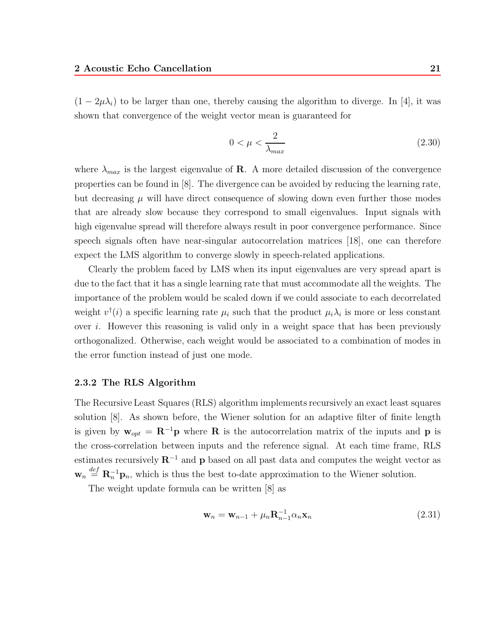$(1 - 2\mu\lambda_i)$  to be larger than one, thereby causing the algorithm to diverge. In [4], it was shown that convergence of the weight vector mean is guaranteed for

$$
0 < \mu < \frac{2}{\lambda_{max}} \tag{2.30}
$$

where  $\lambda_{max}$  is the largest eigenvalue of **R**. A more detailed discussion of the convergence properties can be found in [8]. The divergence can be avoided by reducing the learning rate, but decreasing  $\mu$  will have direct consequence of slowing down even further those modes that are already slow because they correspond to small eigenvalues. Input signals with high eigenvalue spread will therefore always result in poor convergence performance. Since speech signals often have near-singular autocorrelation matrices [18], one can therefore expect the LMS algorithm to converge slowly in speech-related applications.

Clearly the problem faced by LMS when its input eigenvalues are very spread apart is due to the fact that it has a single learning rate that must accommodate all the weights. The importance of the problem would be scaled down if we could associate to each decorrelated weight  $v^{\dagger}(i)$  a specific learning rate  $\mu_i$  such that the product  $\mu_i \lambda_i$  is more or less constant over i. However this reasoning is valid only in a weight space that has been previously orthogonalized. Otherwise, each weight would be associated to a combination of modes in the error function instead of just one mode.

#### **2.3.2 The RLS Algorithm**

The Recursive Least Squares (RLS) algorithm implements recursively an exact least squares solution [8]. As shown before, the Wiener solution for an adaptive filter of finite length is given by  $\mathbf{w}_{opt} = \mathbf{R}^{-1} \mathbf{p}$  where **R** is the autocorrelation matrix of the inputs and **p** is the cross-correlation between inputs and the reference signal. At each time frame, RLS estimates recursively **R**−<sup>1</sup> and **p** based on all past data and computes the weight vector as  $\mathbf{w}_n \stackrel{def}{=} \mathbf{R}_n^{-1} \mathbf{p}_n$ , which is thus the best to-date approximation to the Wiener solution.

The weight update formula can be written [8] as

$$
\mathbf{w}_n = \mathbf{w}_{n-1} + \mu_n \mathbf{R}_{n-1}^{-1} \alpha_n \mathbf{x}_n \tag{2.31}
$$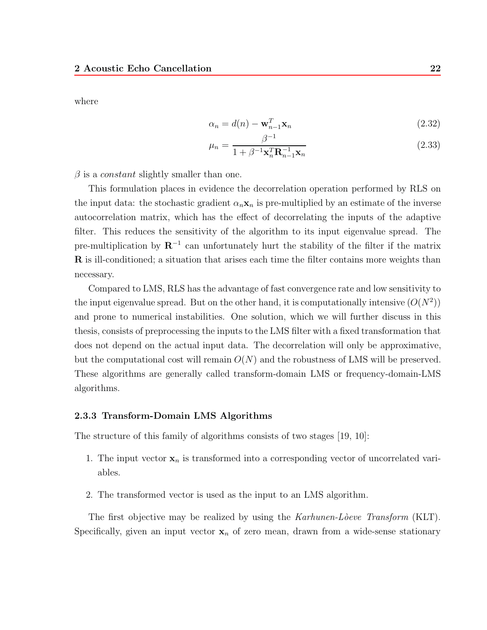where

$$
\alpha_n = d(n) - \mathbf{w}_{n-1}^T \mathbf{x}_n \tag{2.32}
$$

$$
\mu_n = \frac{\beta^{-1}}{1 + \beta^{-1} \mathbf{x}_n^T \mathbf{R}_{n-1}^{-1} \mathbf{x}_n}
$$
(2.33)

 $\beta$  is a *constant* slightly smaller than one.

This formulation places in evidence the decorrelation operation performed by RLS on the input data: the stochastic gradient  $\alpha_n \mathbf{x}_n$  is pre-multiplied by an estimate of the inverse autocorrelation matrix, which has the effect of decorrelating the inputs of the adaptive filter. This reduces the sensitivity of the algorithm to its input eigenvalue spread. The pre-multiplication by  $\mathbb{R}^{-1}$  can unfortunately hurt the stability of the filter if the matrix **R** is ill-conditioned; a situation that arises each time the filter contains more weights than necessary.

Compared to LMS, RLS has the advantage of fast convergence rate and low sensitivity to the input eigenvalue spread. But on the other hand, it is computationally intensive  $(O(N^2))$ and prone to numerical instabilities. One solution, which we will further discuss in this thesis, consists of preprocessing the inputs to the LMS filter with a fixed transformation that does not depend on the actual input data. The decorrelation will only be approximative, but the computational cost will remain  $O(N)$  and the robustness of LMS will be preserved. These algorithms are generally called transform-domain LMS or frequency-domain-LMS algorithms.

#### **2.3.3 Transform-Domain LMS Algorithms**

The structure of this family of algorithms consists of two stages [19, 10]:

- 1. The input vector  $x_n$  is transformed into a corresponding vector of uncorrelated variables.
- 2. The transformed vector is used as the input to an LMS algorithm.

The first objective may be realized by using the *Karhunen-Loeve Transform* (KLT). Specifically, given an input vector  $x_n$  of zero mean, drawn from a wide-sense stationary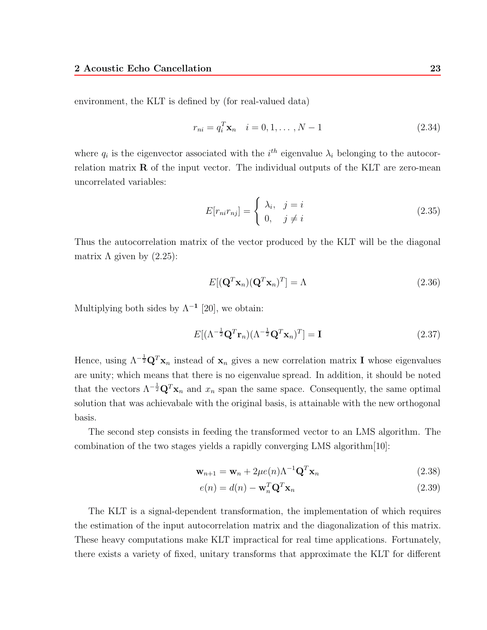environment, the KLT is defined by (for real-valued data)

$$
r_{ni} = q_i^T \mathbf{x}_n \quad i = 0, 1, \dots, N - 1 \tag{2.34}
$$

where  $q_i$  is the eigenvector associated with the  $i^{th}$  eigenvalue  $\lambda_i$  belonging to the autocorrelation matrix  $\bf{R}$  of the input vector. The individual outputs of the KLT are zero-mean uncorrelated variables:

$$
E[r_{ni}r_{nj}] = \begin{cases} \lambda_i, & j = i \\ 0, & j \neq i \end{cases}
$$
 (2.35)

Thus the autocorrelation matrix of the vector produced by the KLT will be the diagonal matrix  $\Lambda$  given by  $(2.25)$ :

$$
E[(\mathbf{Q}^T \mathbf{x}_n)(\mathbf{Q}^T \mathbf{x}_n)^T] = \Lambda
$$
\n(2.36)

Multiplying both sides by  $\Lambda^{-1}$  [20], we obtain:

$$
E[(\Lambda^{-\frac{1}{2}}\mathbf{Q}^T\mathbf{r}_n)(\Lambda^{-\frac{1}{2}}\mathbf{Q}^T\mathbf{x}_n)^T] = \mathbf{I}
$$
\n(2.37)

Hence, using  $\Lambda^{-\frac{1}{2}} \mathbf{Q}^T \mathbf{x}_n$  instead of  $\mathbf{x}_n$  gives a new correlation matrix **I** whose eigenvalues are unity; which means that there is no eigenvalue spread. In addition, it should be noted that the vectors  $\Lambda^{-\frac{1}{2}} \mathbf{Q}^T \mathbf{x}_n$  and  $x_n$  span the same space. Consequently, the same optimal solution that was achievabale with the original basis, is attainable with the new orthogonal basis.

The second step consists in feeding the transformed vector to an LMS algorithm. The combination of the two stages yields a rapidly converging LMS algorithm[10]:

$$
\mathbf{w}_{n+1} = \mathbf{w}_n + 2\mu e(n)\Lambda^{-1}\mathbf{Q}^T\mathbf{x}_n
$$
\n(2.38)

$$
e(n) = d(n) - \mathbf{w}_n^T \mathbf{Q}^T \mathbf{x}_n
$$
\n(2.39)

The KLT is a signal-dependent transformation, the implementation of which requires the estimation of the input autocorrelation matrix and the diagonalization of this matrix. These heavy computations make KLT impractical for real time applications. Fortunately, there exists a variety of fixed, unitary transforms that approximate the KLT for different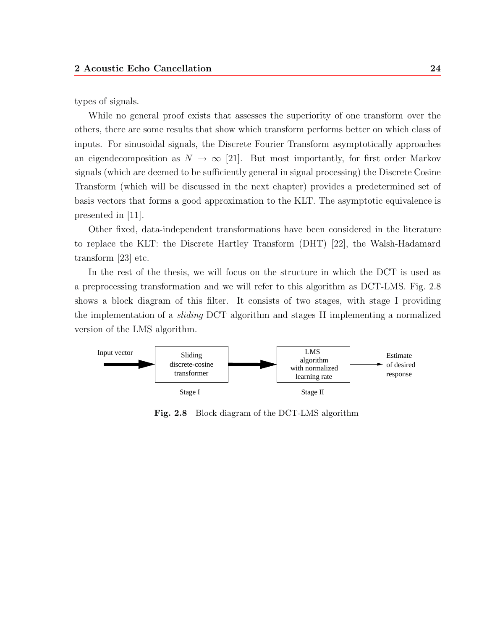types of signals.

While no general proof exists that assesses the superiority of one transform over the others, there are some results that show which transform performs better on which class of inputs. For sinusoidal signals, the Discrete Fourier Transform asymptotically approaches an eigendecomposition as  $N \to \infty$  [21]. But most importantly, for first order Markov signals (which are deemed to be sufficiently general in signal processing) the Discrete Cosine Transform (which will be discussed in the next chapter) provides a predetermined set of basis vectors that forms a good approximation to the KLT. The asymptotic equivalence is presented in [11].

Other fixed, data-independent transformations have been considered in the literature to replace the KLT: the Discrete Hartley Transform (DHT) [22], the Walsh-Hadamard transform [23] etc.

In the rest of the thesis, we will focus on the structure in which the DCT is used as a preprocessing transformation and we will refer to this algorithm as DCT-LMS. Fig. 2.8 shows a block diagram of this filter. It consists of two stages, with stage I providing the implementation of a *sliding* DCT algorithm and stages II implementing a normalized version of the LMS algorithm.



**Fig. 2.8** Block diagram of the DCT-LMS algorithm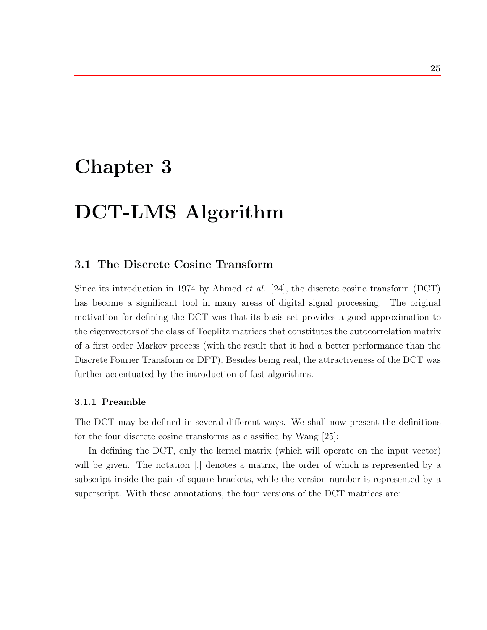# **Chapter 3**

# **DCT-LMS Algorithm**

### **3.1 The Discrete Cosine Transform**

Since its introduction in 1974 by Ahmed *et al.* [24], the discrete cosine transform (DCT) has become a significant tool in many areas of digital signal processing. The original motivation for defining the DCT was that its basis set provides a good approximation to the eigenvectors of the class of Toeplitz matrices that constitutes the autocorrelation matrix of a first order Markov process (with the result that it had a better performance than the Discrete Fourier Transform or DFT). Besides being real, the attractiveness of the DCT was further accentuated by the introduction of fast algorithms.

#### **3.1.1 Preamble**

The DCT may be defined in several different ways. We shall now present the definitions for the four discrete cosine transforms as classified by Wang [25]:

In defining the DCT, only the kernel matrix (which will operate on the input vector) will be given. The notation [.] denotes a matrix, the order of which is represented by a subscript inside the pair of square brackets, while the version number is represented by a superscript. With these annotations, the four versions of the DCT matrices are: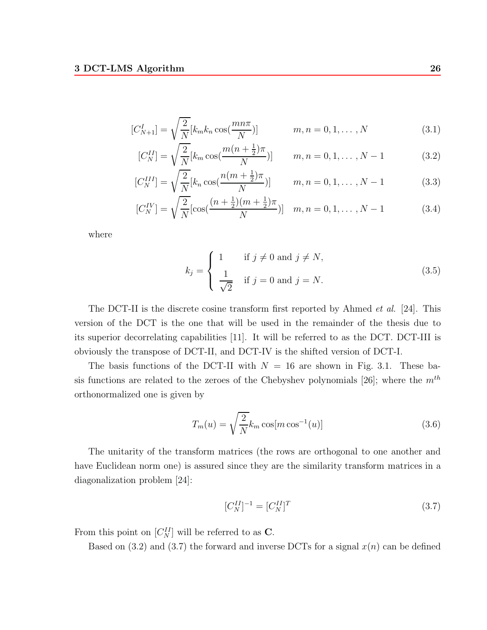$$
[C_{N+1}^I] = \sqrt{\frac{2}{N}} [k_m k_n \cos(\frac{m n \pi}{N})] \qquad m, n = 0, 1, ..., N
$$
 (3.1)

$$
[C_N^{II}] = \sqrt{\frac{2}{N}} [k_m \cos(\frac{m(n + \frac{1}{2})\pi}{N})] \qquad m, n = 0, 1, \dots, N - 1
$$
 (3.2)

$$
[C_N^{III}] = \sqrt{\frac{2}{N}} [k_n \cos(\frac{n(m + \frac{1}{2})\pi}{N})] \qquad m, n = 0, 1, ..., N - 1
$$
 (3.3)

$$
[C_N^{IV}] = \sqrt{\frac{2}{N}} [\cos(\frac{(n+\frac{1}{2})(m+\frac{1}{2})\pi}{N})] \quad m, n = 0, 1, \dots, N-1
$$
 (3.4)

where

$$
k_j = \begin{cases} 1 & \text{if } j \neq 0 \text{ and } j \neq N, \\ \frac{1}{\sqrt{2}} & \text{if } j = 0 \text{ and } j = N. \end{cases}
$$
 (3.5)

The DCT-II is the discrete cosine transform first reported by Ahmed *et al.* [24]. This version of the DCT is the one that will be used in the remainder of the thesis due to its superior decorrelating capabilities [11]. It will be referred to as the DCT. DCT-III is obviously the transpose of DCT-II, and DCT-IV is the shifted version of DCT-I.

The basis functions of the DCT-II with  $N = 16$  are shown in Fig. 3.1. These basis functions are related to the zeroes of the Chebyshev polynomials [26]; where the  $m<sup>th</sup>$ orthonormalized one is given by

$$
T_m(u) = \sqrt{\frac{2}{N}} k_m \cos[m \cos^{-1}(u)]
$$
\n(3.6)

The unitarity of the transform matrices (the rows are orthogonal to one another and have Euclidean norm one) is assured since they are the similarity transform matrices in a diagonalization problem [24]:

$$
[C_N^{II}]^{-1} = [C_N^{II}]^T
$$
\n(3.7)

From this point on  $[C_N^H]$  will be referred to as **C**.

Based on  $(3.2)$  and  $(3.7)$  the forward and inverse DCTs for a signal  $x(n)$  can be defined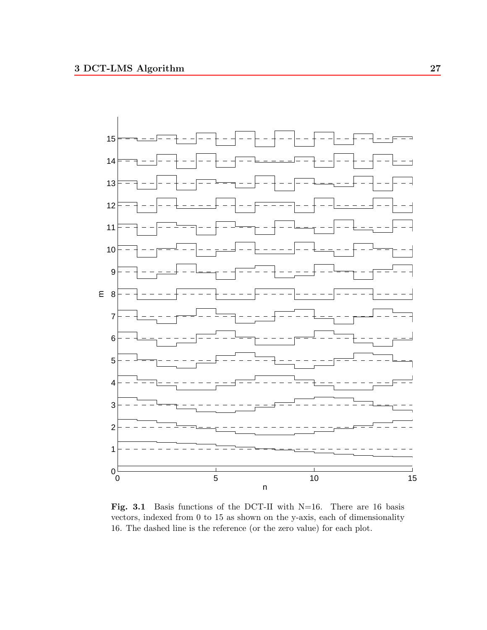

Fig. 3.1 Basis functions of the DCT-II with N=16. There are 16 basis vectors, indexed from 0 to 15 as shown on the y-axis, each of dimensionality 16. The dashed line is the reference (or the zero value) for each plot.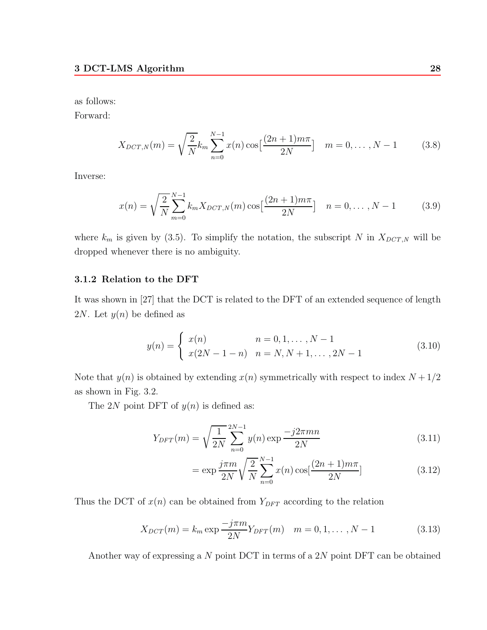as follows:

Forward:

$$
X_{DCT,N}(m) = \sqrt{\frac{2}{N}} k_m \sum_{n=0}^{N-1} x(n) \cos\left[\frac{(2n+1)m\pi}{2N}\right] \quad m = 0, \dots, N-1 \tag{3.8}
$$

Inverse:

$$
x(n) = \sqrt{\frac{2}{N}} \sum_{m=0}^{N-1} k_m X_{DCT,N}(m) \cos\left[\frac{(2n+1)m\pi}{2N}\right] \quad n = 0, \dots, N-1 \tag{3.9}
$$

where  $k_m$  is given by (3.5). To simplify the notation, the subscript N in  $X_{DCT,N}$  will be dropped whenever there is no ambiguity.

#### **3.1.2 Relation to the DFT**

It was shown in [27] that the DCT is related to the DFT of an extended sequence of length 2*N*. Let  $y(n)$  be defined as

$$
y(n) = \begin{cases} x(n) & n = 0, 1, ..., N - 1 \\ x(2N - 1 - n) & n = N, N + 1, ..., 2N - 1 \end{cases}
$$
(3.10)

Note that  $y(n)$  is obtained by extending  $x(n)$  symmetrically with respect to index  $N + 1/2$ as shown in Fig. 3.2.

The 2N point DFT of  $y(n)$  is defined as:

$$
Y_{DFT}(m) = \sqrt{\frac{1}{2N}} \sum_{n=0}^{2N-1} y(n) \exp \frac{-j2\pi mn}{2N}
$$
 (3.11)

$$
= \exp \frac{j\pi m}{2N} \sqrt{\frac{2}{N}} \sum_{n=0}^{N-1} x(n) \cos[\frac{(2n+1)m\pi}{2N}]
$$
\n(3.12)

Thus the DCT of  $x(n)$  can be obtained from  $Y_{DFT}$  according to the relation

$$
X_{DCT}(m) = k_m \exp \frac{-j\pi m}{2N} Y_{DFT}(m) \quad m = 0, 1, ..., N - 1
$$
 (3.13)

Another way of expressing a N point DCT in terms of a 2N point DFT can be obtained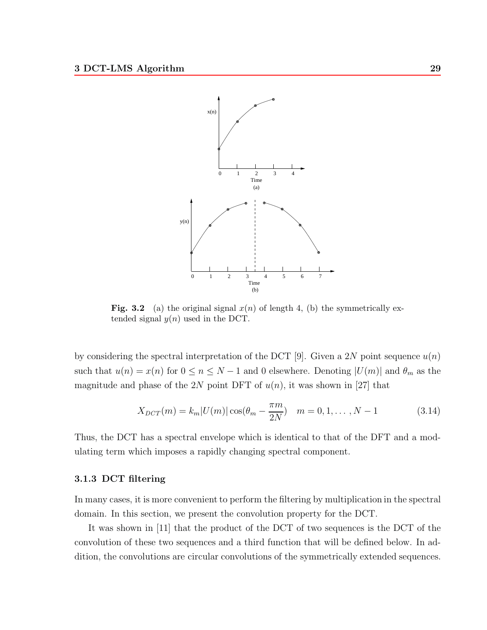

**Fig. 3.2** (a) the original signal  $x(n)$  of length 4, (b) the symmetrically extended signal  $y(n)$  used in the DCT.

by considering the spectral interpretation of the DCT [9]. Given a 2N point sequence  $u(n)$ such that  $u(n) = x(n)$  for  $0 \le n \le N-1$  and 0 elsewhere. Denoting  $|U(m)|$  and  $\theta_m$  as the magnitude and phase of the 2N point DFT of  $u(n)$ , it was shown in [27] that

$$
X_{DCT}(m) = k_m |U(m)| \cos(\theta_m - \frac{\pi m}{2N}) \quad m = 0, 1, ..., N - 1
$$
 (3.14)

Thus, the DCT has a spectral envelope which is identical to that of the DFT and a modulating term which imposes a rapidly changing spectral component.

# **3.1.3 DCT filtering**

In many cases, it is more convenient to perform the filtering by multiplication in the spectral domain. In this section, we present the convolution property for the DCT.

It was shown in [11] that the product of the DCT of two sequences is the DCT of the convolution of these two sequences and a third function that will be defined below. In addition, the convolutions are circular convolutions of the symmetrically extended sequences.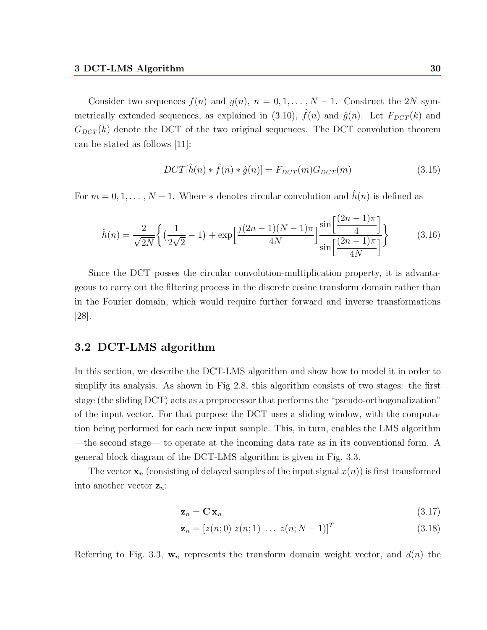Consider two sequences  $f(n)$  and  $g(n)$ ,  $n = 0, 1, \ldots, N-1$ . Construct the 2N symmetrically extended sequences, as explained in (3.10),  $\hat{f}(n)$  and  $\hat{g}(n)$ . Let  $F_{DCT}(k)$  and  $G_{DCT}(k)$  denote the DCT of the two original sequences. The DCT convolution theorem can be stated as follows [11]:

$$
DCT[\hat{h}(n) * \hat{f}(n) * \hat{g}(n)] = F_{DCT}(m)G_{DCT}(m)
$$
\n(3.15)

For  $m = 0, 1, \ldots, N - 1$ . Where  $*$  denotes circular convolution and  $h(n)$  is defined as

$$
\hat{h}(n) = \frac{2}{\sqrt{2N}} \left\{ \left( \frac{1}{2\sqrt{2}} - 1 \right) + \exp\left[ \frac{j(2n-1)(N-1)\pi}{4N} \right] \frac{\sin\left[ \frac{(2n-1)\pi}{4} \right]}{\sin\left[ \frac{(2n-1)\pi}{4N} \right]} \right\}
$$
(3.16)

Since the DCT posses the circular convolution-multiplication property, it is advantageous to carry out the filtering process in the discrete cosine transform domain rather than in the Fourier domain, which would require further forward and inverse transformations [28].

# **3.2 DCT-LMS algorithm**

In this section, we describe the DCT-LMS algorithm and show how to model it in order to simplify its analysis. As shown in Fig 2.8, this algorithm consists of two stages: the first stage (the sliding DCT) acts as a preprocessor that performs the "pseudo-orthogonalization" of the input vector. For that purpose the DCT uses a sliding window, with the computation being performed for each new input sample. This, in turn, enables the LMS algorithm —the second stage— to operate at the incoming data rate as in its conventional form. A general block diagram of the DCT-LMS algorithm is given in Fig. 3.3.

The vector  $\mathbf{x}_n$  (consisting of delayed samples of the input signal  $x(n)$ ) is first transformed into another vector  $z_n$ :

$$
\mathbf{z}_n = \mathbf{C} \mathbf{x}_n \tag{3.17}
$$

$$
\mathbf{z}_n = [z(n;0) \ z(n;1) \ \dots \ z(n;N-1)]^T \tag{3.18}
$$

Referring to Fig. 3.3,  $w_n$  represents the transform domain weight vector, and  $d(n)$  the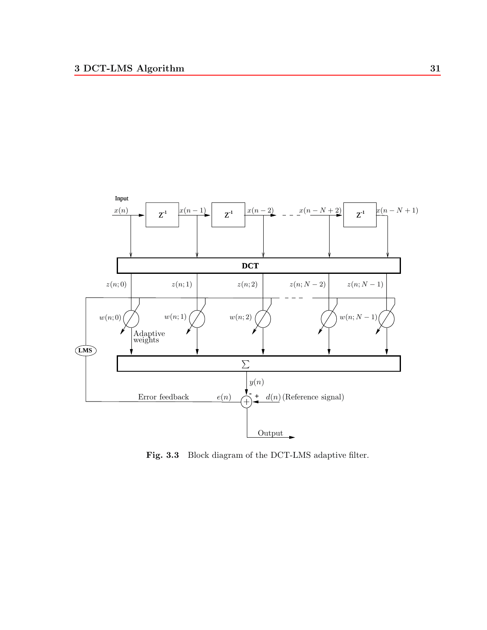

Fig. 3.3 Block diagram of the DCT-LMS adaptive filter.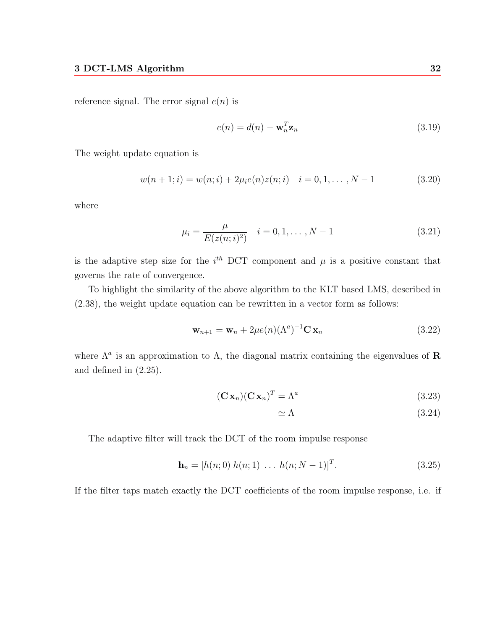reference signal. The error signal  $e(n)$  is

$$
e(n) = d(n) - \mathbf{w}_n^T \mathbf{z}_n \tag{3.19}
$$

The weight update equation is

$$
w(n+1;i) = w(n;i) + 2\mu_i e(n)z(n;i) \quad i = 0, 1, ..., N-1
$$
\n(3.20)

where

$$
\mu_i = \frac{\mu}{E(z(n;i)^2)} \quad i = 0, 1, \dots, N-1 \tag{3.21}
$$

is the adaptive step size for the  $i^{th}$  DCT component and  $\mu$  is a positive constant that governs the rate of convergence.

To highlight the similarity of the above algorithm to the KLT based LMS, described in (2.38), the weight update equation can be rewritten in a vector form as follows:

$$
\mathbf{w}_{n+1} = \mathbf{w}_n + 2\mu e(n) (\Lambda^a)^{-1} \mathbf{C} \mathbf{x}_n \tag{3.22}
$$

where  $\Lambda^a$  is an approximation to  $\Lambda$ , the diagonal matrix containing the eigenvalues of **R** and defined in (2.25).

$$
(\mathbf{C}\mathbf{x}_n)(\mathbf{C}\mathbf{x}_n)^T = \Lambda^a \tag{3.23}
$$

 $\simeq \Lambda$  (3.24)

The adaptive filter will track the DCT of the room impulse response

$$
\mathbf{h}_n = [h(n;0) \; h(n;1) \; \dots \; h(n;N-1)]^T. \tag{3.25}
$$

If the filter taps match exactly the DCT coefficients of the room impulse response, i.e. if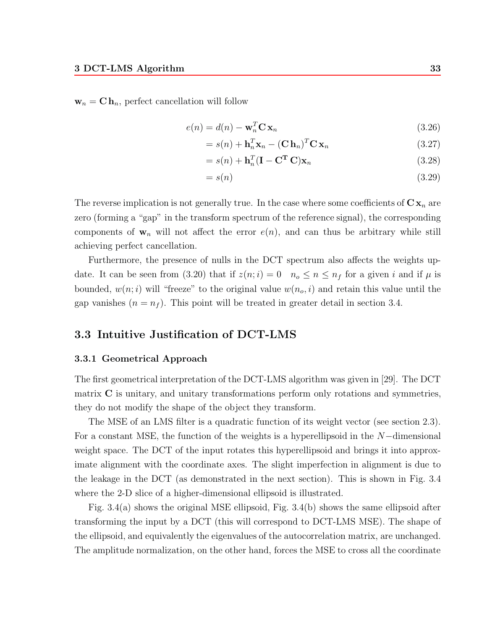$\mathbf{w}_n = \mathbf{C} \, \mathbf{h}_n$ , perfect cancellation will follow

$$
e(n) = d(n) - \mathbf{w}_n^T \mathbf{C} \mathbf{x}_n
$$
\n(3.26)

$$
= s(n) + \mathbf{h}_n^T \mathbf{x}_n - (\mathbf{C} \mathbf{h}_n)^T \mathbf{C} \mathbf{x}_n
$$
\n(3.27)

$$
=s(n) + \mathbf{h}_n^T (\mathbf{I} - \mathbf{C}^T \mathbf{C}) \mathbf{x}_n \tag{3.28}
$$

$$
=s(n)\tag{3.29}
$$

The reverse implication is not generally true. In the case where some coefficients of  $C x_n$  are zero (forming a "gap" in the transform spectrum of the reference signal), the corresponding components of  $w_n$  will not affect the error  $e(n)$ , and can thus be arbitrary while still achieving perfect cancellation.

Furthermore, the presence of nulls in the DCT spectrum also affects the weights update. It can be seen from (3.20) that if  $z(n; i)=0$   $n_0 \le n \le n_f$  for a given i and if  $\mu$  is bounded,  $w(n; i)$  will "freeze" to the original value  $w(n_o, i)$  and retain this value until the gap vanishes  $(n = n<sub>f</sub>)$ . This point will be treated in greater detail in section 3.4.

# **3.3 Intuitive Justification of DCT-LMS**

### **3.3.1 Geometrical Approach**

The first geometrical interpretation of the DCT-LMS algorithm was given in [29]. The DCT matrix **C** is unitary, and unitary transformations perform only rotations and symmetries, they do not modify the shape of the object they transform.

The MSE of an LMS filter is a quadratic function of its weight vector (see section 2.3). For a constant MSE, the function of the weights is a hyperellipsoid in the N−dimensional weight space. The DCT of the input rotates this hyperellipsoid and brings it into approximate alignment with the coordinate axes. The slight imperfection in alignment is due to the leakage in the DCT (as demonstrated in the next section). This is shown in Fig. 3.4 where the 2-D slice of a higher-dimensional ellipsoid is illustrated.

Fig. 3.4(a) shows the original MSE ellipsoid, Fig. 3.4(b) shows the same ellipsoid after transforming the input by a DCT (this will correspond to DCT-LMS MSE). The shape of the ellipsoid, and equivalently the eigenvalues of the autocorrelation matrix, are unchanged. The amplitude normalization, on the other hand, forces the MSE to cross all the coordinate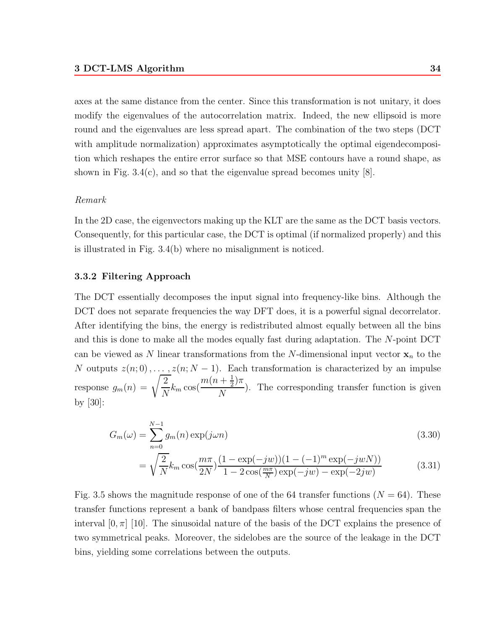axes at the same distance from the center. Since this transformation is not unitary, it does modify the eigenvalues of the autocorrelation matrix. Indeed, the new ellipsoid is more round and the eigenvalues are less spread apart. The combination of the two steps (DCT with amplitude normalization) approximates asymptotically the optimal eigendecomposition which reshapes the entire error surface so that MSE contours have a round shape, as shown in Fig. 3.4(c), and so that the eigenvalue spread becomes unity  $[8]$ .

#### *Remark*

In the 2D case, the eigenvectors making up the KLT are the same as the DCT basis vectors. Consequently, for this particular case, the DCT is optimal (if normalized properly) and this is illustrated in Fig. 3.4(b) where no misalignment is noticed.

### **3.3.2 Filtering Approach**

The DCT essentially decomposes the input signal into frequency-like bins. Although the DCT does not separate frequencies the way DFT does, it is a powerful signal decorrelator. After identifying the bins, the energy is redistributed almost equally between all the bins and this is done to make all the modes equally fast during adaptation. The N-point DCT can be viewed as N linear transformations from the N-dimensional input vector  $x_n$  to the N outputs  $z(n; 0), \ldots, z(n; N-1)$ . Each transformation is characterized by an impulse response  $g_m(n) = \sqrt{\frac{2}{N}} k_m \cos(\frac{m(n + \frac{1}{2})\pi}{N})$  $\frac{1}{N}$ ). The corresponding transfer function is given by [30]:

$$
G_m(\omega) = \sum_{n=0}^{N-1} g_m(n) \exp(j\omega n)
$$
\n(3.30)

$$
= \sqrt{\frac{2}{N}} k_m \cos(\frac{m\pi}{2N}) \frac{(1 - \exp(-jw))(1 - (-1)^m \exp(-jw))}{1 - 2\cos(\frac{m\pi}{N}) \exp(-jw) - \exp(-2jw)}
$$
(3.31)

Fig. 3.5 shows the magnitude response of one of the 64 transfer functions  $(N = 64)$ . These transfer functions represent a bank of bandpass filters whose central frequencies span the interval  $[0, \pi]$  [10]. The sinusoidal nature of the basis of the DCT explains the presence of two symmetrical peaks. Moreover, the sidelobes are the source of the leakage in the DCT bins, yielding some correlations between the outputs.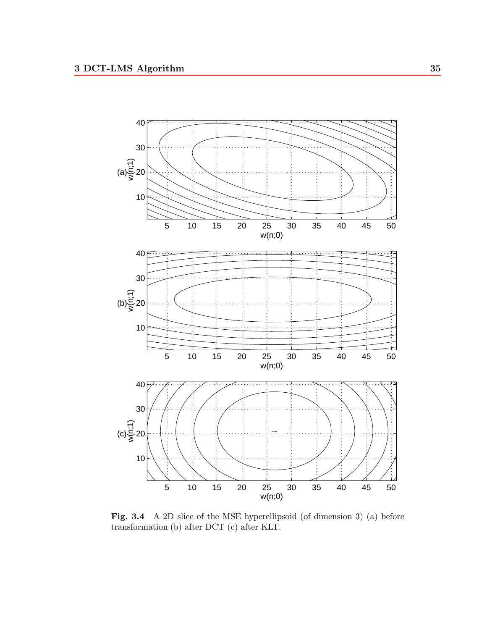

**Fig. 3.4** A 2D slice of the MSE hyperellipsoid (of dimension 3) (a) before transformation (b) after DCT (c) after KLT.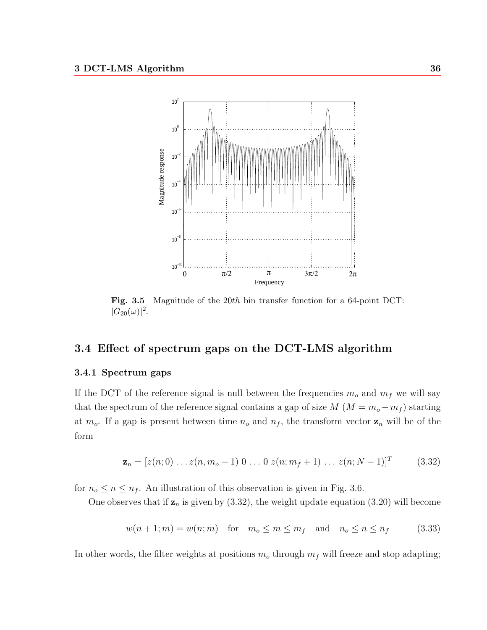

**Fig. 3.5** Magnitude of the 20th bin transfer function for a 64-point DCT:  $|G_{20}(\omega)|^2$ .

# **3.4 Effect of spectrum gaps on the DCT-LMS algorithm**

#### **3.4.1 Spectrum gaps**

If the DCT of the reference signal is null between the frequencies  $m<sub>o</sub>$  and  $m<sub>f</sub>$  we will say that the spectrum of the reference signal contains a gap of size  $M (M = m_o - m_f)$  starting at  $m_o$ . If a gap is present between time  $n_o$  and  $n_f$ , the transform vector  $\mathbf{z}_n$  will be of the form

$$
\mathbf{z}_n = [z(n;0) \dots z(n,m_o-1) 0 \dots 0 z(n;m_f+1) \dots z(n;N-1)]^T
$$
 (3.32)

for  $n_o \le n \le n_f$ . An illustration of this observation is given in Fig. 3.6.

One observes that if  $z_n$  is given by  $(3.32)$ , the weight update equation  $(3.20)$  will become

$$
w(n+1; m) = w(n; m) \quad \text{for} \quad m_o \le m \le m_f \quad \text{and} \quad n_o \le n \le n_f \tag{3.33}
$$

In other words, the filter weights at positions  $m<sub>o</sub>$  through  $m<sub>f</sub>$  will freeze and stop adapting;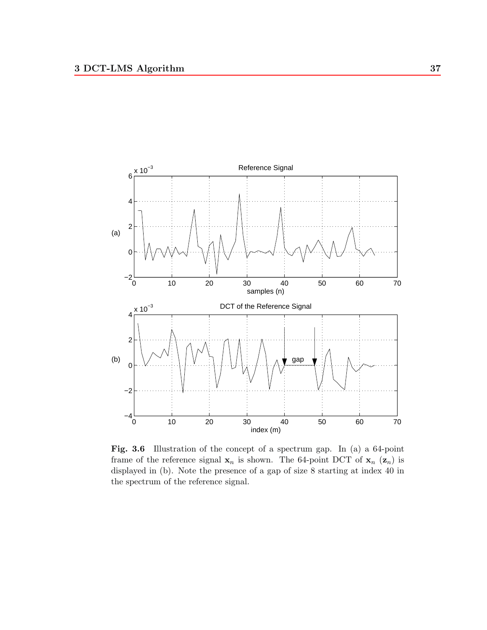

Fig. 3.6 Illustration of the concept of a spectrum gap. In (a) a 64-point frame of the reference signal  $\mathbf{x}_n$  is shown. The 64-point DCT of  $\mathbf{x}_n$  ( $\mathbf{z}_n$ ) is displayed in (b). Note the presence of a gap of size 8 starting at index 40 in the spectrum of the reference signal.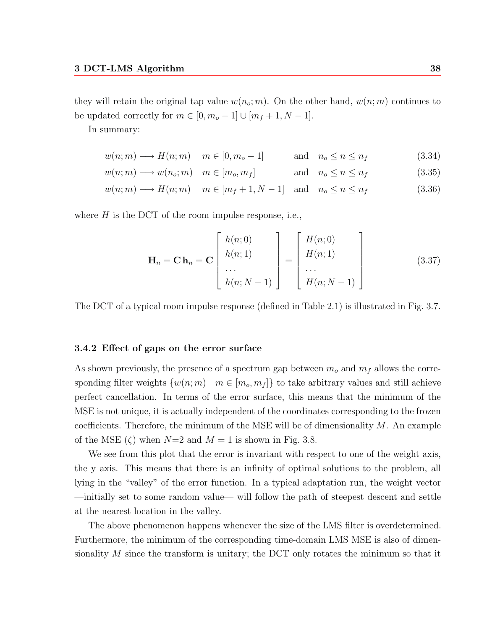they will retain the original tap value  $w(n_o; m)$ . On the other hand,  $w(n; m)$  continues to be updated correctly for  $m \in [0, m_o - 1] \cup [m_f + 1, N - 1]$ .

In summary:

$$
w(n; m) \longrightarrow H(n; m) \quad m \in [0, m_o - 1] \quad \text{and} \quad n_o \le n \le n_f \tag{3.34}
$$

$$
w(n; m) \longrightarrow w(n_o; m) \quad m \in [m_o, m_f] \quad \text{and} \quad n_o \le n \le n_f \tag{3.35}
$$

$$
w(n; m) \longrightarrow H(n; m) \quad m \in [m_f + 1, N - 1] \quad \text{and} \quad n_o \le n \le n_f \tag{3.36}
$$

where  $H$  is the DCT of the room impulse response, i.e.,

$$
\mathbf{H}_n = \mathbf{C} \mathbf{h}_n = \mathbf{C} \begin{bmatrix} h(n;0) \\ h(n;1) \\ \dots \\ h(n;N-1) \end{bmatrix} = \begin{bmatrix} H(n;0) \\ H(n;1) \\ \dots \\ H(n;N-1) \end{bmatrix}
$$
(3.37)

The DCT of a typical room impulse response (defined in Table 2.1) is illustrated in Fig. 3.7.

#### **3.4.2 Effect of gaps on the error surface**

As shown previously, the presence of a spectrum gap between  $m<sub>o</sub>$  and  $m<sub>f</sub>$  allows the corresponding filter weights  $\{w(n; m) \mid m \in [m_o, m_f]\}$  to take arbitrary values and still achieve perfect cancellation. In terms of the error surface, this means that the minimum of the MSE is not unique, it is actually independent of the coordinates corresponding to the frozen coefficients. Therefore, the minimum of the MSE will be of dimensionality  $M$ . An example of the MSE ( $\zeta$ ) when  $N=2$  and  $M=1$  is shown in Fig. 3.8.

We see from this plot that the error is invariant with respect to one of the weight axis, the y axis. This means that there is an infinity of optimal solutions to the problem, all lying in the "valley" of the error function. In a typical adaptation run, the weight vector —initially set to some random value— will follow the path of steepest descent and settle at the nearest location in the valley.

The above phenomenon happens whenever the size of the LMS filter is overdetermined. Furthermore, the minimum of the corresponding time-domain LMS MSE is also of dimensionality  $M$  since the transform is unitary; the DCT only rotates the minimum so that it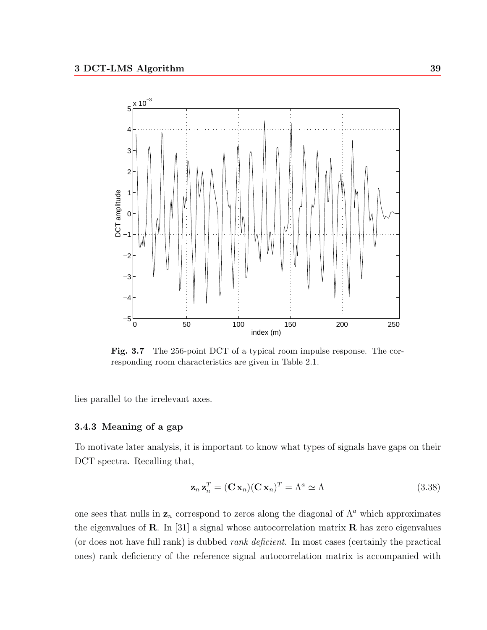

Fig. 3.7 The 256-point DCT of a typical room impulse response. The corresponding room characteristics are given in Table 2.1.

lies parallel to the irrelevant axes.

# **3.4.3 Meaning of a gap**

To motivate later analysis, it is important to know what types of signals have gaps on their DCT spectra. Recalling that,

$$
\mathbf{z}_n \mathbf{z}_n^T = (\mathbf{C} \mathbf{x}_n)(\mathbf{C} \mathbf{x}_n)^T = \Lambda^a \simeq \Lambda \tag{3.38}
$$

one sees that nulls in  $z_n$  correspond to zeros along the diagonal of  $\Lambda^a$  which approximates the eigenvalues of **R**. In [31] a signal whose autocorrelation matrix **R** has zero eigenvalues (or does not have full rank) is dubbed *rank deficient*. In most cases (certainly the practical ones) rank deficiency of the reference signal autocorrelation matrix is accompanied with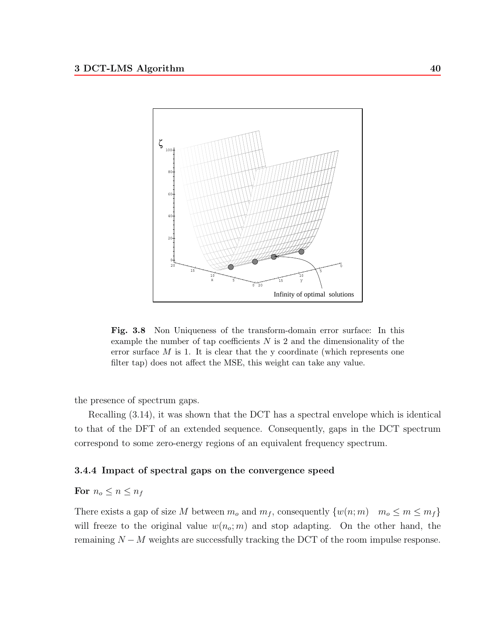

**Fig. 3.8** Non Uniqueness of the transform-domain error surface: In this example the number of tap coefficients  $N$  is 2 and the dimensionality of the error surface  $M$  is 1. It is clear that the y coordinate (which represents one filter tap) does not affect the MSE, this weight can take any value.

the presence of spectrum gaps.

Recalling (3.14), it was shown that the DCT has a spectral envelope which is identical to that of the DFT of an extended sequence. Consequently, gaps in the DCT spectrum correspond to some zero-energy regions of an equivalent frequency spectrum.

### **3.4.4 Impact of spectral gaps on the convergence speed**

# **For**  $n_o \leq n \leq n_f$

There exists a gap of size M between  $m_o$  and  $m_f$ , consequently  $\{w(n; m) \mid m_o \le m \le m_f\}$ will freeze to the original value  $w(n_o; m)$  and stop adapting. On the other hand, the remaining  $N - M$  weights are successfully tracking the DCT of the room impulse response.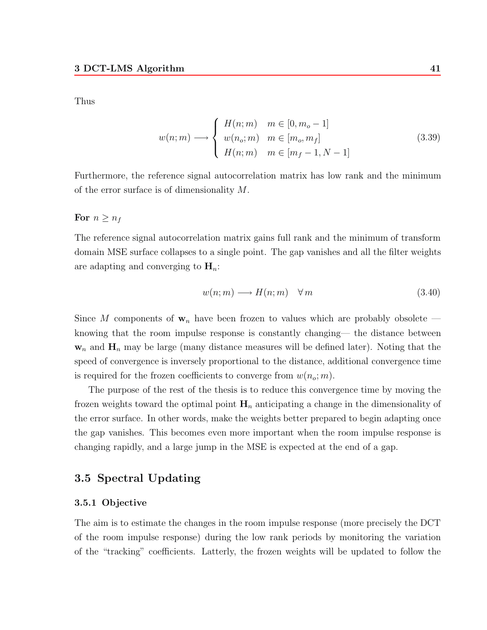Thus

$$
w(n; m) \longrightarrow \begin{cases} H(n; m) & m \in [0, m_o - 1] \\ w(n_o; m) & m \in [m_o, m_f] \\ H(n; m) & m \in [m_f - 1, N - 1] \end{cases}
$$
(3.39)

Furthermore, the reference signal autocorrelation matrix has low rank and the minimum of the error surface is of dimensionality M.

**For**  $n \geq n_f$ 

The reference signal autocorrelation matrix gains full rank and the minimum of transform domain MSE surface collapses to a single point. The gap vanishes and all the filter weights are adapting and converging to  $\mathbf{H}_n$ .

$$
w(n; m) \longrightarrow H(n; m) \quad \forall \, m \tag{3.40}
$$

Since M components of  $w_n$  have been frozen to values which are probably obsolete knowing that the room impulse response is constantly changing— the distance between  $w_n$  and  $H_n$  may be large (many distance measures will be defined later). Noting that the speed of convergence is inversely proportional to the distance, additional convergence time is required for the frozen coefficients to converge from  $w(n_o; m)$ .

The purpose of the rest of the thesis is to reduce this convergence time by moving the frozen weights toward the optimal point  $H_n$  anticipating a change in the dimensionality of the error surface. In other words, make the weights better prepared to begin adapting once the gap vanishes. This becomes even more important when the room impulse response is changing rapidly, and a large jump in the MSE is expected at the end of a gap.

# **3.5 Spectral Updating**

# **3.5.1 Objective**

The aim is to estimate the changes in the room impulse response (more precisely the DCT of the room impulse response) during the low rank periods by monitoring the variation of the "tracking" coefficients. Latterly, the frozen weights will be updated to follow the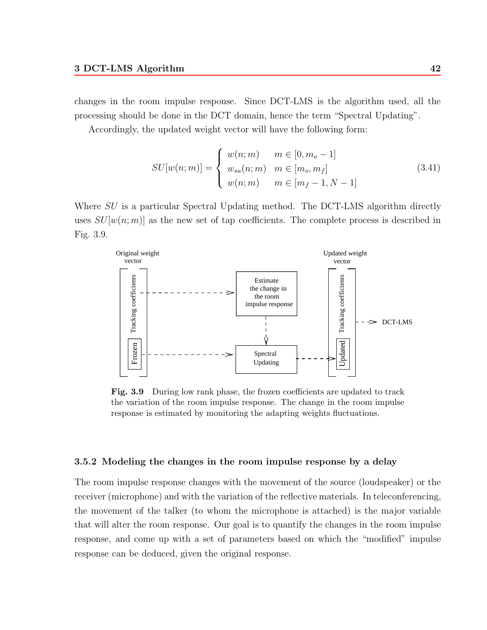changes in the room impulse response. Since DCT-LMS is the algorithm used, all the processing should be done in the DCT domain, hence the term "Spectral Updating".

Accordingly, the updated weight vector will have the following form:

$$
SU[w(n; m)] = \begin{cases} w(n; m) & m \in [0, m_o - 1] \\ w_{su}(n; m) & m \in [m_o, m_f] \\ w(n; m) & m \in [m_f - 1, N - 1] \end{cases}
$$
(3.41)

Where  $SU$  is a particular Spectral Updating method. The DCT-LMS algorithm directly uses  $SU[w(n; m)]$  as the new set of tap coefficients. The complete process is described in Fig. 3.9.



**Fig. 3.9** During low rank phase, the frozen coefficients are updated to track the variation of the room impulse response. The change in the room impulse response is estimated by monitoring the adapting weights fluctuations.

#### **3.5.2 Modeling the changes in the room impulse response by a delay**

The room impulse response changes with the movement of the source (loudspeaker) or the receiver (microphone) and with the variation of the reflective materials. In teleconferencing, the movement of the talker (to whom the microphone is attached) is the major variable that will alter the room response. Our goal is to quantify the changes in the room impulse response, and come up with a set of parameters based on which the "modified" impulse response can be deduced, given the original response.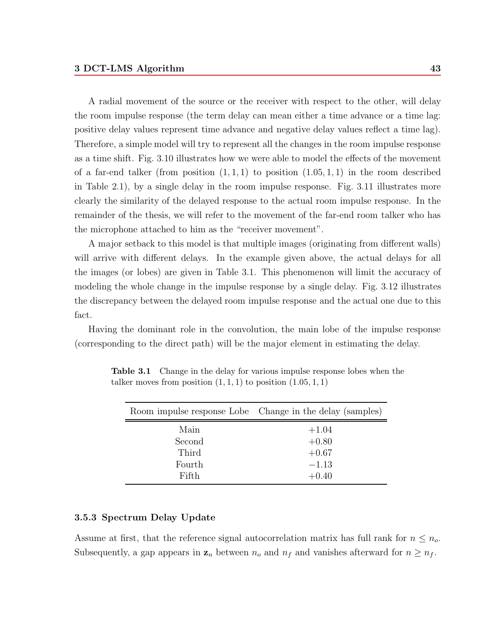A radial movement of the source or the receiver with respect to the other, will delay the room impulse response (the term delay can mean either a time advance or a time lag: positive delay values represent time advance and negative delay values reflect a time lag). Therefore, a simple model will try to represent all the changes in the room impulse response as a time shift. Fig. 3.10 illustrates how we were able to model the effects of the movement of a far-end talker (from position  $(1, 1, 1)$  to position  $(1.05, 1, 1)$  in the room described in Table 2.1), by a single delay in the room impulse response. Fig. 3.11 illustrates more clearly the similarity of the delayed response to the actual room impulse response. In the remainder of the thesis, we will refer to the movement of the far-end room talker who has the microphone attached to him as the "receiver movement".

A major setback to this model is that multiple images (originating from different walls) will arrive with different delays. In the example given above, the actual delays for all the images (or lobes) are given in Table 3.1. This phenomenon will limit the accuracy of modeling the whole change in the impulse response by a single delay. Fig. 3.12 illustrates the discrepancy between the delayed room impulse response and the actual one due to this fact.

Having the dominant role in the convolution, the main lobe of the impulse response (corresponding to the direct path) will be the major element in estimating the delay.

|        | Room impulse response Lobe Change in the delay (samples) |
|--------|----------------------------------------------------------|
| Main   | $+1.04$                                                  |
| Second | $+0.80$                                                  |
| Third  | $+0.67$                                                  |
| Fourth | $-1.13$                                                  |
| Fifth  | $+0.40$                                                  |

**Table 3.1** Change in the delay for various impulse response lobes when the talker moves from position  $(1, 1, 1)$  to position  $(1.05, 1, 1)$ 

# **3.5.3 Spectrum Delay Update**

Assume at first, that the reference signal autocorrelation matrix has full rank for  $n \leq n_o$ . Subsequently, a gap appears in  $z_n$  between  $n_o$  and  $n_f$  and vanishes afterward for  $n \geq n_f$ .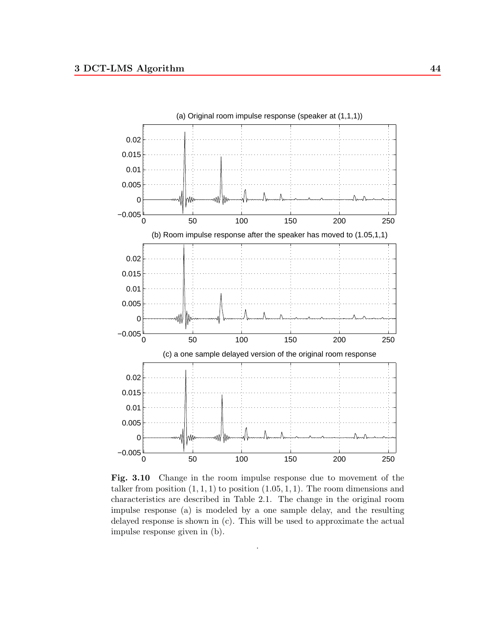

**Fig. 3.10** Change in the room impulse response due to movement of the talker from position  $(1, 1, 1)$  to position  $(1.05, 1, 1)$ . The room dimensions and characteristics are described in Table 2.1. The change in the original room impulse response (a) is modeled by a one sample delay, and the resulting delayed response is shown in (c). This will be used to approximate the actual impulse response given in (b).

.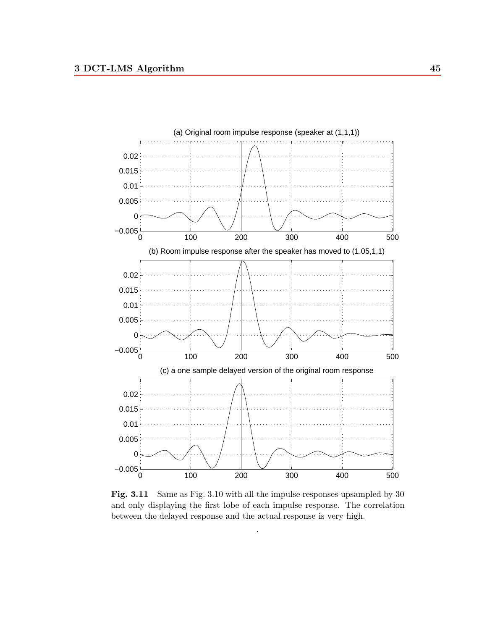

**Fig. 3.11** Same as Fig. 3.10 with all the impulse responses upsampled by 30 and only displaying the first lobe of each impulse response. The correlation between the delayed response and the actual response is very high.

.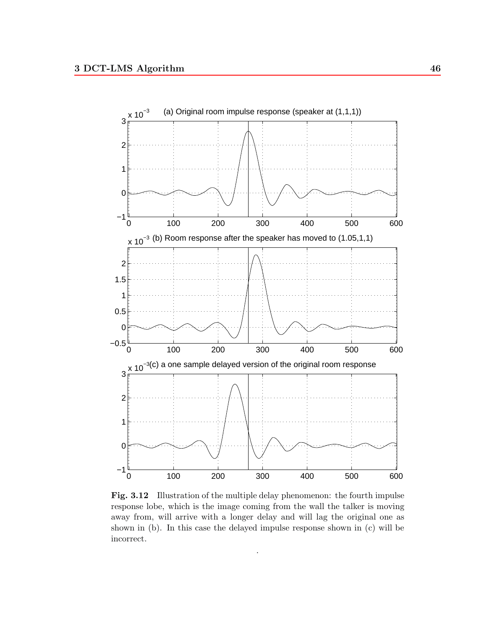

Fig. 3.12 Illustration of the multiple delay phenomenon: the fourth impulse response lobe, which is the image coming from the wall the talker is moving away from, will arrive with a longer delay and will lag the original one as shown in (b). In this case the delayed impulse response shown in (c) will be incorrect.

.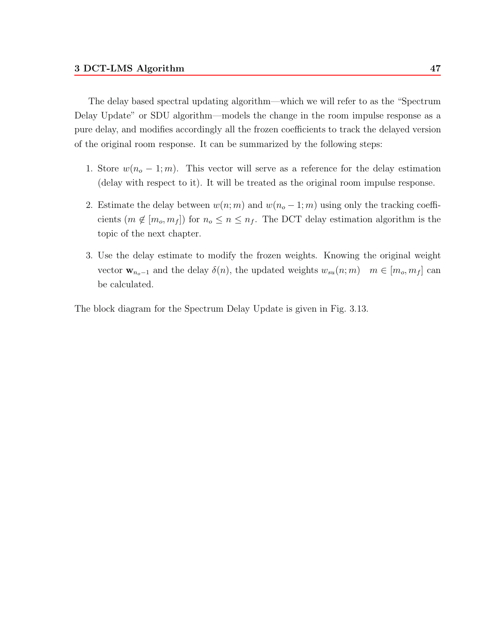The delay based spectral updating algorithm—which we will refer to as the "Spectrum Delay Update" or SDU algorithm—models the change in the room impulse response as a pure delay, and modifies accordingly all the frozen coefficients to track the delayed version of the original room response. It can be summarized by the following steps:

- 1. Store  $w(n_o 1; m)$ . This vector will serve as a reference for the delay estimation (delay with respect to it). It will be treated as the original room impulse response.
- 2. Estimate the delay between  $w(n; m)$  and  $w(n_o 1; m)$  using only the tracking coefficients  $(m \notin [m_o, m_f])$  for  $n_o \le n \le n_f$ . The DCT delay estimation algorithm is the topic of the next chapter.
- 3. Use the delay estimate to modify the frozen weights. Knowing the original weight vector  $\mathbf{w}_{n_0-1}$  and the delay  $\delta(n)$ , the updated weights  $w_{su}(n;m)$   $m \in [m_o, m_f]$  can be calculated.

The block diagram for the Spectrum Delay Update is given in Fig. 3.13.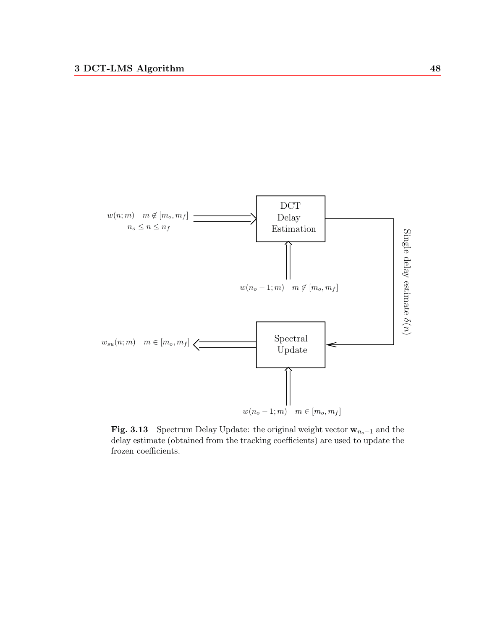

**Fig. 3.13** Spectrum Delay Update: the original weight vector  $\mathbf{w}_{n_o-1}$  and the delay estimate (obtained from the tracking coefficients) are used to update the frozen coefficients.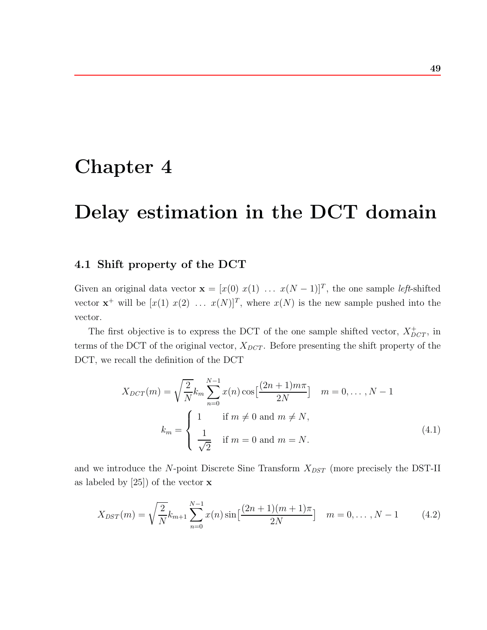# **Chapter 4**

# **Delay estimation in the DCT domain**

# **4.1 Shift property of the DCT**

Given an original data vector **x** =  $[x(0) x(1) ... x(N-1)]^T$ , the one sample *left*-shifted vector  $\mathbf{x}^+$  will be  $[x(1) \ x(2) \ \ldots \ x(N)]^T$ , where  $x(N)$  is the new sample pushed into the vector.

The first objective is to express the DCT of the one sample shifted vector,  $X_{DCT}^+$ , in terms of the DCT of the original vector,  $X_{DCT}$ . Before presenting the shift property of the DCT, we recall the definition of the DCT

$$
X_{DCT}(m) = \sqrt{\frac{2}{N}} k_m \sum_{n=0}^{N-1} x(n) \cos\left[\frac{(2n+1)m\pi}{2N}\right] \quad m = 0, ..., N-1
$$

$$
k_m = \begin{cases} 1 & \text{if } m \neq 0 \text{ and } m \neq N, \\ \frac{1}{\sqrt{2}} & \text{if } m = 0 \text{ and } m = N. \end{cases}
$$
(4.1)

and we introduce the N-point Discrete Sine Transform  $X_{DST}$  (more precisely the DST-II as labeled by [25]) of the vector **x**

$$
X_{DST}(m) = \sqrt{\frac{2}{N}} k_{m+1} \sum_{n=0}^{N-1} x(n) \sin\left[\frac{(2n+1)(m+1)\pi}{2N}\right] \quad m = 0, \dots, N-1 \tag{4.2}
$$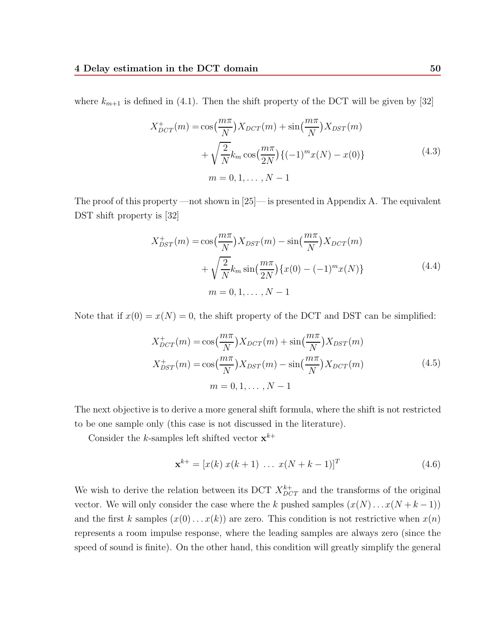where  $k_{m+1}$  is defined in (4.1). Then the shift property of the DCT will be given by [32]

$$
X_{DCT}^{+}(m) = \cos(\frac{m\pi}{N})X_{DCT}(m) + \sin(\frac{m\pi}{N})X_{DST}(m) + \sqrt{\frac{2}{N}}k_m \cos(\frac{m\pi}{2N})\{(-1)^m x(N) - x(0)\} m = 0, 1, ..., N - 1
$$
\n(4.3)

The proof of this property —not shown in  $[25]$ — is presented in Appendix A. The equivalent DST shift property is [32]

$$
X_{DST}^{+}(m) = \cos(\frac{m\pi}{N})X_{DST}(m) - \sin(\frac{m\pi}{N})X_{DCT}(m) + \sqrt{\frac{2}{N}}k_m \sin(\frac{m\pi}{2N})\{x(0) - (-1)^m x(N)\} m = 0, 1, ..., N - 1
$$
\n(4.4)

Note that if  $x(0) = x(N) = 0$ , the shift property of the DCT and DST can be simplified:

$$
X_{DCT}^+(m) = \cos\left(\frac{m\pi}{N}\right)X_{DCT}(m) + \sin\left(\frac{m\pi}{N}\right)X_{DST}(m)
$$

$$
X_{DST}^+(m) = \cos\left(\frac{m\pi}{N}\right)X_{DST}(m) - \sin\left(\frac{m\pi}{N}\right)X_{DCT}(m)
$$

$$
m = 0, 1, \dots, N - 1
$$
\n(4.5)

The next objective is to derive a more general shift formula, where the shift is not restricted to be one sample only (this case is not discussed in the literature).

Consider the k-samples left shifted vector  $\mathbf{x}^{k+}$ 

$$
\mathbf{x}^{k+} = [x(k) \ x(k+1) \ \dots \ x(N+k-1)]^T \tag{4.6}
$$

We wish to derive the relation between its DCT  $X_{DCT}^{k+}$  and the transforms of the original vector. We will only consider the case where the k pushed samples  $(x(N) \dots x(N + k - 1))$ and the first k samples  $(x(0)...x(k))$  are zero. This condition is not restrictive when  $x(n)$ represents a room impulse response, where the leading samples are always zero (since the speed of sound is finite). On the other hand, this condition will greatly simplify the general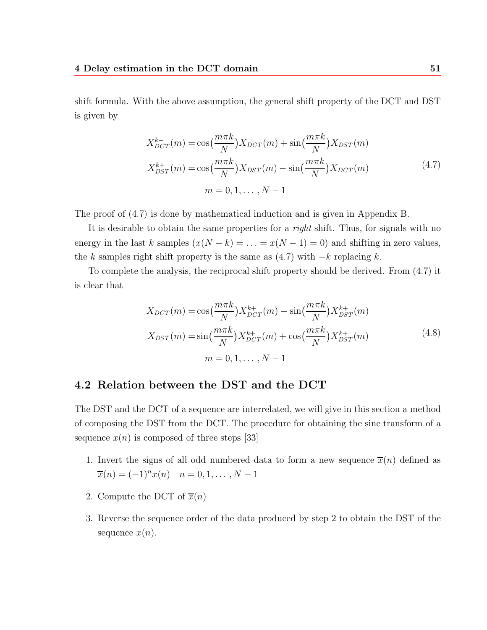shift formula. With the above assumption, the general shift property of the DCT and DST is given by

$$
X_{DCT}^{k+}(m) = \cos(\frac{m\pi k}{N})X_{DCT}(m) + \sin(\frac{m\pi k}{N})X_{DST}(m)
$$
  

$$
X_{DST}^{k+}(m) = \cos(\frac{m\pi k}{N})X_{DST}(m) - \sin(\frac{m\pi k}{N})X_{DCT}(m)
$$
  

$$
m = 0, 1, ..., N - 1
$$
 (4.7)

The proof of (4.7) is done by mathematical induction and is given in Appendix B.

It is desirable to obtain the same properties for a *right* shift. Thus, for signals with no energy in the last k samples  $(x(N - k) = ... = x(N - 1) = 0)$  and shifting in zero values, the k samples right shift property is the same as  $(4.7)$  with  $-k$  replacing k.

To complete the analysis, the reciprocal shift property should be derived. From (4.7) it is clear that

$$
X_{DCT}(m) = \cos\left(\frac{m\pi k}{N}\right) X_{DCT}^{k+}(m) - \sin\left(\frac{m\pi k}{N}\right) X_{DST}^{k+}(m)
$$

$$
X_{DST}(m) = \sin\left(\frac{m\pi k}{N}\right) X_{DCT}^{k+}(m) + \cos\left(\frac{m\pi k}{N}\right) X_{DST}^{k+}(m)
$$
(4.8)
$$
m = 0, 1, ..., N - 1
$$

# **4.2 Relation between the DST and the DCT**

The DST and the DCT of a sequence are interrelated, we will give in this section a method of composing the DST from the DCT. The procedure for obtaining the sine transform of a sequence  $x(n)$  is composed of three steps [33]

- 1. Invert the signs of all odd numbered data to form a new sequence  $\overline{x}(n)$  defined as  $\overline{x}(n)=(-1)^{n}x(n)$   $n = 0, 1, \ldots, N-1$
- 2. Compute the DCT of  $\overline{x}(n)$
- 3. Reverse the sequence order of the data produced by step 2 to obtain the DST of the sequence  $x(n)$ .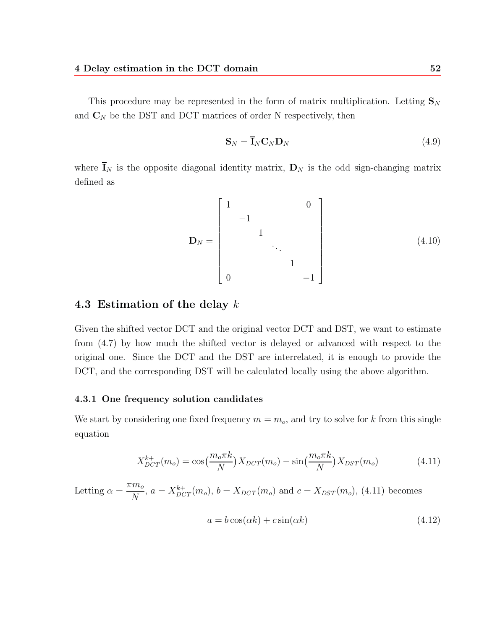This procedure may be represented in the form of matrix multiplication. Letting  $\mathbf{S}_N$ and  $\mathbf{C}_N$  be the DST and DCT matrices of order N respectively, then

$$
\mathbf{S}_N = \overline{\mathbf{I}}_N \mathbf{C}_N \mathbf{D}_N \tag{4.9}
$$

where  $\overline{\mathbf{I}}_N$  is the opposite diagonal identity matrix,  $\mathbf{D}_N$  is the odd sign-changing matrix defined as

$$
\mathbf{D}_N = \begin{bmatrix} 1 & & & & 0 \\ & -1 & & & & \\ & & 1 & & & \\ & & & \ddots & & \\ 0 & & & & 1 & \\ & & & & & -1 \end{bmatrix}
$$
 (4.10)

# **4.3Estimation of the delay** k

Given the shifted vector DCT and the original vector DCT and DST, we want to estimate from (4.7) by how much the shifted vector is delayed or advanced with respect to the original one. Since the DCT and the DST are interrelated, it is enough to provide the DCT, and the corresponding DST will be calculated locally using the above algorithm.

### **4.3.1 One frequency solution candidates**

We start by considering one fixed frequency  $m = m<sub>o</sub>$ , and try to solve for k from this single equation

$$
X_{DCT}^{k+}(m_o) = \cos(\frac{m_o \pi k}{N}) X_{DCT}(m_o) - \sin(\frac{m_o \pi k}{N}) X_{DST}(m_o)
$$
 (4.11)

Letting  $\alpha = \frac{\pi m_o}{N}$ ,  $a = X_{DCT}^{k+}(m_o)$ ,  $b = X_{DCT}(m_o)$  and  $c = X_{DST}(m_o)$ , (4.11) becomes

$$
a = b\cos(\alpha k) + c\sin(\alpha k) \tag{4.12}
$$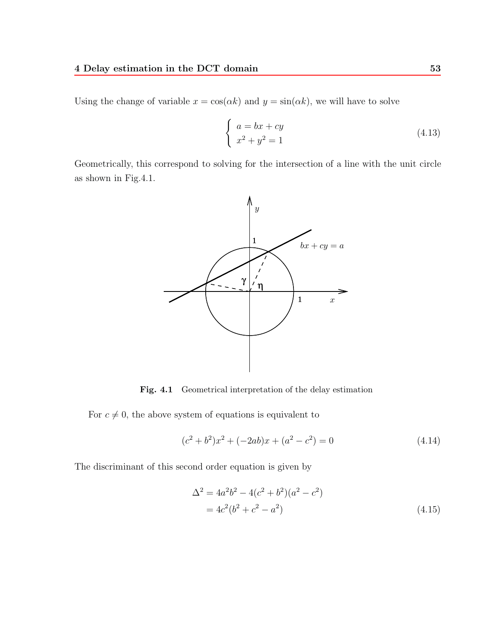Using the change of variable  $x = \cos(\alpha k)$  and  $y = \sin(\alpha k)$ , we will have to solve

$$
\begin{cases}\na = bx + cy \\
x^2 + y^2 = 1\n\end{cases}
$$
\n(4.13)

Geometrically, this correspond to solving for the intersection of a line with the unit circle as shown in Fig.4.1.



**Fig. 4.1** Geometrical interpretation of the delay estimation

For  $c \neq 0$ , the above system of equations is equivalent to

$$
(c2 + b2)x2 + (-2ab)x + (a2 - c2) = 0
$$
 (4.14)

The discriminant of this second order equation is given by

$$
\Delta^{2} = 4a^{2}b^{2} - 4(c^{2} + b^{2})(a^{2} - c^{2})
$$
  
=  $4c^{2}(b^{2} + c^{2} - a^{2})$  (4.15)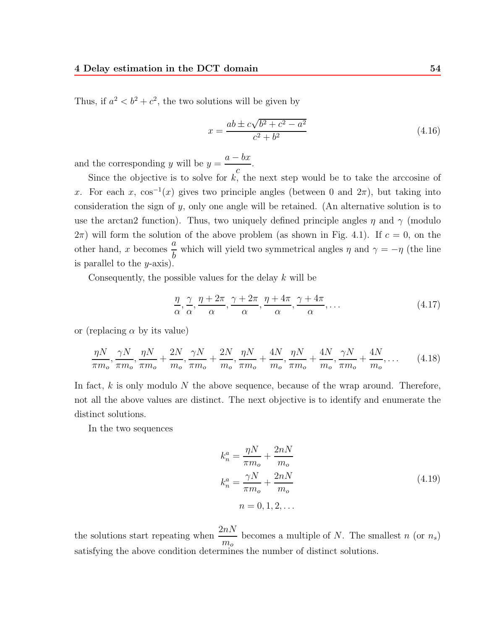Thus, if  $a^2 < b^2 + c^2$ , the two solutions will be given by

$$
x = \frac{ab \pm c\sqrt{b^2 + c^2 - a^2}}{c^2 + b^2}
$$
\n(4.16)

and the corresponding y will be  $y = \frac{a - bx}{c}$ .

Since the objective is to solve for  $k$ , the next step would be to take the arccosine of x. For each x,  $\cos^{-1}(x)$  gives two principle angles (between 0 and  $2\pi$ ), but taking into consideration the sign of y, only one angle will be retained. (An alternative solution is to use the arctan2 function). Thus, two uniquely defined principle angles  $\eta$  and  $\gamma$  (modulo  $(2\pi)$  will form the solution of the above problem (as shown in Fig. 4.1). If  $c = 0$ , on the other hand, x becomes  $\frac{a}{b}$  $\frac{\alpha}{b}$  which will yield two symmetrical angles  $\eta$  and  $\gamma = -\eta$  (the line is parallel to the  $y$ -axis).

Consequently, the possible values for the delay  $k$  will be

$$
\frac{\eta}{\alpha}, \frac{\gamma}{\alpha}, \frac{\eta + 2\pi}{\alpha}, \frac{\gamma + 2\pi}{\alpha}, \frac{\eta + 4\pi}{\alpha}, \frac{\gamma + 4\pi}{\alpha}, \dots
$$
\n(4.17)

or (replacing  $\alpha$  by its value)

$$
\frac{\eta N}{\pi m_o}, \frac{\gamma N}{\pi m_o}, \frac{\eta N}{\pi m_o} + \frac{2N}{m_o}, \frac{\gamma N}{\pi m_o} + \frac{2N}{m_o}, \frac{\eta N}{\pi m_o} + \frac{4N}{m_o}, \frac{\eta N}{\pi m_o} + \frac{4N}{m_o}, \frac{\gamma N}{\pi m_o} + \frac{4N}{m_o}, \dots
$$
 (4.18)

In fact,  $k$  is only modulo  $N$  the above sequence, because of the wrap around. Therefore, not all the above values are distinct. The next objective is to identify and enumerate the distinct solutions.

In the two sequences

$$
k_n^a = \frac{\eta N}{\pi m_o} + \frac{2nN}{m_o}
$$
  
\n
$$
k_n^a = \frac{\gamma N}{\pi m_o} + \frac{2nN}{m_o}
$$
  
\n
$$
n = 0, 1, 2, \dots
$$
\n(4.19)

the solutions start repeating when  $\frac{2nN}{N}$  $m<sub>o</sub>$ becomes a multiple of N. The smallest  $n$  (or  $n_s$ ) satisfying the above condition determines the number of distinct solutions.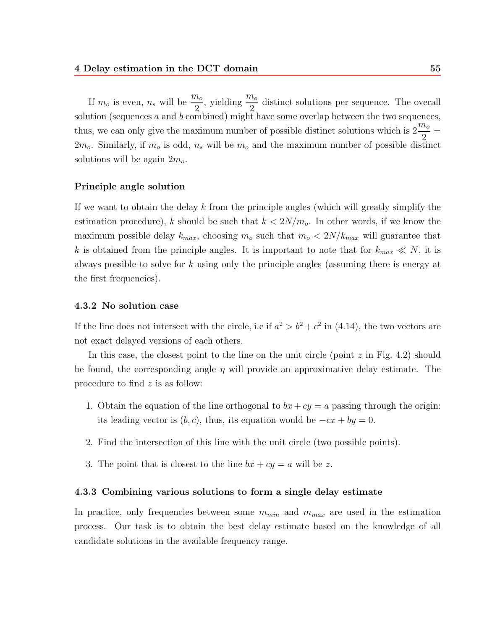If  $m_o$  is even,  $n_s$  will be  $\frac{m_o}{2}$ , yielding  $\frac{m_o}{2}$  distinct solutions per sequence. The overall solution (sequences  $a$  and  $b$  combined) might have some overlap between the two sequences, thus, we can only give the maximum number of possible distinct solutions which is  $2\frac{m_o}{\Omega}$  $\frac{1}{2}$  =  $2m<sub>o</sub>$ . Similarly, if  $m<sub>o</sub>$  is odd,  $n<sub>s</sub>$  will be  $m<sub>o</sub>$  and the maximum number of possible distinct solutions will be again  $2m<sub>o</sub>$ .

### **Principle angle solution**

If we want to obtain the delay k from the principle angles (which will greatly simplify the estimation procedure), k should be such that  $k < 2N/m_o$ . In other words, if we know the maximum possible delay  $k_{max}$ , choosing  $m_o$  such that  $m_o < 2N/k_{max}$  will guarantee that k is obtained from the principle angles. It is important to note that for  $k_{max} \ll N$ , it is always possible to solve for k using only the principle angles (assuming there is energy at the first frequencies).

#### **4.3.2 No solution case**

If the line does not intersect with the circle, i.e if  $a^2 > b^2 + c^2$  in (4.14), the two vectors are not exact delayed versions of each others.

In this case, the closest point to the line on the unit circle (point  $z$  in Fig. 4.2) should be found, the corresponding angle  $\eta$  will provide an approximative delay estimate. The procedure to find z is as follow:

- 1. Obtain the equation of the line orthogonal to  $bx + cy = a$  passing through the origin: its leading vector is  $(b, c)$ , thus, its equation would be  $-cx + by = 0$ .
- 2. Find the intersection of this line with the unit circle (two possible points).
- 3. The point that is closest to the line  $bx + cy = a$  will be z.

#### **4.3.3 Combining various solutions to form a single delay estimate**

In practice, only frequencies between some  $m_{min}$  and  $m_{max}$  are used in the estimation process. Our task is to obtain the best delay estimate based on the knowledge of all candidate solutions in the available frequency range.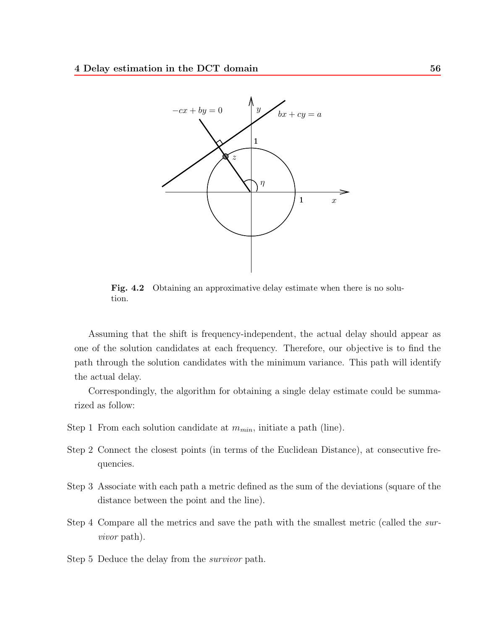

Fig. 4.2 Obtaining an approximative delay estimate when there is no solution.

Assuming that the shift is frequency-independent, the actual delay should appear as one of the solution candidates at each frequency. Therefore, our objective is to find the path through the solution candidates with the minimum variance. This path will identify the actual delay.

Correspondingly, the algorithm for obtaining a single delay estimate could be summarized as follow:

- Step 1 From each solution candidate at  $m_{min}$ , initiate a path (line).
- Step 2 Connect the closest points (in terms of the Euclidean Distance), at consecutive frequencies.
- Step 3 Associate with each path a metric defined as the sum of the deviations (square of the distance between the point and the line).
- Step 4 Compare all the metrics and save the path with the smallest metric (called the *survivor* path).
- Step 5 Deduce the delay from the *survivor* path.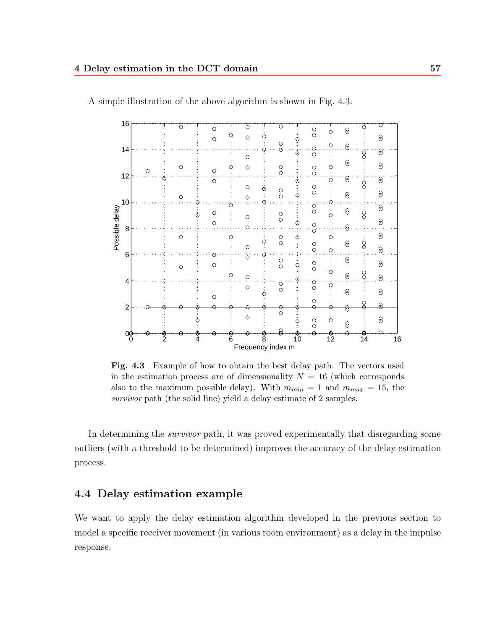

A simple illustration of the above algorithm is shown in Fig. 4.3.

**Fig. 4.3** Example of how to obtain the best delay path. The vectors used in the estimation process are of dimensionality  $N = 16$  (which corresponds also to the maximum possible delay). With  $m_{min} = 1$  and  $m_{max} = 15$ , the *survivor* path (the solid line) yield a delay estimate of 2 samples.

In determining the *survivor* path, it was proved experimentally that disregarding some outliers (with a threshold to be determined) improves the accuracy of the delay estimation process.

# **4.4 Delay estimation example**

We want to apply the delay estimation algorithm developed in the previous section to model a specific receiver movement (in various room environment) as a delay in the impulse response.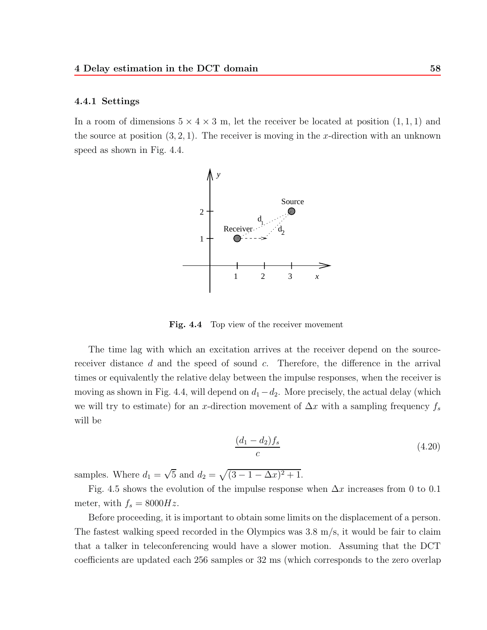#### **4.4.1 Settings**

In a room of dimensions  $5 \times 4 \times 3$  m, let the receiver be located at position  $(1,1,1)$  and the source at position  $(3, 2, 1)$ . The receiver is moving in the x-direction with an unknown speed as shown in Fig. 4.4.



Fig. 4.4 Top view of the receiver movement

The time lag with which an excitation arrives at the receiver depend on the sourcereceiver distance  $d$  and the speed of sound  $c$ . Therefore, the difference in the arrival times or equivalently the relative delay between the impulse responses, when the receiver is moving as shown in Fig. 4.4, will depend on  $d_1-d_2$ . More precisely, the actual delay (which we will try to estimate) for an x-direction movement of  $\Delta x$  with a sampling frequency  $f_s$ will be

$$
\frac{(d_1 - d_2)f_s}{c} \tag{4.20}
$$

samples. Where  $d_1 = \sqrt{5}$  and  $d_2 = \sqrt{(3 - 1 - \Delta x)^2 + 1}$ .

Fig. 4.5 shows the evolution of the impulse response when  $\Delta x$  increases from 0 to 0.1 meter, with  $f_s = 8000Hz$ .

Before proceeding, it is important to obtain some limits on the displacement of a person. The fastest walking speed recorded in the Olympics was  $3.8 \text{ m/s}$ , it would be fair to claim that a talker in teleconferencing would have a slower motion. Assuming that the DCT coefficients are updated each 256 samples or 32 ms (which corresponds to the zero overlap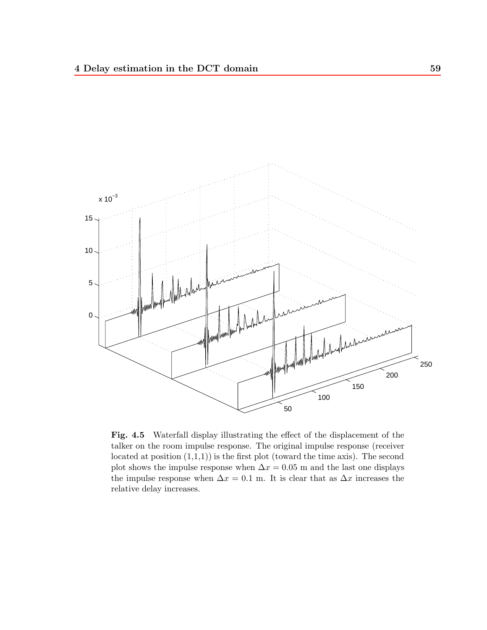

**Fig. 4.5** Waterfall display illustrating the effect of the displacement of the talker on the room impulse response. The original impulse response (receiver located at position  $(1,1,1)$  is the first plot (toward the time axis). The second plot shows the impulse response when  $\Delta x = 0.05$  m and the last one displays the impulse response when  $\Delta x = 0.1$  m. It is clear that as  $\Delta x$  increases the relative delay increases.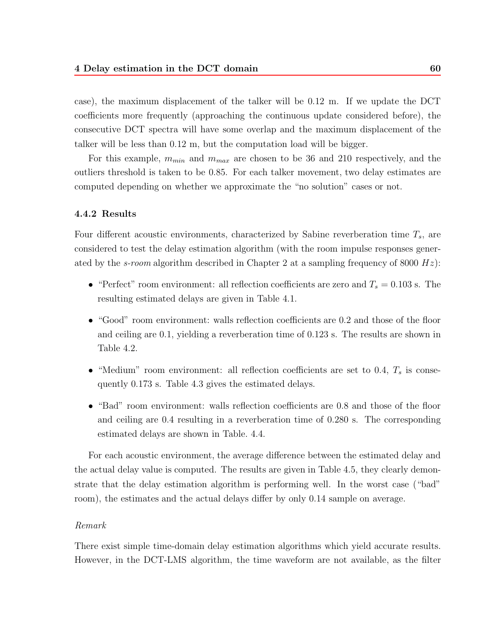case), the maximum displacement of the talker will be 0.12 m. If we update the DCT coefficients more frequently (approaching the continuous update considered before), the consecutive DCT spectra will have some overlap and the maximum displacement of the talker will be less than 0.12 m, but the computation load will be bigger.

For this example,  $m_{min}$  and  $m_{max}$  are chosen to be 36 and 210 respectively, and the outliers threshold is taken to be 0.85. For each talker movement, two delay estimates are computed depending on whether we approximate the "no solution" cases or not.

## **4.4.2 Results**

Four different acoustic environments, characterized by Sabine reverberation time  $T_s$ , are considered to test the delay estimation algorithm (with the room impulse responses generated by the *s-room* algorithm described in Chapter 2 at a sampling frequency of 8000 Hz):

- "Perfect" room environment: all reflection coefficients are zero and  $T_s = 0.103$  s. The resulting estimated delays are given in Table 4.1.
- "Good" room environment: walls reflection coefficients are 0.2 and those of the floor and ceiling are 0.1, yielding a reverberation time of 0.123 s. The results are shown in Table 4.2.
- "Medium" room environment: all reflection coefficients are set to 0.4,  $T_s$  is consequently 0.173 s. Table 4.3 gives the estimated delays.
- "Bad" room environment: walls reflection coefficients are 0.8 and those of the floor and ceiling are 0.4 resulting in a reverberation time of 0.280 s. The corresponding estimated delays are shown in Table. 4.4.

For each acoustic environment, the average difference between the estimated delay and the actual delay value is computed. The results are given in Table 4.5, they clearly demonstrate that the delay estimation algorithm is performing well. In the worst case ("bad" room), the estimates and the actual delays differ by only 0.14 sample on average.

## *Remark*

There exist simple time-domain delay estimation algorithms which yield accurate results. However, in the DCT-LMS algorithm, the time waveform are not available, as the filter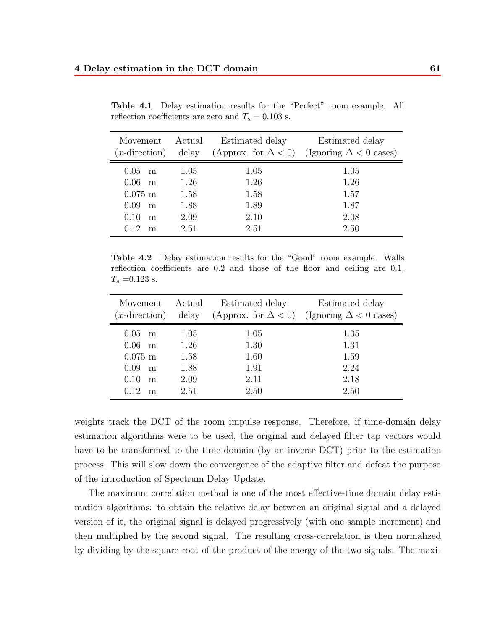| Movement<br>$(x\text{-direction})$                                                  | Actual                                       | Estimated delay                              | Estimated delay<br>delay (Approx. for $\Delta < 0$ ) (Ignoring $\Delta < 0$ cases) |
|-------------------------------------------------------------------------------------|----------------------------------------------|----------------------------------------------|------------------------------------------------------------------------------------|
| $0.05$ m<br>$0.06$ m<br>$0.075 \; \mathrm{m}$<br>$0.09$ m<br>0.10<br>m<br>0.12<br>m | 1.05<br>1.26<br>1.58<br>1.88<br>2.09<br>2.51 | 1.05<br>1.26<br>1.58<br>1.89<br>2.10<br>2.51 | 1.05<br>1.26<br>1.57<br>1.87<br>2.08<br>2.50                                       |

**Table 4.1** Delay estimation results for the "Perfect" room example. All reflection coefficients are zero and  $T_s = 0.103 \; \mathrm{s}.$ 

**Table 4.2** Delay estimation results for the "Good" room example. Walls reflection coefficients are 0.2 and those of the floor and ceiling are 0.1,  $T_s = 0.123$  s.

| Movement Actual                                                                     |                                              | Estimated delay                              | Estimated delay<br>( <i>x</i> -direction) delay (Approx. for $\Delta < 0$ ) (Ignoring $\Delta < 0$ cases) |
|-------------------------------------------------------------------------------------|----------------------------------------------|----------------------------------------------|-----------------------------------------------------------------------------------------------------------|
| $0.05$ m<br>$0.06$ m<br>$0.075 \; \mathrm{m}$<br>$0.09$ m<br>0.10<br>m<br>0.12<br>m | 1.05<br>1.26<br>1.58<br>1.88<br>2.09<br>2.51 | 1.05<br>1.30<br>1.60<br>1.91<br>2.11<br>2.50 | 1.05<br>1.31<br>1.59<br>2.24<br>2.18<br>2.50                                                              |

weights track the DCT of the room impulse response. Therefore, if time-domain delay estimation algorithms were to be used, the original and delayed filter tap vectors would have to be transformed to the time domain (by an inverse DCT) prior to the estimation process. This will slow down the convergence of the adaptive filter and defeat the purpose of the introduction of Spectrum Delay Update.

The maximum correlation method is one of the most effective-time domain delay estimation algorithms: to obtain the relative delay between an original signal and a delayed version of it, the original signal is delayed progressively (with one sample increment) and then multiplied by the second signal. The resulting cross-correlation is then normalized by dividing by the square root of the product of the energy of the two signals. The maxi-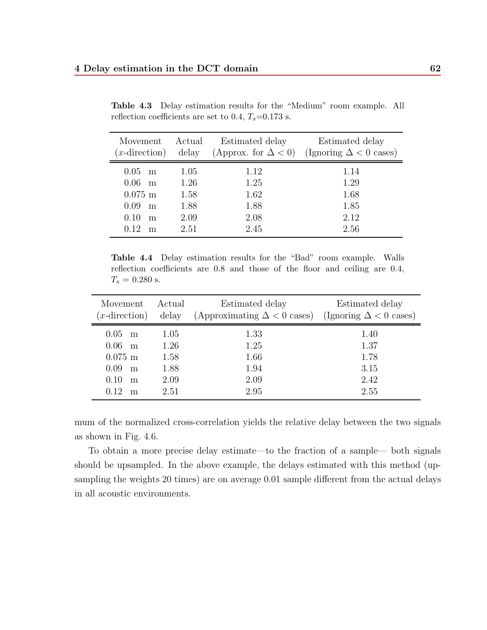| Movement Actual<br>$(x\text{-direction})$                   |                                      | Estimated delay                      | Estimated delay<br>delay (Approx. for $\Delta < 0$ ) (Ignoring $\Delta < 0$ cases) |
|-------------------------------------------------------------|--------------------------------------|--------------------------------------|------------------------------------------------------------------------------------|
| $0.05$ m<br>$0.06$ m<br>$0.075$ m<br>0.09<br>m<br>0.10<br>m | 1.05<br>1.26<br>1.58<br>1.88<br>2.09 | 1.12<br>1.25<br>1.62<br>1.88<br>2.08 | 1.14<br>1.29<br>1.68<br>1.85<br>2.12                                               |
| 0.12<br>m                                                   | 2.51                                 | 2.45                                 | 2.56                                                                               |

**Table 4.3** Delay estimation results for the "Medium" room example. All reflection coefficients are set to 0.4,  $T_s$ =0.173 s.

**Table 4.4** Delay estimation results for the "Bad" room example. Walls reflection coefficients are 0.8 and those of the floor and ceiling are 0.4,  $T_s = 0.280$  s.

| Movement<br>$(x\text{-direction})$                                  | Actual<br>delay                      | Estimated delay<br>(Approximating $\Delta < 0$ cases) (Ignoring $\Delta < 0$ cases) | Estimated delay                      |
|---------------------------------------------------------------------|--------------------------------------|-------------------------------------------------------------------------------------|--------------------------------------|
| $0.05$ m<br>$0.06$ m<br>$0.075 \;{\rm m}$<br>0.09<br>m<br>0.10<br>m | 1.05<br>1.26<br>1.58<br>1.88<br>2.09 | 1.33<br>1.25<br>1.66<br>1.94<br>2.09                                                | 1.40<br>1.37<br>1.78<br>3.15<br>2.42 |
| 0.12<br>m                                                           | 2.51                                 | 2.95                                                                                | 2.55                                 |

mum of the normalized cross-correlation yields the relative delay between the two signals as shown in Fig. 4.6.

To obtain a more precise delay estimate—to the fraction of a sample— both signals should be upsampled. In the above example, the delays estimated with this method (upsampling the weights 20 times) are on average 0.01 sample different from the actual delays in all acoustic environments.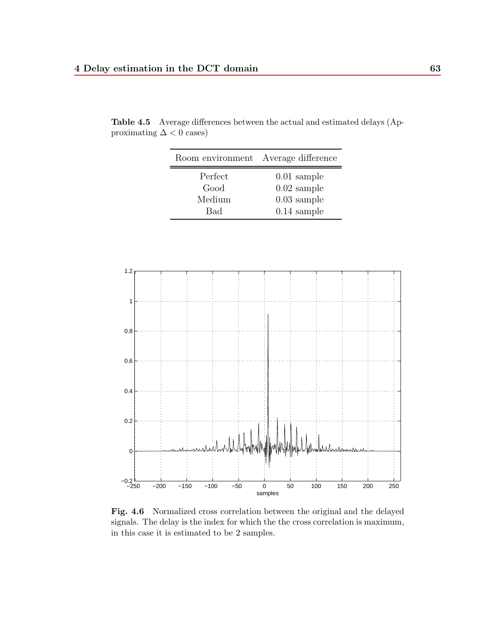| Room environment Average difference |               |
|-------------------------------------|---------------|
| Perfect                             | $0.01$ sample |
| Good                                | $0.02$ sample |
| Medium                              | $0.03$ sample |
| Bad                                 | $0.14$ sample |

**Table 4.5** Average differences between the actual and estimated delays (Approximating  $\Delta < 0$  cases)



**Fig. 4.6** Normalized cross correlation between the original and the delayed signals. The delay is the index for which the the cross correlation is maximum, in this case it is estimated to be 2 samples.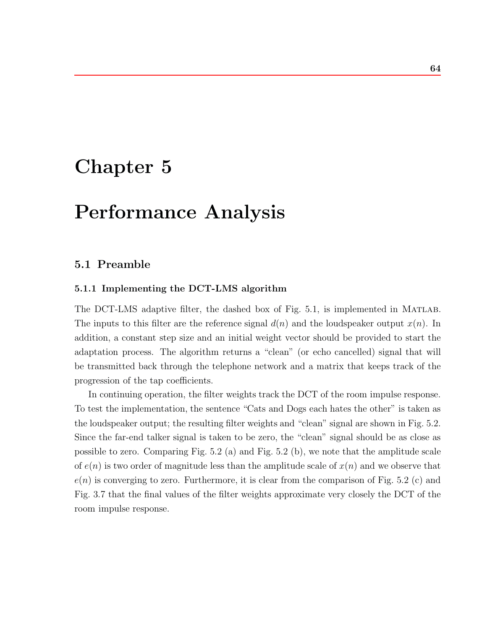## **Chapter 5**

# **Performance Analysis**

## **5.1 Preamble**

## **5.1.1 Implementing the DCT-LMS algorithm**

The DCT-LMS adaptive filter, the dashed box of Fig. 5.1, is implemented in Matlab. The inputs to this filter are the reference signal  $d(n)$  and the loudspeaker output  $x(n)$ . In addition, a constant step size and an initial weight vector should be provided to start the adaptation process. The algorithm returns a "clean" (or echo cancelled) signal that will be transmitted back through the telephone network and a matrix that keeps track of the progression of the tap coefficients.

In continuing operation, the filter weights track the DCT of the room impulse response. To test the implementation, the sentence "Cats and Dogs each hates the other" is taken as the loudspeaker output; the resulting filter weights and "clean" signal are shown in Fig. 5.2. Since the far-end talker signal is taken to be zero, the "clean" signal should be as close as possible to zero. Comparing Fig. 5.2 (a) and Fig. 5.2 (b), we note that the amplitude scale of  $e(n)$  is two order of magnitude less than the amplitude scale of  $x(n)$  and we observe that  $e(n)$  is converging to zero. Furthermore, it is clear from the comparison of Fig. 5.2 (c) and Fig. 3.7 that the final values of the filter weights approximate very closely the DCT of the room impulse response.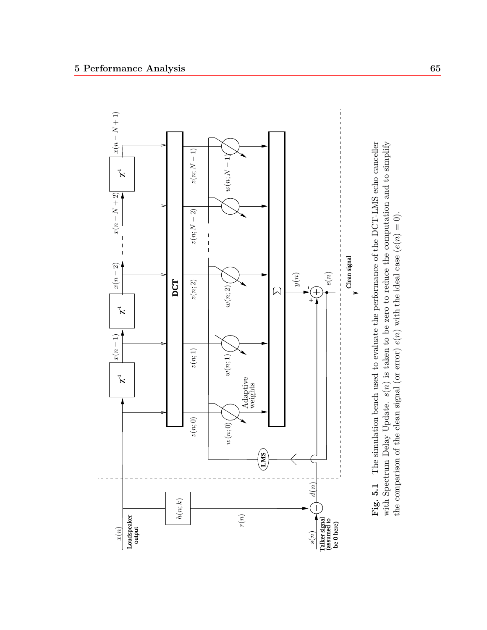

Fig. 5.1 The simulation bench used to evaluate the performance of the DCT-LMS echo canceller with Spectrum Delay Update.  $s(n)$  is taken to be zero to reduce the computation and to simplify with Spectrum Delay Update.  $s(n)$  is taken to be zero to reduce the computation and to simplify **Fig. 5.1** The simulation bench used to evaluate the performance of the DCT-LMS echo canceller the comparison of the clean signal (or error)  $e(n)$  with the ideal case  $(e(n) = 0)$ . the comparison of the clean signal (or error)  $e(n)$  with the ideal case  $(e(n) = 0)$ .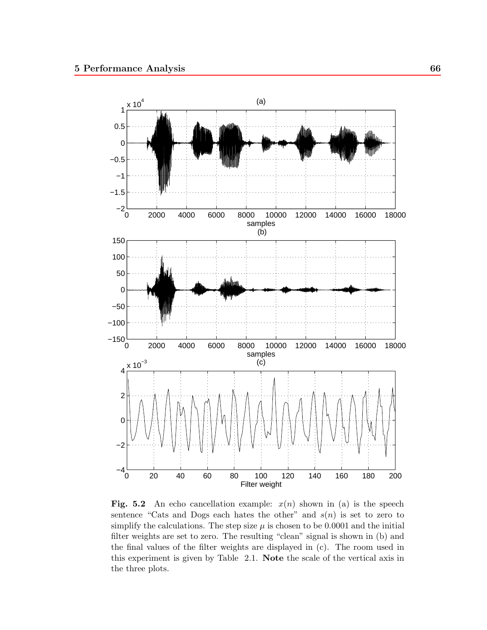

**Fig. 5.2** An echo cancellation example:  $x(n)$  shown in (a) is the speech sentence "Cats and Dogs each hates the other" and  $s(n)$  is set to zero to simplify the calculations. The step size  $\mu$  is chosen to be 0.0001 and the initial filter weights are set to zero. The resulting "clean" signal is shown in (b) and the final values of the filter weights are displayed in (c). The room used in this experiment is given by Table 2.1. **Note** the scale of the vertical axis in the three plots.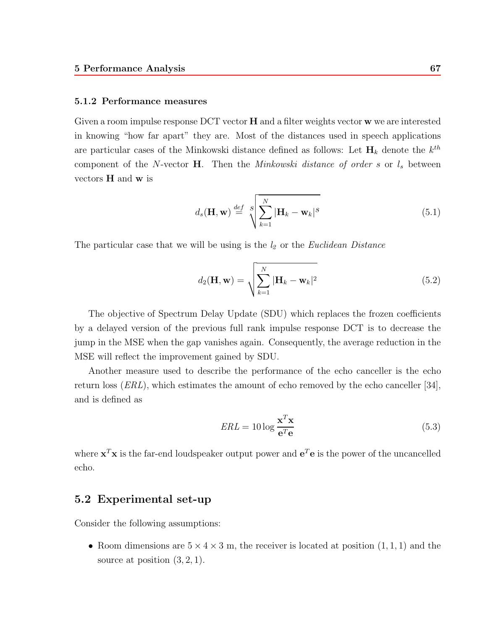#### **5.1.2 Performance measures**

Given a room impulse response DCT vector **H** and a filter weights vector **w** we are interested in knowing "how far apart" they are. Most of the distances used in speech applications are particular cases of the Minkowski distance defined as follows: Let  $H_k$  denote the  $k^{th}$ component of the N-vector **H**. Then the *Minkowski distance of order* s or  $l_s$  between vectors **H** and **w** is

$$
d_s(\mathbf{H}, \mathbf{w}) \stackrel{def}{=} \sqrt{\sum_{k=1}^{N} |\mathbf{H}_k - \mathbf{w}_k|^s}
$$
(5.1)

The particular case that we will be using is the *l<sup>2</sup>* or the *Euclidean Distance*

$$
d_2(\mathbf{H}, \mathbf{w}) = \sqrt{\sum_{k=1}^{N} |\mathbf{H}_k - \mathbf{w}_k|^2}
$$
(5.2)

The objective of Spectrum Delay Update (SDU) which replaces the frozen coefficients by a delayed version of the previous full rank impulse response DCT is to decrease the jump in the MSE when the gap vanishes again. Consequently, the average reduction in the MSE will reflect the improvement gained by SDU.

Another measure used to describe the performance of the echo canceller is the echo return loss (*ERL*), which estimates the amount of echo removed by the echo canceller [34], and is defined as

$$
ERL = 10 \log \frac{\mathbf{x}^T \mathbf{x}}{\mathbf{e}^T \mathbf{e}}
$$
 (5.3)

where  $\mathbf{x}^T \mathbf{x}$  is the far-end loudspeaker output power and  $\mathbf{e}^T \mathbf{e}$  is the power of the uncancelled echo.

## **5.2 Experimental set-up**

Consider the following assumptions:

• Room dimensions are  $5 \times 4 \times 3$  m, the receiver is located at position  $(1, 1, 1)$  and the source at position  $(3, 2, 1)$ .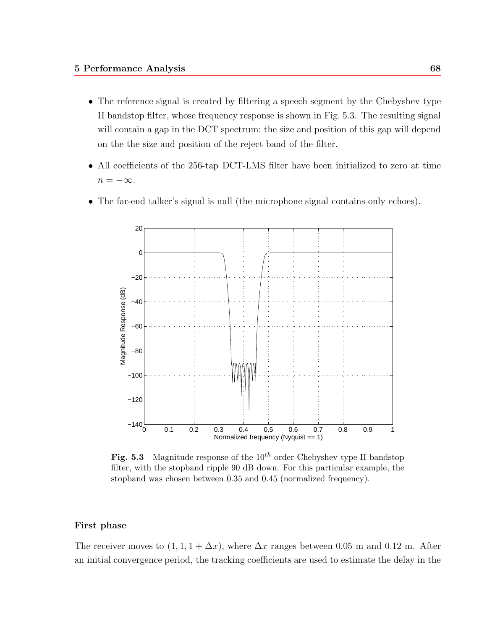- The reference signal is created by filtering a speech segment by the Chebyshev type II bandstop filter, whose frequency response is shown in Fig. 5.3. The resulting signal will contain a gap in the DCT spectrum; the size and position of this gap will depend on the the size and position of the reject band of the filter.
- All coefficients of the 256-tap DCT-LMS filter have been initialized to zero at time  $n = -\infty$ .
- The far-end talker's signal is null (the microphone signal contains only echoes).



**Fig. 5.3** Magnitude response of the  $10^{th}$  order Chebyshev type II bandstop filter, with the stopband ripple 90 dB down. For this particular example, the stopband was chosen between 0.35 and 0.45 (normalized frequency).

### **First phase**

The receiver moves to  $(1, 1, 1+\Delta x)$ , where  $\Delta x$  ranges between 0.05 m and 0.12 m. After an initial convergence period, the tracking coefficients are used to estimate the delay in the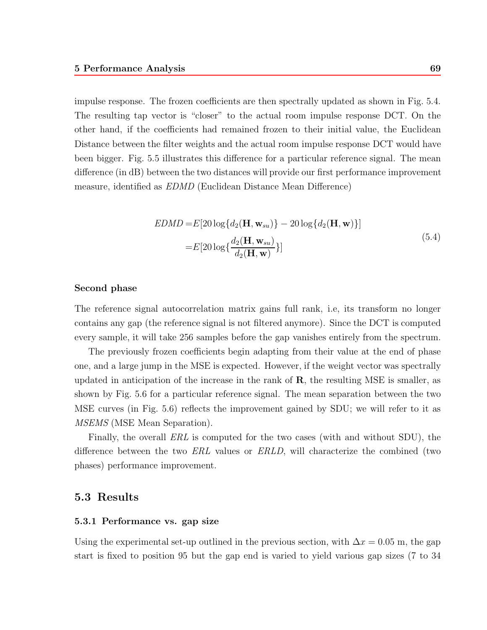impulse response. The frozen coefficients are then spectrally updated as shown in Fig. 5.4. The resulting tap vector is "closer" to the actual room impulse response DCT. On the other hand, if the coefficients had remained frozen to their initial value, the Euclidean Distance between the filter weights and the actual room impulse response DCT would have been bigger. Fig. 5.5 illustrates this difference for a particular reference signal. The mean difference (in dB) between the two distances will provide our first performance improvement measure, identified as *EDMD* (Euclidean Distance Mean Difference)

$$
EDMD = E[20 \log\{d_2(\mathbf{H}, \mathbf{w}_{su})\} - 20 \log\{d_2(\mathbf{H}, \mathbf{w})\}]
$$
  
= 
$$
E[20 \log\{\frac{d_2(\mathbf{H}, \mathbf{w}_{su})}{d_2(\mathbf{H}, \mathbf{w})}\}]
$$
(5.4)

#### **Second phase**

The reference signal autocorrelation matrix gains full rank, i.e, its transform no longer contains any gap (the reference signal is not filtered anymore). Since the DCT is computed every sample, it will take 256 samples before the gap vanishes entirely from the spectrum.

The previously frozen coefficients begin adapting from their value at the end of phase one, and a large jump in the MSE is expected. However, if the weight vector was spectrally updated in anticipation of the increase in the rank of **R**, the resulting MSE is smaller, as shown by Fig. 5.6 for a particular reference signal. The mean separation between the two MSE curves (in Fig. 5.6) reflects the improvement gained by SDU; we will refer to it as *MSEMS* (MSE Mean Separation).

Finally, the overall *ERL* is computed for the two cases (with and without SDU), the difference between the two *ERL* values or *ERLD*, will characterize the combined (two phases) performance improvement.

## 5.3 Results

#### **5.3.1 Performance vs. gap size**

Using the experimental set-up outlined in the previous section, with  $\Delta x = 0.05$  m, the gap start is fixed to position 95 but the gap end is varied to yield various gap sizes (7 to 34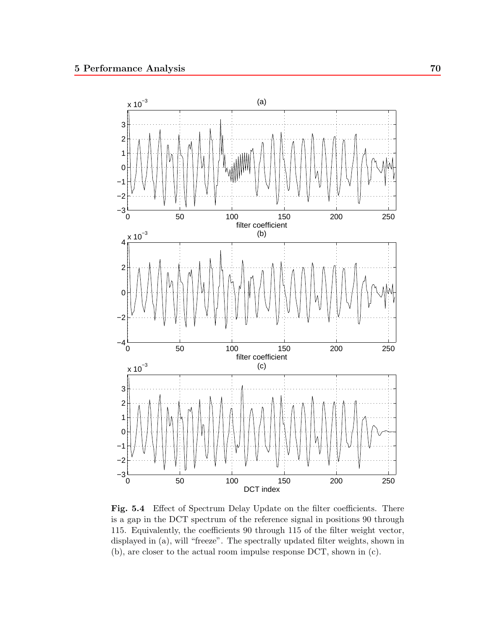

Fig. 5.4 Effect of Spectrum Delay Update on the filter coefficients. There is a gap in the DCT spectrum of the reference signal in positions 90 through 115. Equivalently, the coefficients 90 through 115 of the filter weight vector, displayed in (a), will "freeze". The spectrally updated filter weights, shown in (b), are closer to the actual room impulse response DCT, shown in (c).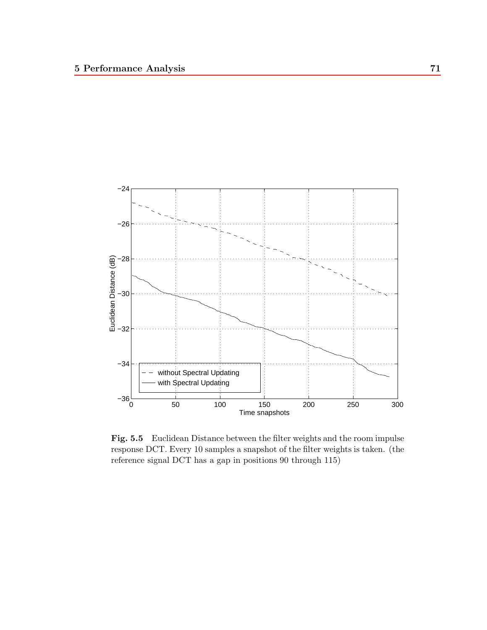

**Fig. 5.5** Euclidean Distance between the filter weights and the room impulse response DCT. Every 10 samples a snapshot of the filter weights is taken. (the reference signal DCT has a gap in positions 90 through 115)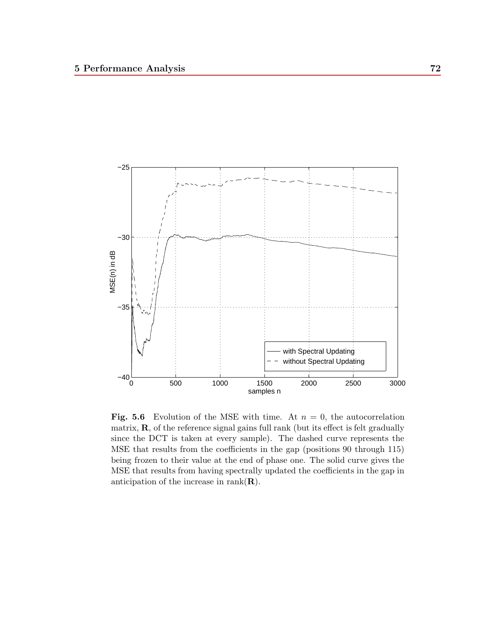

**Fig. 5.6** Evolution of the MSE with time. At  $n = 0$ , the autocorrelation matrix, **R**, of the reference signal gains full rank (but its effect is felt gradually since the DCT is taken at every sample). The dashed curve represents the MSE that results from the coefficients in the gap (positions 90 through 115) being frozen to their value at the end of phase one. The solid curve gives the MSE that results from having spectrally updated the coefficients in the gap in anticipation of the increase in rank(**R**).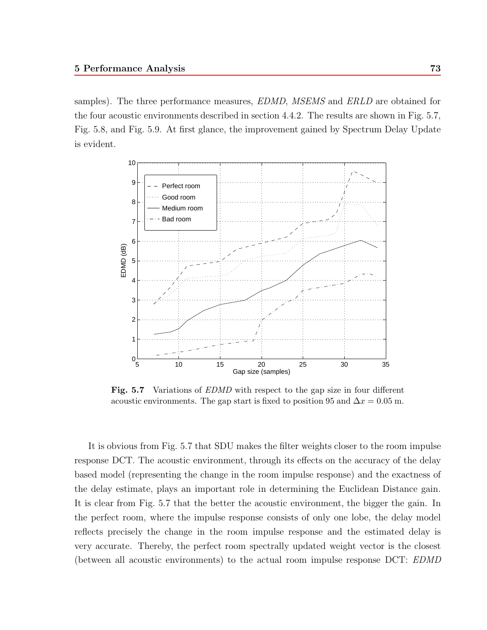samples). The three performance measures, *EDMD*, *MSEMS* and *ERLD* are obtained for the four acoustic environments described in section 4.4.2. The results are shown in Fig. 5.7, Fig. 5.8, and Fig. 5.9. At first glance, the improvement gained by Spectrum Delay Update is evident.



**Fig. 5.7** Variations of *EDMD* with respect to the gap size in four different acoustic environments. The gap start is fixed to position 95 and  $\Delta x = 0.05$  m.

It is obvious from Fig. 5.7 that SDU makes the filter weights closer to the room impulse response DCT. The acoustic environment, through its effects on the accuracy of the delay based model (representing the change in the room impulse response) and the exactness of the delay estimate, plays an important role in determining the Euclidean Distance gain. It is clear from Fig. 5.7 that the better the acoustic environment, the bigger the gain. In the perfect room, where the impulse response consists of only one lobe, the delay model reflects precisely the change in the room impulse response and the estimated delay is very accurate. Thereby, the perfect room spectrally updated weight vector is the closest (between all acoustic environments) to the actual room impulse response DCT: *EDMD*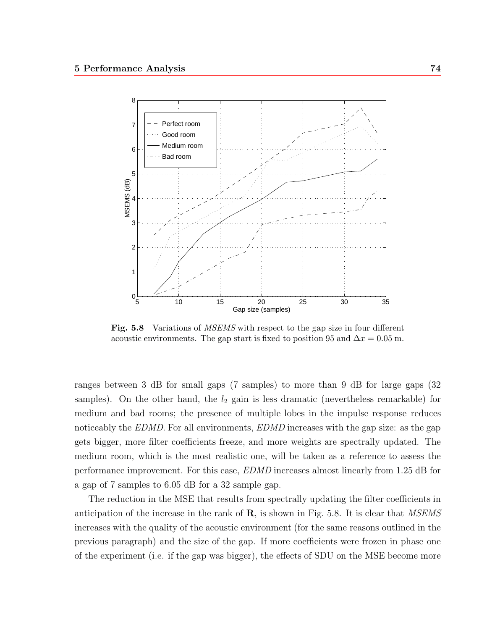

**Fig. 5.8** Variations of *MSEMS* with respect to the gap size in four different acoustic environments. The gap start is fixed to position 95 and  $\Delta x = 0.05$  m.

ranges between 3 dB for small gaps (7 samples) to more than 9 dB for large gaps (32 samples). On the other hand, the  $l_2$  gain is less dramatic (nevertheless remarkable) for medium and bad rooms; the presence of multiple lobes in the impulse response reduces noticeably the *EDMD*. For all environments, *EDMD* increases with the gap size: as the gap gets bigger, more filter coefficients freeze, and more weights are spectrally updated. The medium room, which is the most realistic one, will be taken as a reference to assess the performance improvement. For this case, *EDMD* increases almost linearly from 1.25 dB for a gap of 7 samples to 6.05 dB for a 32 sample gap.

The reduction in the MSE that results from spectrally updating the filter coefficients in anticipation of the increase in the rank of **R**, is shown in Fig. 5.8. It is clear that *MSEMS* increases with the quality of the acoustic environment (for the same reasons outlined in the previous paragraph) and the size of the gap. If more coefficients were frozen in phase one of the experiment (i.e. if the gap was bigger), the effects of SDU on the MSE become more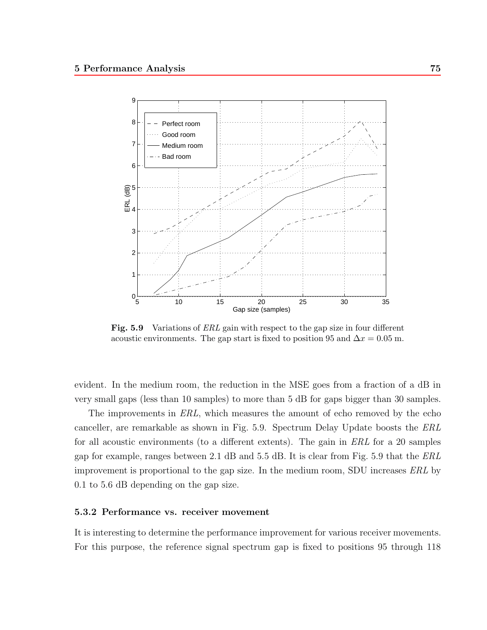

**Fig. 5.9** Variations of *ERL* gain with respect to the gap size in four different acoustic environments. The gap start is fixed to position 95 and  $\Delta x = 0.05$  m.

evident. In the medium room, the reduction in the MSE goes from a fraction of a dB in very small gaps (less than 10 samples) to more than 5 dB for gaps bigger than 30 samples.

The improvements in *ERL*, which measures the amount of echo removed by the echo canceller, are remarkable as shown in Fig. 5.9. Spectrum Delay Update boosts the *ERL* for all acoustic environments (to a different extents). The gain in *ERL* for a 20 samples gap for example, ranges between 2.1 dB and 5.5 dB. It is clear from Fig. 5.9 that the *ERL* improvement is proportional to the gap size. In the medium room, SDU increases *ERL* by 0.1 to 5.6 dB depending on the gap size.

#### **5.3.2 Performance vs. receiver movement**

It is interesting to determine the performance improvement for various receiver movements. For this purpose, the reference signal spectrum gap is fixed to positions 95 through 118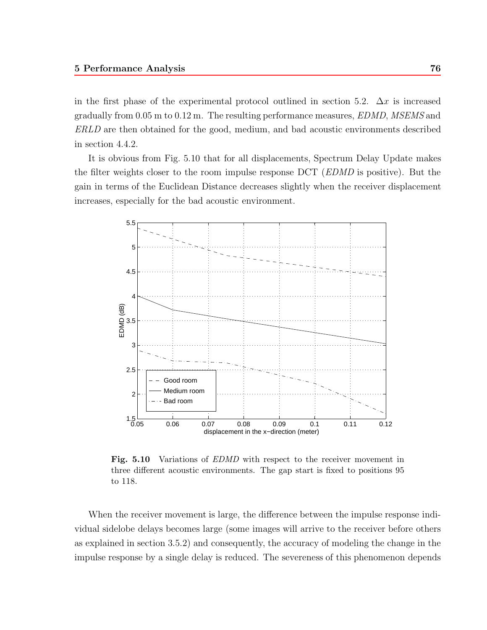in the first phase of the experimental protocol outlined in section 5.2.  $\Delta x$  is increased gradually from 0.05 m to 0.12 m. The resulting performance measures, *EDMD*, *MSEMS* and *ERLD* are then obtained for the good, medium, and bad acoustic environments described in section 4.4.2.

It is obvious from Fig. 5.10 that for all displacements, Spectrum Delay Update makes the filter weights closer to the room impulse response DCT (*EDMD* is positive). But the gain in terms of the Euclidean Distance decreases slightly when the receiver displacement increases, especially for the bad acoustic environment.



**Fig. 5.10** Variations of *EDMD* with respect to the receiver movement in three different acoustic environments. The gap start is fixed to positions 95 to 118.

When the receiver movement is large, the difference between the impulse response individual sidelobe delays becomes large (some images will arrive to the receiver before others as explained in section 3.5.2) and consequently, the accuracy of modeling the change in the impulse response by a single delay is reduced. The severeness of this phenomenon depends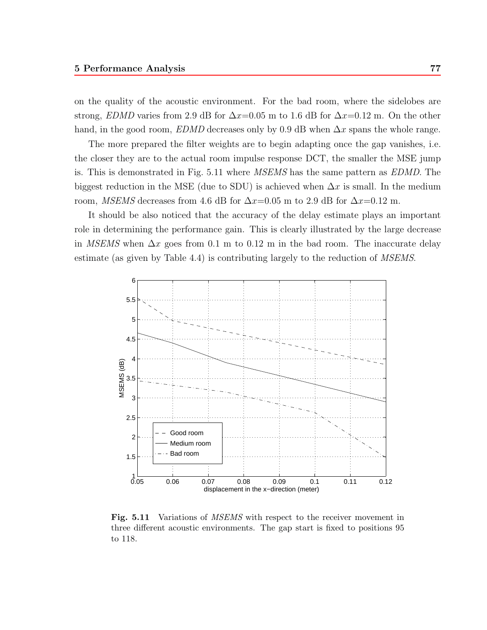on the quality of the acoustic environment. For the bad room, where the sidelobes are strong, *EDMD* varies from 2.9 dB for  $\Delta x=0.05$  m to 1.6 dB for  $\Delta x=0.12$  m. On the other hand, in the good room, *EDMD* decreases only by 0.9 dB when  $\Delta x$  spans the whole range.

The more prepared the filter weights are to begin adapting once the gap vanishes, i.e. the closer they are to the actual room impulse response DCT, the smaller the MSE jump is. This is demonstrated in Fig. 5.11 where *MSEMS* has the same pattern as *EDMD*. The biggest reduction in the MSE (due to SDU) is achieved when  $\Delta x$  is small. In the medium room, *MSEMS* decreases from 4.6 dB for  $\Delta x=0.05$  m to 2.9 dB for  $\Delta x=0.12$  m.

It should be also noticed that the accuracy of the delay estimate plays an important role in determining the performance gain. This is clearly illustrated by the large decrease in *MSEMS* when  $\Delta x$  goes from 0.1 m to 0.12 m in the bad room. The inaccurate delay estimate (as given by Table 4.4) is contributing largely to the reduction of *MSEMS*.



**Fig. 5.11** Variations of *MSEMS* with respect to the receiver movement in three different acoustic environments. The gap start is fixed to positions 95 to 118.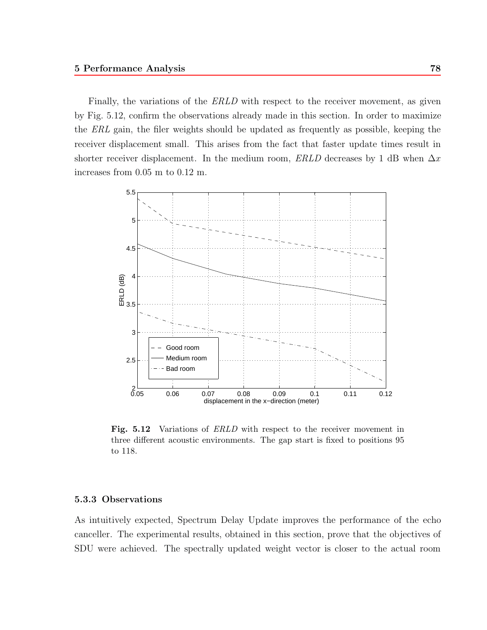Finally, the variations of the *ERLD* with respect to the receiver movement, as given by Fig. 5.12, confirm the observations already made in this section. In order to maximize the *ERL* gain, the filer weights should be updated as frequently as possible, keeping the receiver displacement small. This arises from the fact that faster update times result in shorter receiver displacement. In the medium room, *ERLD* decreases by 1 dB when  $\Delta x$ increases from 0.05 m to 0.12 m.



**Fig. 5.12** Variations of *ERLD* with respect to the receiver movement in three different acoustic environments. The gap start is fixed to positions 95 to 118.

#### **5.3.3 Observations**

As intuitively expected, Spectrum Delay Update improves the performance of the echo canceller. The experimental results, obtained in this section, prove that the objectives of SDU were achieved. The spectrally updated weight vector is closer to the actual room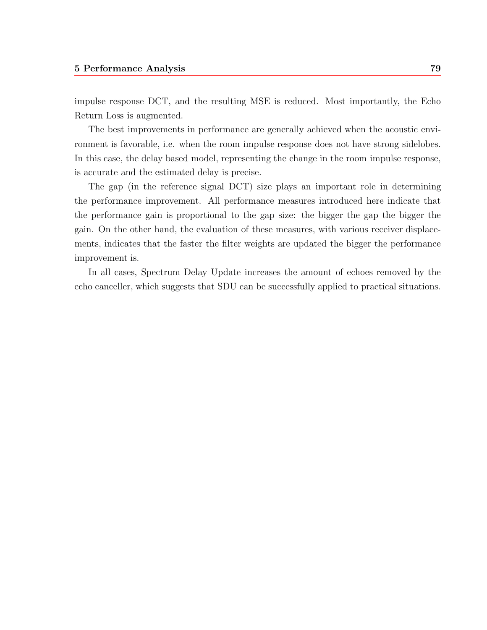impulse response DCT, and the resulting MSE is reduced. Most importantly, the Echo Return Loss is augmented.

The best improvements in performance are generally achieved when the acoustic environment is favorable, i.e. when the room impulse response does not have strong sidelobes. In this case, the delay based model, representing the change in the room impulse response, is accurate and the estimated delay is precise.

The gap (in the reference signal DCT) size plays an important role in determining the performance improvement. All performance measures introduced here indicate that the performance gain is proportional to the gap size: the bigger the gap the bigger the gain. On the other hand, the evaluation of these measures, with various receiver displacements, indicates that the faster the filter weights are updated the bigger the performance improvement is.

In all cases, Spectrum Delay Update increases the amount of echoes removed by the echo canceller, which suggests that SDU can be successfully applied to practical situations.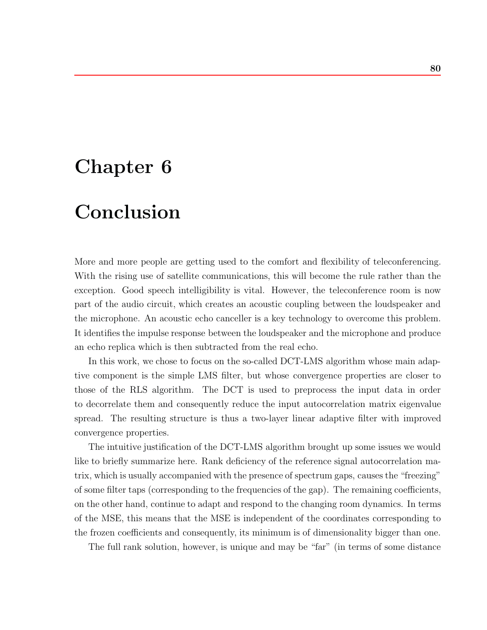## **Chapter 6**

## **Conclusion**

More and more people are getting used to the comfort and flexibility of teleconferencing. With the rising use of satellite communications, this will become the rule rather than the exception. Good speech intelligibility is vital. However, the teleconference room is now part of the audio circuit, which creates an acoustic coupling between the loudspeaker and the microphone. An acoustic echo canceller is a key technology to overcome this problem. It identifies the impulse response between the loudspeaker and the microphone and produce an echo replica which is then subtracted from the real echo.

In this work, we chose to focus on the so-called DCT-LMS algorithm whose main adaptive component is the simple LMS filter, but whose convergence properties are closer to those of the RLS algorithm. The DCT is used to preprocess the input data in order to decorrelate them and consequently reduce the input autocorrelation matrix eigenvalue spread. The resulting structure is thus a two-layer linear adaptive filter with improved convergence properties.

The intuitive justification of the DCT-LMS algorithm brought up some issues we would like to briefly summarize here. Rank deficiency of the reference signal autocorrelation matrix, which is usually accompanied with the presence of spectrum gaps, causes the "freezing" of some filter taps (corresponding to the frequencies of the gap). The remaining coefficients, on the other hand, continue to adapt and respond to the changing room dynamics. In terms of the MSE, this means that the MSE is independent of the coordinates corresponding to the frozen coefficients and consequently, its minimum is of dimensionality bigger than one.

The full rank solution, however, is unique and may be "far" (in terms of some distance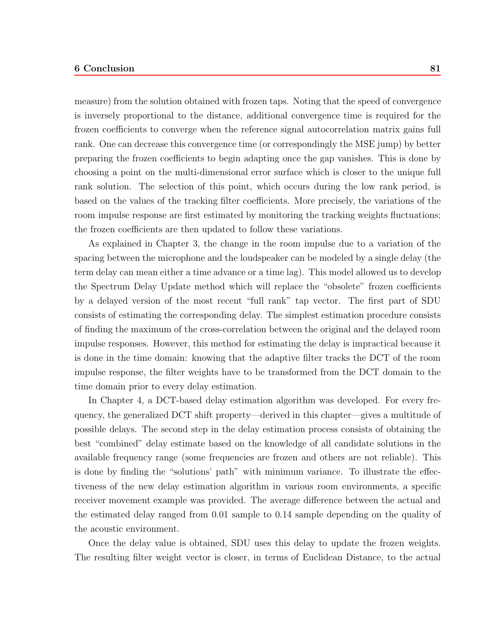#### **6 Conclusion 81**

measure) from the solution obtained with frozen taps. Noting that the speed of convergence is inversely proportional to the distance, additional convergence time is required for the frozen coefficients to converge when the reference signal autocorrelation matrix gains full rank. One can decrease this convergence time (or correspondingly the MSE jump) by better preparing the frozen coefficients to begin adapting once the gap vanishes. This is done by choosing a point on the multi-dimensional error surface which is closer to the unique full rank solution. The selection of this point, which occurs during the low rank period, is based on the values of the tracking filter coefficients. More precisely, the variations of the room impulse response are first estimated by monitoring the tracking weights fluctuations; the frozen coefficients are then updated to follow these variations.

As explained in Chapter 3, the change in the room impulse due to a variation of the spacing between the microphone and the loudspeaker can be modeled by a single delay (the term delay can mean either a time advance or a time lag). This model allowed us to develop the Spectrum Delay Update method which will replace the "obsolete" frozen coefficients by a delayed version of the most recent "full rank" tap vector. The first part of SDU consists of estimating the corresponding delay. The simplest estimation procedure consists of finding the maximum of the cross-correlation between the original and the delayed room impulse responses. However, this method for estimating the delay is impractical because it is done in the time domain: knowing that the adaptive filter tracks the DCT of the room impulse response, the filter weights have to be transformed from the DCT domain to the time domain prior to every delay estimation.

In Chapter 4, a DCT-based delay estimation algorithm was developed. For every frequency, the generalized DCT shift property—derived in this chapter—gives a multitude of possible delays. The second step in the delay estimation process consists of obtaining the best "combined" delay estimate based on the knowledge of all candidate solutions in the available frequency range (some frequencies are frozen and others are not reliable). This is done by finding the "solutions' path" with minimum variance. To illustrate the effectiveness of the new delay estimation algorithm in various room environments, a specific receiver movement example was provided. The average difference between the actual and the estimated delay ranged from 0.01 sample to 0.14 sample depending on the quality of the acoustic environment.

Once the delay value is obtained, SDU uses this delay to update the frozen weights. The resulting filter weight vector is closer, in terms of Euclidean Distance, to the actual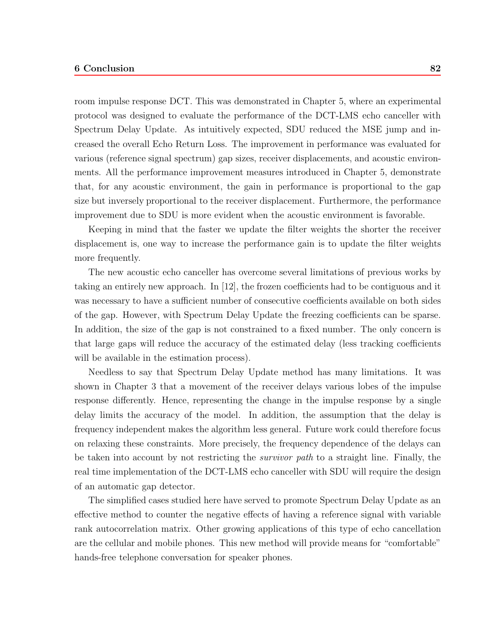#### **6 Conclusion 82**

room impulse response DCT. This was demonstrated in Chapter 5, where an experimental protocol was designed to evaluate the performance of the DCT-LMS echo canceller with Spectrum Delay Update. As intuitively expected, SDU reduced the MSE jump and increased the overall Echo Return Loss. The improvement in performance was evaluated for various (reference signal spectrum) gap sizes, receiver displacements, and acoustic environments. All the performance improvement measures introduced in Chapter 5, demonstrate that, for any acoustic environment, the gain in performance is proportional to the gap size but inversely proportional to the receiver displacement. Furthermore, the performance improvement due to SDU is more evident when the acoustic environment is favorable.

Keeping in mind that the faster we update the filter weights the shorter the receiver displacement is, one way to increase the performance gain is to update the filter weights more frequently.

The new acoustic echo canceller has overcome several limitations of previous works by taking an entirely new approach. In [12], the frozen coefficients had to be contiguous and it was necessary to have a sufficient number of consecutive coefficients available on both sides of the gap. However, with Spectrum Delay Update the freezing coefficients can be sparse. In addition, the size of the gap is not constrained to a fixed number. The only concern is that large gaps will reduce the accuracy of the estimated delay (less tracking coefficients will be available in the estimation process).

Needless to say that Spectrum Delay Update method has many limitations. It was shown in Chapter 3 that a movement of the receiver delays various lobes of the impulse response differently. Hence, representing the change in the impulse response by a single delay limits the accuracy of the model. In addition, the assumption that the delay is frequency independent makes the algorithm less general. Future work could therefore focus on relaxing these constraints. More precisely, the frequency dependence of the delays can be taken into account by not restricting the *survivor path* to a straight line. Finally, the real time implementation of the DCT-LMS echo canceller with SDU will require the design of an automatic gap detector.

The simplified cases studied here have served to promote Spectrum Delay Update as an effective method to counter the negative effects of having a reference signal with variable rank autocorrelation matrix. Other growing applications of this type of echo cancellation are the cellular and mobile phones. This new method will provide means for "comfortable" hands-free telephone conversation for speaker phones.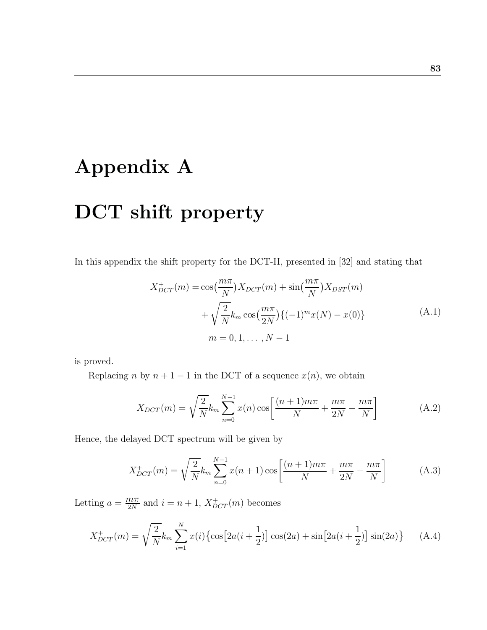# **Appendix A DCT shift property**

In this appendix the shift property for the DCT-II, presented in [32] and stating that

$$
X_{DCT}^{+}(m) = \cos(\frac{m\pi}{N})X_{DCT}(m) + \sin(\frac{m\pi}{N})X_{DST}(m) + \sqrt{\frac{2}{N}}k_m \cos(\frac{m\pi}{2N})\{(-1)^m x(N) - x(0)\} m = 0, 1, ..., N - 1
$$
 (A.1)

is proved.

Replacing n by  $n + 1 - 1$  in the DCT of a sequence  $x(n)$ , we obtain

$$
X_{DCT}(m) = \sqrt{\frac{2}{N}} k_m \sum_{n=0}^{N-1} x(n) \cos \left[ \frac{(n+1)m\pi}{N} + \frac{m\pi}{2N} - \frac{m\pi}{N} \right]
$$
(A.2)

Hence, the delayed DCT spectrum will be given by

$$
X_{DCT}^+(m) = \sqrt{\frac{2}{N}} k_m \sum_{n=0}^{N-1} x(n+1) \cos \left[ \frac{(n+1)m\pi}{N} + \frac{m\pi}{2N} - \frac{m\pi}{N} \right]
$$
(A.3)

Letting  $a = \frac{m\pi}{2N}$  and  $i = n + 1$ ,  $X_{DCT}^+(m)$  becomes

$$
X_{DCT}^+(m) = \sqrt{\frac{2}{N}} k_m \sum_{i=1}^N x(i) \{ \cos \left[ 2a(i + \frac{1}{2}) \right] \cos(2a) + \sin \left[ 2a(i + \frac{1}{2}) \right] \sin(2a) \}
$$
 (A.4)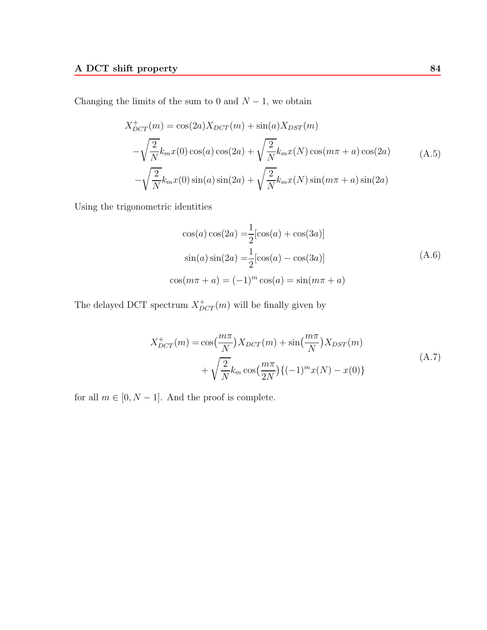Changing the limits of the sum to 0 and  $N-1$ , we obtain

$$
X_{DCT}^{+}(m) = \cos(2a)X_{DCT}(m) + \sin(a)X_{DST}(m)
$$
  

$$
-\sqrt{\frac{2}{N}}k_mx(0)\cos(a)\cos(2a) + \sqrt{\frac{2}{N}}k_mx(N)\cos(m\pi + a)\cos(2a)
$$
 (A.5)  

$$
-\sqrt{\frac{2}{N}}k_mx(0)\sin(a)\sin(2a) + \sqrt{\frac{2}{N}}k_mx(N)\sin(m\pi + a)\sin(2a)
$$

Using the trigonometric identities

$$
\cos(a)\cos(2a) = \frac{1}{2}[\cos(a) + \cos(3a)]
$$
  
\n
$$
\sin(a)\sin(2a) = \frac{1}{2}[\cos(a) - \cos(3a)]
$$
\n
$$
\cos(m\pi + a) = (-1)^m \cos(a) = \sin(m\pi + a)
$$
\n(A.6)

The delayed DCT spectrum  $X_{DCT}^+(m)$  will be finally given by

$$
X_{DCT}^{+}(m) = \cos(\frac{m\pi}{N})X_{DCT}(m) + \sin(\frac{m\pi}{N})X_{DST}(m) + \sqrt{\frac{2}{N}}k_m \cos(\frac{m\pi}{2N})\{(-1)^m x(N) - x(0)\}
$$
\n(A.7)

for all  $m \in [0,N-1].$  And the proof is complete.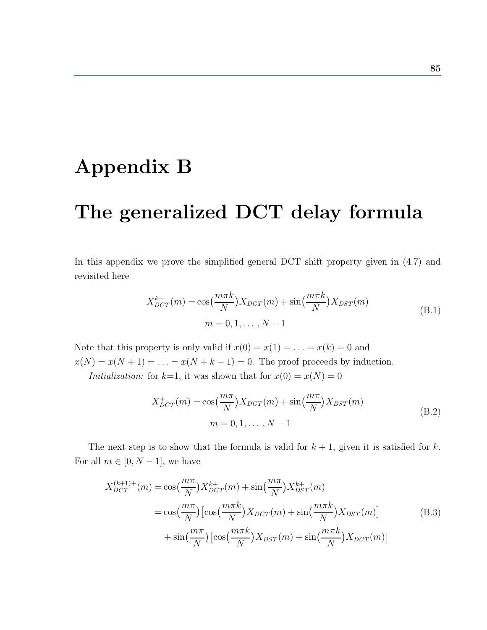# **Appendix B**

# **The generalized DCT delay formula**

In this appendix we prove the simplified general DCT shift property given in  $(4.7)$  and revisited here

$$
X_{DCT}^{k+}(m) = \cos(\frac{m\pi k}{N})X_{DCT}(m) + \sin(\frac{m\pi k}{N})X_{DST}(m)
$$
  
\n
$$
m = 0, 1, ..., N - 1
$$
\n(B.1)

Note that this property is only valid if  $x(0) = x(1) = \ldots = x(k) = 0$  and  $x(N) = x(N + 1) = \ldots = x(N + k - 1) = 0$ . The proof proceeds by induction.

*Initialization:* for  $k=1$ , it was shown that for  $x(0) = x(N) = 0$ 

$$
X_{DCT}^{+}(m) = \cos(\frac{m\pi}{N})X_{DCT}(m) + \sin(\frac{m\pi}{N})X_{DST}(m)
$$
  
\n
$$
m = 0, 1, ..., N - 1
$$
\n(B.2)

The next step is to show that the formula is valid for  $k + 1$ , given it is satisfied for k. For all  $m \in [0, N - 1]$ , we have

$$
X_{DCT}^{(k+1)+}(m) = \cos\left(\frac{m\pi}{N}\right)X_{DCT}^{k+}(m) + \sin\left(\frac{m\pi}{N}\right)X_{DST}^{k+}(m)
$$
  

$$
= \cos\left(\frac{m\pi}{N}\right)\left[\cos\left(\frac{m\pi k}{N}\right)X_{DCT}(m) + \sin\left(\frac{m\pi k}{N}\right)X_{DST}(m)\right]
$$
(B.3)  

$$
+ \sin\left(\frac{m\pi}{N}\right)\left[\cos\left(\frac{m\pi k}{N}\right)X_{DST}(m) + \sin\left(\frac{m\pi k}{N}\right)X_{DCT}(m)\right]
$$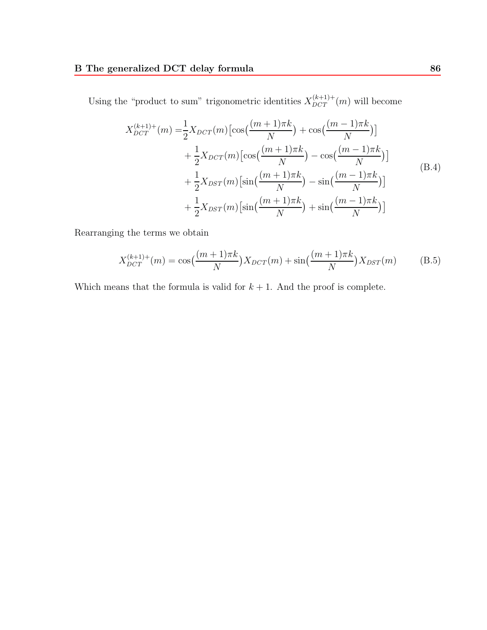Using the "product to sum" trigonometric identities  $X_{DCT}^{(k+1)+}(m)$  will become

$$
X_{DCT}^{(k+1)+}(m) = \frac{1}{2} X_{DCT}(m) \left[ \cos\left(\frac{(m+1)\pi k}{N}\right) + \cos\left(\frac{(m-1)\pi k}{N}\right) \right] + \frac{1}{2} X_{DCT}(m) \left[ \cos\left(\frac{(m+1)\pi k}{N}\right) - \cos\left(\frac{(m-1)\pi k}{N}\right) \right] + \frac{1}{2} X_{DST}(m) \left[ \sin\left(\frac{(m+1)\pi k}{N}\right) - \sin\left(\frac{(m-1)\pi k}{N}\right) \right] + \frac{1}{2} X_{DST}(m) \left[ \sin\left(\frac{(m+1)\pi k}{N}\right) + \sin\left(\frac{(m-1)\pi k}{N}\right) \right]
$$
(B.4)

Rearranging the terms we obtain

$$
X_{DCT}^{(k+1)+}(m) = \cos\left(\frac{(m+1)\pi k}{N}\right)X_{DCT}(m) + \sin\left(\frac{(m+1)\pi k}{N}\right)X_{DST}(m) \tag{B.5}
$$

Which means that the formula is valid for  $k + 1$ . And the proof is complete.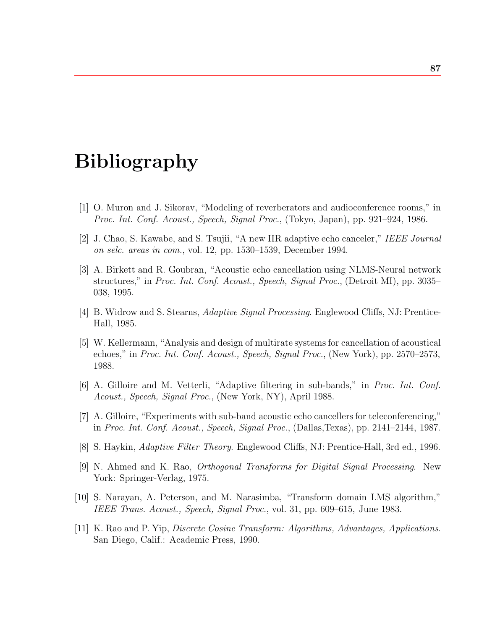# **Bibliography**

- [1] O. Muron and J. Sikorav, "Modeling of reverberators and audioconference rooms," in *Proc. Int. Conf. Acoust., Speech, Signal Proc.*, (Tokyo, Japan), pp. 921–924, 1986.
- [2] J. Chao, S. Kawabe, and S. Tsujii, "A new IIR adaptive echo canceler," *IEEE Journal on selc. areas in com.*, vol. 12, pp. 1530–1539, December 1994.
- [3] A. Birkett and R. Goubran, "Acoustic echo cancellation using NLMS-Neural network structures," in *Proc. Int. Conf. Acoust., Speech, Signal Proc.*, (Detroit MI), pp. 3035– 038, 1995.
- [4] B. Widrow and S. Stearns, *Adaptive Signal Processing*. Englewood Cliffs, NJ: Prentice-Hall, 1985.
- [5] W. Kellermann, "Analysis and design of multirate systems for cancellation of acoustical echoes," in *Proc. Int. Conf. Acoust., Speech, Signal Proc.*, (New York), pp. 2570–2573, 1988.
- [6] A. Gilloire and M. Vetterli, "Adaptive filtering in sub-bands," in *Proc. Int. Conf. Acoust., Speech, Signal Proc.*, (New York, NY), April 1988.
- [7] A. Gilloire, "Experiments with sub-band acoustic echo cancellers for teleconferencing," in *Proc. Int. Conf. Acoust., Speech, Signal Proc.*, (Dallas,Texas), pp. 2141–2144, 1987.
- [8] S. Haykin, *Adaptive Filter Theory*. Englewood Cliffs, NJ: Prentice-Hall, 3rd ed., 1996.
- [9] N. Ahmed and K. Rao, *Orthogonal Transforms for Digital Signal Processing*. New York: Springer-Verlag, 1975.
- [10] S. Narayan, A. Peterson, and M. Narasimba, "Transform domain LMS algorithm," *IEEE Trans. Acoust., Speech, Signal Proc.*, vol. 31, pp. 609–615, June 1983.
- [11] K. Rao and P. Yip, *Discrete Cosine Transform: Algorithms, Advantages, Applications*. San Diego, Calif.: Academic Press, 1990.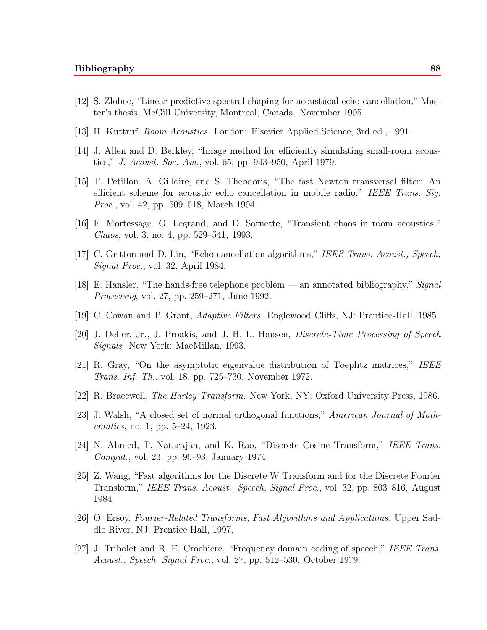- [12] S. Zlobec, "Linear predictive spectral shaping for acoustucal echo cancellation," Master's thesis, McGill University, Montreal, Canada, November 1995.
- [13] H. Kuttruf, *Room Acoustics*. London: Elsevier Applied Science, 3rd ed., 1991.
- [14] J. Allen and D. Berkley, "Image method for efficiently simulating small-room acoustics," *J. Acoust. Soc. Am.*, vol. 65, pp. 943–950, April 1979.
- [15] T. Petillon, A. Gilloire, and S. Theodoris, "The fast Newton transversal filter: An efficient scheme for acoustic echo cancellation in mobile radio," *IEEE Trans. Sig. Proc.*, vol. 42, pp. 509–518, March 1994.
- [16] F. Mortessage, O. Legrand, and D. Sornette, "Transient chaos in room acoustics," *Chaos*, vol. 3, no. 4, pp. 529–541, 1993.
- [17] C. Gritton and D. Lin, "Echo cancellation algorithms," *IEEE Trans. Acoust., Speech, Signal Proc.*, vol. 32, April 1984.
- [18] E. Hansler, "The hands-free telephone problem an annotated bibliography," *Signal Processing*, vol. 27, pp. 259–271, June 1992.
- [19] C. Cowan and P. Grant, *Adaptive Filters*. Englewood Cliffs, NJ: Prentice-Hall, 1985.
- [20] J. Deller, Jr., J. Proakis, and J. H. L. Hansen, *Discrete-Time Processing of Speech Signals*. New York: MacMillan, 1993.
- [21] R. Gray, "On the asymptotic eigenvalue distribution of Toeplitz matrices," *IEEE Trans. Inf. Th.*, vol. 18, pp. 725–730, November 1972.
- [22] R. Bracewell, *The Harley Transform*. New York, NY: Oxford University Press, 1986.
- [23] J. Walsh, "A closed set of normal orthogonal functions," *American Journal of Mathematics*, no. 1, pp. 5–24, 1923.
- [24] N. Ahmed, T. Natarajan, and K. Rao, "Discrete Cosine Transform," *IEEE Trans. Comput.*, vol. 23, pp. 90–93, January 1974.
- [25] Z. Wang, "Fast algorithms for the Discrete W Transform and for the Discrete Fourier Transform," *IEEE Trans. Acoust., Speech, Signal Proc.*, vol. 32, pp. 803–816, August 1984.
- [26] O. Ersoy, *Fourier-Related Transforms, Fast Algorithms and Applications*. Upper Saddle River, NJ: Prentice Hall, 1997.
- [27] J. Tribolet and R. E. Crochiere, "Frequency domain coding of speech," *IEEE Trans. Acoust., Speech, Signal Proc.*, vol. 27, pp. 512–530, October 1979.